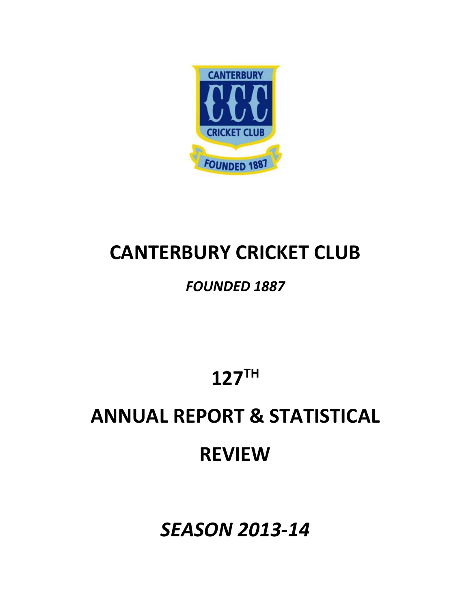

## **CANTERBURY CRICKET CLUB**

## *FOUNDED 1887*

**127TH**

# **ANNUAL REPORT & STATISTICAL**

## **REVIEW**

*SEASON 2013-14*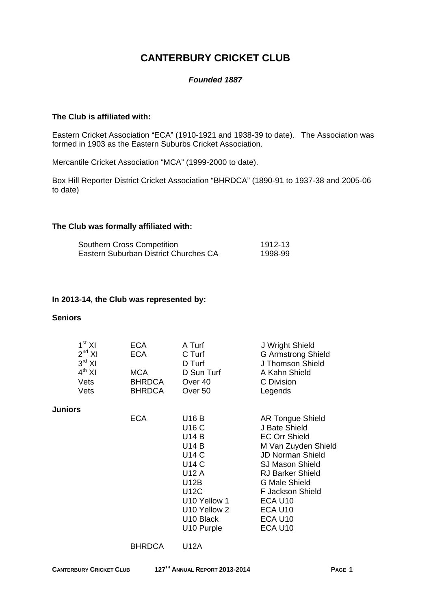## **CANTERBURY CRICKET CLUB**

#### *Founded 1887*

#### **The Club is affiliated with:**

Eastern Cricket Association "ECA" (1910-1921 and 1938-39 to date). The Association was formed in 1903 as the Eastern Suburbs Cricket Association.

Mercantile Cricket Association "MCA" (1999-2000 to date).

Box Hill Reporter District Cricket Association "BHRDCA" (1890-91 to 1937-38 and 2005-06 to date)

#### **The Club was formally affiliated with:**

| Southern Cross Competition            | 1912-13 |
|---------------------------------------|---------|
| Eastern Suburban District Churches CA | 1998-99 |

#### **In 2013-14, the Club was represented by:**

#### **Seniors**

| 1 <sup>st</sup> XI<br><b>ECA</b><br>$2^{nd}$ XI<br><b>ECA</b><br>$3^{\text{rd}}$ XI<br>$4^{th}$ XI<br><b>MCA</b><br>Vets<br><b>BHRDCA</b><br><b>BHRDCA</b><br>Vets | A Turf<br>C Turf<br>D Turf<br>D Sun Turf<br>Over <sub>40</sub><br>Over <sub>50</sub>                                                                                                  | J Wright Shield<br><b>G Armstrong Shield</b><br>J Thomson Shield<br>A Kahn Shield<br>C Division<br>Legends                                                                                                                                                                  |
|--------------------------------------------------------------------------------------------------------------------------------------------------------------------|---------------------------------------------------------------------------------------------------------------------------------------------------------------------------------------|-----------------------------------------------------------------------------------------------------------------------------------------------------------------------------------------------------------------------------------------------------------------------------|
| <b>Juniors</b><br><b>ECA</b>                                                                                                                                       | U16 B<br><b>U16 C</b><br><b>U14 B</b><br><b>U14 B</b><br>U14 C<br><b>U14 C</b><br>U12 A<br>U12B<br><b>U12C</b><br>U10 Yellow 1<br>U10 Yellow 2<br>U <sub>10</sub> Black<br>U10 Purple | <b>AR Tongue Shield</b><br>J Bate Shield<br><b>EC Orr Shield</b><br>M Van Zuyden Shield<br><b>JD Norman Shield</b><br>SJ Mason Shield<br><b>RJ Barker Shield</b><br><b>G Male Shield</b><br><b>F Jackson Shield</b><br>ECA U10<br>ECA U10<br>ECA U <sub>10</sub><br>ECA U10 |

BHRDCA U12A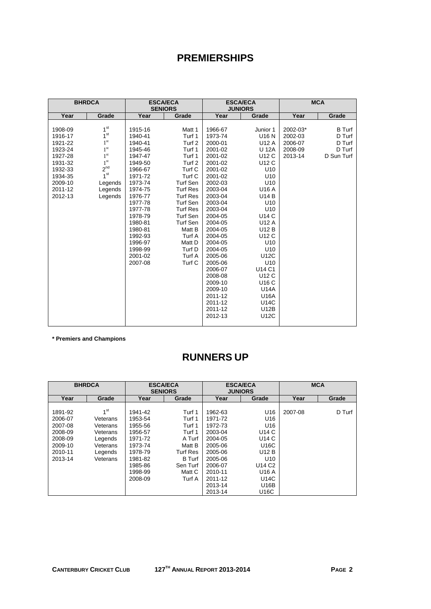## **PREMIERSHIPS**

| <b>BHRDCA</b> |                 | <b>ESCA/ECA</b><br><b>SENIORS</b> |                   | <b>ESCA/ECA</b><br><b>JUNIORS</b> |                 |          | <b>MCA</b>    |
|---------------|-----------------|-----------------------------------|-------------------|-----------------------------------|-----------------|----------|---------------|
| Year          | Grade           | Year                              | Grade             | Year                              | Grade           | Year     | Grade         |
|               |                 |                                   |                   |                                   |                 |          |               |
| 1908-09       | 1 <sup>st</sup> | 1915-16                           | Matt 1            | 1966-67                           | Junior 1        | 2002-03* | <b>B</b> Turf |
| 1916-17       | 1 <sup>st</sup> | 1940-41                           | Turf 1            | 1973-74                           | U16 N           | 2002-03  | D Turf        |
| 1921-22       | 1 <sup>st</sup> | 1940-41                           | Turf <sub>2</sub> | 2000-01                           | <b>U12 A</b>    | 2006-07  | D Turf        |
| 1923-24       | 1 <sup>st</sup> | 1945-46                           | Turf 1            | 2001-02                           | U 12A           | 2008-09  | D Turf        |
| 1927-28       | 1 <sup>st</sup> | 1947-47                           | Turf 1            | 2001-02                           | U12 C           | 2013-14  | D Sun Turf    |
| 1931-32       | 1 <sup>st</sup> | 1949-50                           | Turf 2            | 2001-02                           | U12 C           |          |               |
| 1932-33       | $2^{nd}$        | 1966-67                           | Turf C            | 2001-02                           | U10             |          |               |
| 1934-35       | 1 <sup>st</sup> | 1971-72                           | Turf C            | 2001-02                           | U10             |          |               |
| 2009-10       | Legends         | 1973-74                           | Turf Sen          | 2002-03                           | U10             |          |               |
| 2011-12       | Legends         | 1974-75                           | <b>Turf Res</b>   | 2003-04                           | U16 A           |          |               |
| 2012-13       | Legends         | 1976-77                           | <b>Turf Res</b>   | 2003-04                           | <b>U14 B</b>    |          |               |
|               |                 | 1977-78                           | Turf Sen          | 2003-04                           | U10             |          |               |
|               |                 | 1977-78                           | <b>Turf Res</b>   | 2003-04                           | U10             |          |               |
|               |                 | 1978-79                           | Turf Sen          | 2004-05                           | <b>U14 C</b>    |          |               |
|               |                 | 1980-81                           | Turf Sen          | 2004-05                           | U12 A           |          |               |
|               |                 | 1980-81                           | Matt B            | 2004-05                           | U12 B           |          |               |
|               |                 | 1992-93                           | Turf A            | 2004-05                           | U12 C           |          |               |
|               |                 | 1996-97                           | Matt D            | 2004-05                           | U <sub>10</sub> |          |               |
|               |                 | 1998-99                           | Turf D            | 2004-05                           | U10             |          |               |
|               |                 | 2001-02                           | Turf A            | 2005-06                           | U12C            |          |               |
|               |                 | 2007-08                           | Turf C            | 2005-06                           | U10             |          |               |
|               |                 |                                   |                   | 2006-07                           | U14 C1          |          |               |
|               |                 |                                   |                   | 2008-08                           | U12 C           |          |               |
|               |                 |                                   |                   | 2009-10                           | U16 C           |          |               |
|               |                 |                                   |                   | 2009-10                           | <b>U14A</b>     |          |               |
|               |                 |                                   |                   | 2011-12                           | U16A            |          |               |
|               |                 |                                   |                   | 2011-12                           | U14C            |          |               |
|               |                 |                                   |                   | 2011-12                           | U12B            |          |               |
|               |                 |                                   |                   | 2012-13                           | <b>U12C</b>     |          |               |
|               |                 |                                   |                   |                                   |                 |          |               |

**\* Premiers and Champions** 

## **RUNNERS UP**

|         | <b>BHRDCA</b>   |         | <b>ESCA/ECA</b><br><b>SENIORS</b> |         | <b>ESCA/ECA</b><br><b>JUNIORS</b> |         | <b>MCA</b> |
|---------|-----------------|---------|-----------------------------------|---------|-----------------------------------|---------|------------|
| Year    | Grade           | Year    | Grade                             | Year    | Grade                             | Year    | Grade      |
|         |                 |         |                                   |         |                                   |         |            |
| 1891-92 | 1 <sup>st</sup> | 1941-42 | Turf 1                            | 1962-63 | U16                               | 2007-08 | D Turf     |
| 2006-07 | Veterans        | 1953-54 | Turf 1                            | 1971-72 | U16                               |         |            |
| 2007-08 | Veterans        | 1955-56 | Turf 1                            | 1972-73 | U16                               |         |            |
| 2008-09 | Veterans        | 1956-57 | Turf 1                            | 2003-04 | U14 C                             |         |            |
| 2008-09 | Legends         | 1971-72 | A Turf                            | 2004-05 | U14 C                             |         |            |
| 2009-10 | Veterans        | 1973-74 | Matt B                            | 2005-06 | U16C                              |         |            |
| 2010-11 | Legends         | 1978-79 | <b>Turf Res</b>                   | 2005-06 | U12 B                             |         |            |
| 2013-14 | Veterans        | 1981-82 | B Turf                            | 2005-06 | U <sub>10</sub>                   |         |            |
|         |                 | 1985-86 | Sen Turf                          | 2006-07 | U <sub>14</sub> C <sub>2</sub>    |         |            |
|         |                 | 1998-99 | Matt C                            | 2010-11 | U16 A                             |         |            |
|         |                 | 2008-09 | Turf A                            | 2011-12 | U14C                              |         |            |
|         |                 |         |                                   | 2013-14 | U16B                              |         |            |
|         |                 |         |                                   | 2013-14 | U16C                              |         |            |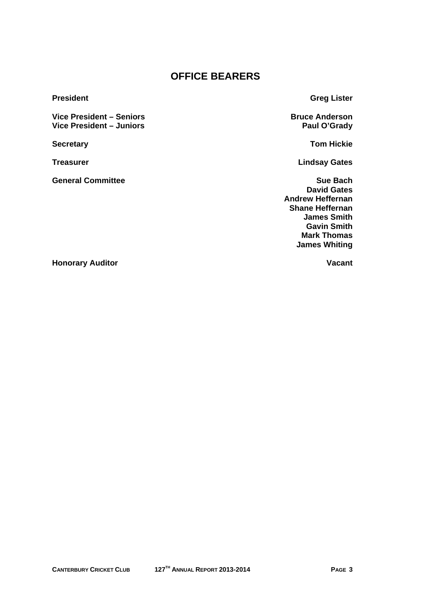## **OFFICE BEARERS**

Vice President – Seniors<br>
Vice President – Juniors<br>
Vice President – Juniors<br>
Paul O'Grady **Vice President – Juniors** 

**General Committee Sue Bach 2018** Sue Bach **Sue Bach** 

**President Greg Lister Contract Contract Contract Contract Contract Contract Contract Contract Contract Contract Contract Contract Contract Contract Contract Contract Contract Contract Contract Contract Contract Contract C** 

**Secretary Community Secretary Community Secretary Community Secretary Community Secretary Community Secretary** 

**Treasurer Lindsay Gates** 

 **David Gates Andrew Heffernan Shane Heffernan James Smith Gavin Smith Mark Thomas James Whiting** 

**Honorary Auditor Contract Contract Auditor Contract Contract Auditor Contract Contract Audit Contract Audit Contract Audit Contract Audit Contract Audit Contract Audit Contract Audit Contract Audit Contract Audit Contract**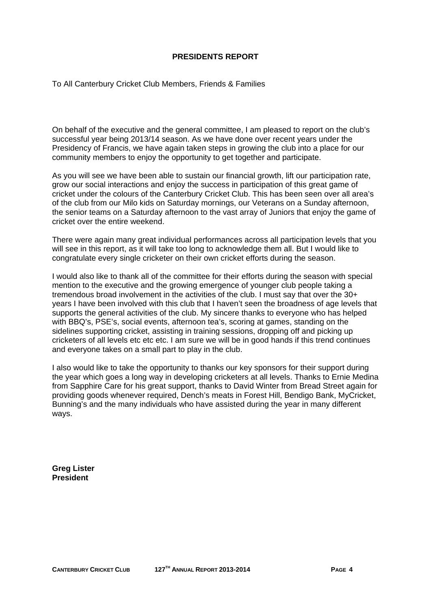#### **PRESIDENTS REPORT**

To All Canterbury Cricket Club Members, Friends & Families

On behalf of the executive and the general committee, I am pleased to report on the club's successful year being 2013/14 season. As we have done over recent years under the Presidency of Francis, we have again taken steps in growing the club into a place for our community members to enjoy the opportunity to get together and participate.

As you will see we have been able to sustain our financial growth, lift our participation rate, grow our social interactions and enjoy the success in participation of this great game of cricket under the colours of the Canterbury Cricket Club. This has been seen over all area's of the club from our Milo kids on Saturday mornings, our Veterans on a Sunday afternoon, the senior teams on a Saturday afternoon to the vast array of Juniors that enjoy the game of cricket over the entire weekend.

There were again many great individual performances across all participation levels that you will see in this report, as it will take too long to acknowledge them all. But I would like to congratulate every single cricketer on their own cricket efforts during the season.

I would also like to thank all of the committee for their efforts during the season with special mention to the executive and the growing emergence of younger club people taking a tremendous broad involvement in the activities of the club. I must say that over the 30+ years I have been involved with this club that I haven't seen the broadness of age levels that supports the general activities of the club. My sincere thanks to everyone who has helped with BBQ's, PSE's, social events, afternoon tea's, scoring at games, standing on the sidelines supporting cricket, assisting in training sessions, dropping off and picking up cricketers of all levels etc etc etc. I am sure we will be in good hands if this trend continues and everyone takes on a small part to play in the club.

I also would like to take the opportunity to thanks our key sponsors for their support during the year which goes a long way in developing cricketers at all levels. Thanks to Ernie Medina from Sapphire Care for his great support, thanks to David Winter from Bread Street again for providing goods whenever required, Dench's meats in Forest Hill, Bendigo Bank, MyCricket, Bunning's and the many individuals who have assisted during the year in many different ways.

**Greg Lister President**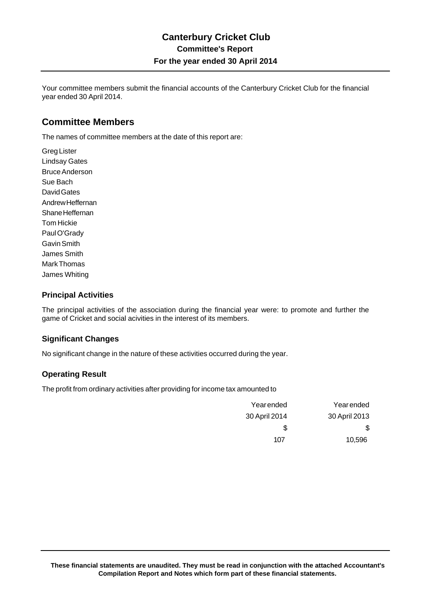Your committee members submit the financial accounts of the Canterbury Cricket Club for the financial year ended 30 April 2014.

### **Committee Members**

The names of committee members at the date of this report are:

Greg Lister Lindsay Gates Bruce Anderson Sue Bach David Gates Andrew Heffernan Shane Heffernan Tom Hickie Paul O'Grady Gavin Smith James Smith Mark Thomas James Whiting

#### **Principal Activities**

The principal activities of the association during the financial year were: to promote and further the game of Cricket and social acivities in the interest of its members.

#### **Significant Changes**

No significant change in the nature of these activities occurred during the year.

#### **Operating Result**

The profit from ordinary activities after providing for income tax amounted to

| Yearended     | Yearended     |
|---------------|---------------|
| 30 April 2013 | 30 April 2014 |
| S.            | S.            |
| 10,596        | 107           |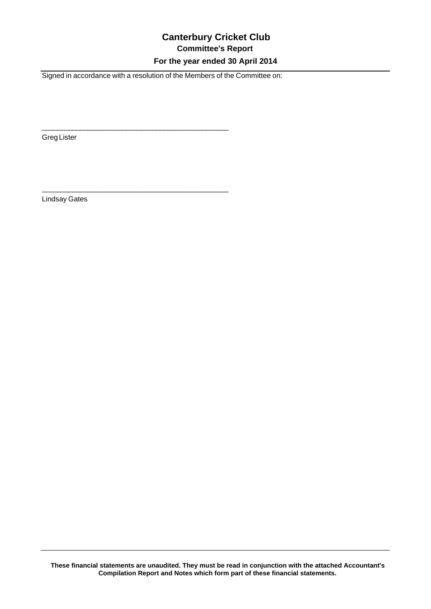## **Canterbury Cricket Club Committee's Report For the year ended 30 April 2014**

Signed in accordance with a resolution of the Members of the Committee on:

 $\overline{\phantom{a}}$  , and the contract of the contract of the contract of the contract of the contract of the contract of the contract of the contract of the contract of the contract of the contract of the contract of the contrac

\_\_\_\_\_\_\_\_\_\_\_\_\_\_\_\_\_\_\_\_\_\_\_\_\_\_\_\_\_\_\_\_\_\_\_\_\_\_\_\_\_\_\_\_\_\_\_\_\_

Greg Lister

Lindsay Gates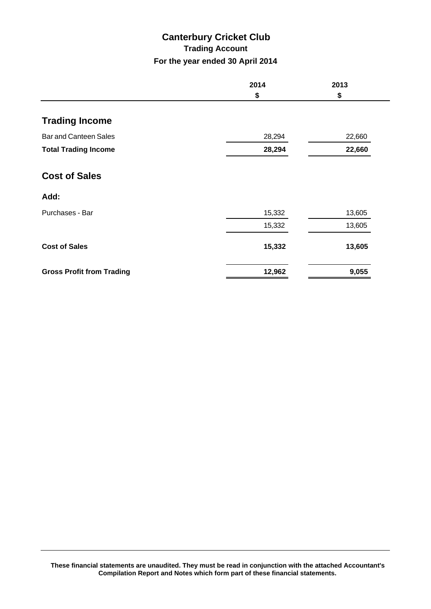## **Canterbury Cricket Club Trading Account For the year ended 30 April 2014**

|                                  | 2014<br>\$ | 2013<br>\$ |
|----------------------------------|------------|------------|
|                                  |            |            |
| <b>Trading Income</b>            |            |            |
| <b>Bar and Canteen Sales</b>     | 28,294     | 22,660     |
| <b>Total Trading Income</b>      | 28,294     | 22,660     |
| <b>Cost of Sales</b>             |            |            |
| Add:                             |            |            |
| Purchases - Bar                  | 15,332     | 13,605     |
|                                  | 15,332     | 13,605     |
| <b>Cost of Sales</b>             | 15,332     | 13,605     |
| <b>Gross Profit from Trading</b> | 12,962     | 9,055      |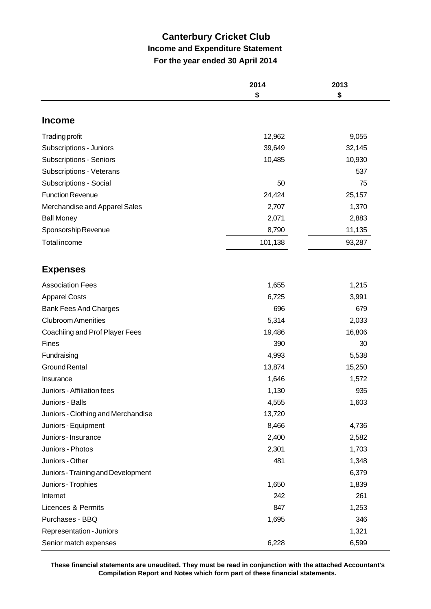## **Canterbury Cricket Club Income and Expenditure Statement For the year ended 30 April 2014**

|                                                           | 2014<br>\$      | 2013<br>\$   |
|-----------------------------------------------------------|-----------------|--------------|
|                                                           |                 |              |
| <b>Income</b>                                             |                 |              |
| <b>Trading profit</b>                                     | 12,962          | 9,055        |
| Subscriptions - Juniors                                   | 39,649          | 32,145       |
| <b>Subscriptions - Seniors</b>                            | 10,485          | 10,930       |
| Subscriptions - Veterans                                  |                 | 537          |
| Subscriptions - Social                                    | 50              | 75           |
| <b>Function Revenue</b>                                   | 24,424          | 25,157       |
| Merchandise and Apparel Sales                             | 2,707           | 1,370        |
| <b>Ball Money</b>                                         | 2,071           | 2,883        |
| Sponsorship Revenue                                       | 8,790           | 11,135       |
| <b>Total income</b>                                       | 101,138         | 93,287       |
| <b>Expenses</b>                                           |                 |              |
| <b>Association Fees</b>                                   |                 |              |
| <b>Apparel Costs</b>                                      | 1,655           | 1,215        |
|                                                           | 6,725<br>696    | 3,991<br>679 |
| <b>Bank Fees And Charges</b><br><b>Clubroom Amenities</b> | 5,314           | 2,033        |
|                                                           |                 | 16,806       |
| Coachiing and Prof Player Fees                            | 19,486          |              |
| <b>Fines</b>                                              | 390             | 30           |
| Fundraising<br><b>Ground Rental</b>                       | 4,993           | 5,538        |
|                                                           | 13,874          | 15,250       |
| Insurance                                                 | 1,646           | 1,572        |
| Juniors - Affiliation fees                                | 1,130           | 935          |
| Juniors - Balls<br>Juniors - Clothing and Merchandise     | 4,555<br>13,720 | 1,603        |
| Juniors - Equipment                                       | 8,466           | 4,736        |
| Juniors - Insurance                                       | 2,400           | 2,582        |
| Juniors - Photos                                          | 2,301           | 1,703        |
| Juniors - Other                                           | 481             | 1,348        |
| Juniors - Training and Development                        |                 | 6,379        |
| Juniors - Trophies                                        | 1,650           | 1,839        |
| Internet                                                  | 242             | 261          |
| Licences & Permits                                        | 847             | 1,253        |
| Purchases - BBQ                                           | 1,695           | 346          |
| Representation - Juniors                                  |                 | 1,321        |
| Senior match expenses                                     | 6,228           | 6,599        |

**These financial statements are unaudited. They must be read in conjunction with the attached Accountant's Compilation Report and Notes which form part of these financial statements.**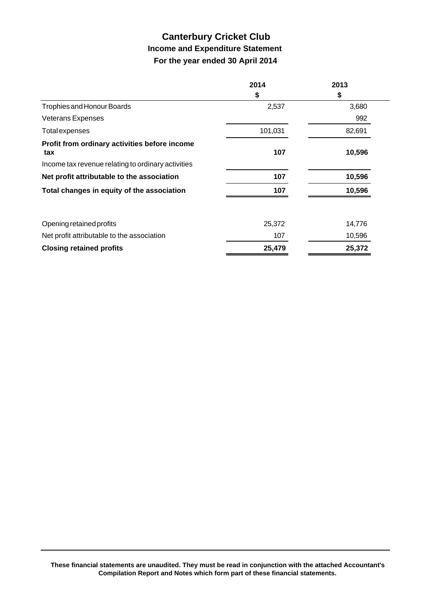## **Canterbury Cricket Club Income and Expenditure Statement For the year ended 30 April 2014**

|                                                      | 2014    | 2013   |
|------------------------------------------------------|---------|--------|
|                                                      | \$      | \$     |
| <b>Trophies and Honour Boards</b>                    | 2,537   | 3,680  |
| <b>Veterans Expenses</b>                             |         | 992    |
| <b>Total expenses</b>                                | 101,031 | 82,691 |
| Profit from ordinary activities before income<br>tax | 107     | 10,596 |
| Income tax revenue relating to ordinary activities   |         |        |
| Net profit attributable to the association           | 107     | 10,596 |
| Total changes in equity of the association           | 107     | 10,596 |
| Opening retained profits                             | 25,372  | 14,776 |
| Net profit attributable to the association           | 107     | 10,596 |
| <b>Closing retained profits</b>                      | 25,479  | 25,372 |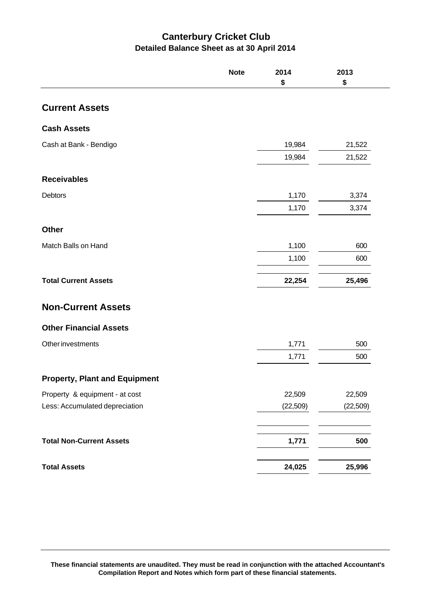## **Canterbury Cricket Club Detailed Balance Sheet as at 30 April 2014**

|                                      | <b>Note</b> | 2014<br>\$ | 2013<br>\$ |
|--------------------------------------|-------------|------------|------------|
| <b>Current Assets</b>                |             |            |            |
| <b>Cash Assets</b>                   |             |            |            |
| Cash at Bank - Bendigo               |             | 19,984     | 21,522     |
|                                      |             | 19,984     | 21,522     |
| <b>Receivables</b>                   |             |            |            |
| <b>Debtors</b>                       |             | 1,170      | 3,374      |
|                                      |             | 1,170      | 3,374      |
| <b>Other</b>                         |             |            |            |
| Match Balls on Hand                  |             | 1,100      | 600        |
|                                      |             | 1,100      | 600        |
| <b>Total Current Assets</b>          |             | 22,254     | 25,496     |
| <b>Non-Current Assets</b>            |             |            |            |
| <b>Other Financial Assets</b>        |             |            |            |
| <b>Other investments</b>             |             | 1,771      | 500        |
|                                      |             | 1,771      | 500        |
| <b>Property, Plant and Equipment</b> |             |            |            |
| Property & equipment - at cost       |             | 22,509     | 22,509     |
| Less: Accumulated depreciation       |             | (22, 509)  | (22, 509)  |
|                                      |             |            |            |
| <b>Total Non-Current Assets</b>      |             | 1,771      | 500        |
| <b>Total Assets</b>                  |             | 24,025     | 25,996     |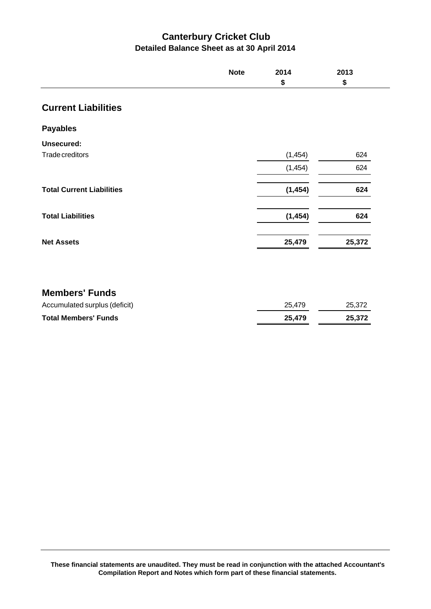## **Canterbury Cricket Club Detailed Balance Sheet as at 30 April 2014**

|                                  | <b>Note</b> | 2014     | 2013   |
|----------------------------------|-------------|----------|--------|
|                                  |             | \$       | \$     |
| <b>Current Liabilities</b>       |             |          |        |
| <b>Payables</b>                  |             |          |        |
| <b>Unsecured:</b>                |             |          |        |
| Trade creditors                  |             | (1, 454) | 624    |
|                                  |             | (1, 454) | 624    |
| <b>Total Current Liabilities</b> |             | (1, 454) | 624    |
| <b>Total Liabilities</b>         |             | (1, 454) | 624    |
| <b>Net Assets</b>                |             | 25,479   | 25,372 |
|                                  |             |          |        |
| <b>Members' Funds</b>            |             |          |        |
| Accumulated surplus (deficit)    |             | 25,479   | 25,372 |
| <b>Total Members' Funds</b>      |             | 25,479   | 25,372 |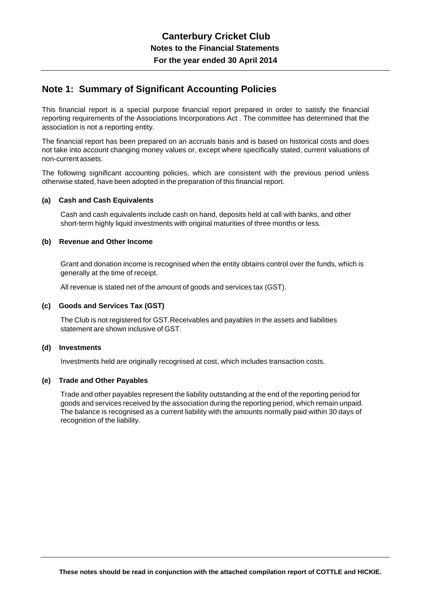### **Note 1: Summary of Significant Accounting Policies**

This financial report is a special purpose financial report prepared in order to satisfy the financial reporting requirements of the Associations Incorporations Act . The committee has determined that the association is not a reporting entity.

The financial report has been prepared on an accruals basis and is based on historical costs and does not take into account changing money values or, except where specifically stated, current valuations of non-current assets.

The following significant accounting policies, which are consistent with the previous period unless otherwise stated, have been adopted in the preparation of this financial report.

#### **(a) Cash and Cash Equivalents**

Cash and cash equivalents include cash on hand, deposits held at call with banks, and other short-term highly liquid investments with original maturities of three months or less.

#### **(b) Revenue and Other Income**

Grant and donation income is recognised when the entity obtains control over the funds, which is generally at the time of receipt.

All revenue is stated net of the amount of goods and services tax (GST).

#### **(c) Goods and Services Tax (GST)**

The Club is not registered for GST.Receivables and payables in the assets and liabilities statement are shown inclusive of GST.

#### **(d) Investments**

Investments held are originally recognised at cost, which includes transaction costs.

#### **(e) Trade and Other Payables**

Trade and other payables represent the liability outstanding at the end of the reporting period for goods and services received by the association during the reporting period, which remain unpaid. The balance is recognised as a current liability with the amounts normally paid within 30 days of recognition of the liability.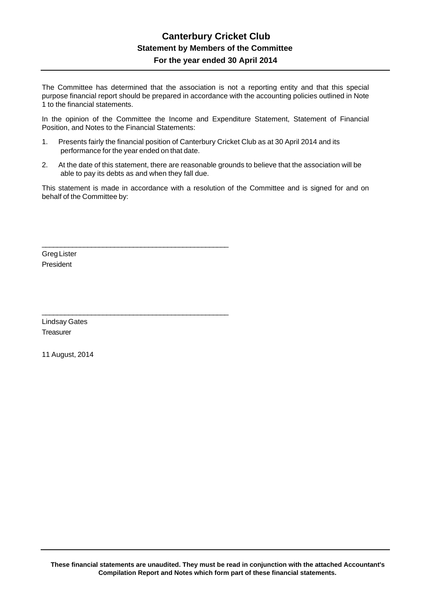### **Canterbury Cricket Club Statement by Members of the Committee For the year ended 30 April 2014**

The Committee has determined that the association is not a reporting entity and that this special purpose financial report should be prepared in accordance with the accounting policies outlined in Note 1 to the financial statements.

In the opinion of the Committee the Income and Expenditure Statement, Statement of Financial Position, and Notes to the Financial Statements:

1. Presents fairly the financial position of Canterbury Cricket Club as at 30 April 2014 and its performance for the year ended on that date.

\_\_\_\_\_\_\_\_\_\_\_\_\_\_\_\_\_\_\_\_\_\_\_\_\_\_\_\_\_\_\_\_\_\_\_\_\_\_\_\_\_\_\_\_\_\_\_\_\_

\_\_\_\_\_\_\_\_\_\_\_\_\_\_\_\_\_\_\_\_\_\_\_\_\_\_\_\_\_\_\_\_\_\_\_\_\_\_\_\_\_\_\_\_\_\_\_\_\_

2. At the date of this statement, there are reasonable grounds to believe that the association will be able to pay its debts as and when they fall due.

This statement is made in accordance with a resolution of the Committee and is signed for and on behalf of the Committee by:

Greg Lister President

Lindsay Gates **Treasurer** 

11 August, 2014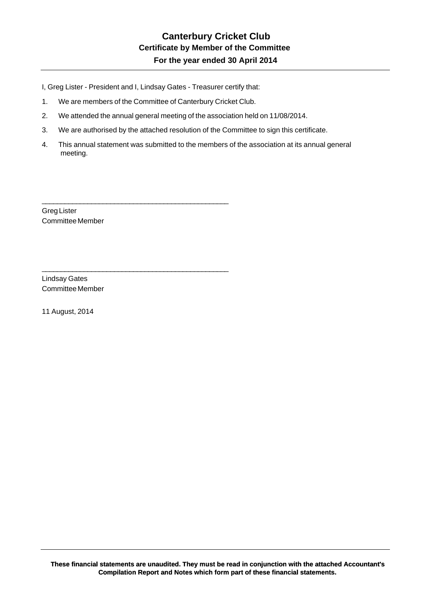I, Greg Lister - President and I, Lindsay Gates - Treasurer certify that:

1. We are members of the Committee of Canterbury Cricket Club.

\_\_\_\_\_\_\_\_\_\_\_\_\_\_\_\_\_\_\_\_\_\_\_\_\_\_\_\_\_\_\_\_\_\_\_\_\_\_\_\_\_\_\_\_\_\_\_\_\_

\_\_\_\_\_\_\_\_\_\_\_\_\_\_\_\_\_\_\_\_\_\_\_\_\_\_\_\_\_\_\_\_\_\_\_\_\_\_\_\_\_\_\_\_\_\_\_\_\_

- 2. We attended the annual general meeting of the association held on 11/08/2014.
- 3. We are authorised by the attached resolution of the Committee to sign this certificate.
- 4. This annual statement was submitted to the members of the association at its annual general meeting.

Greg Lister Committee Member

Lindsay Gates Committee Member

11 August, 2014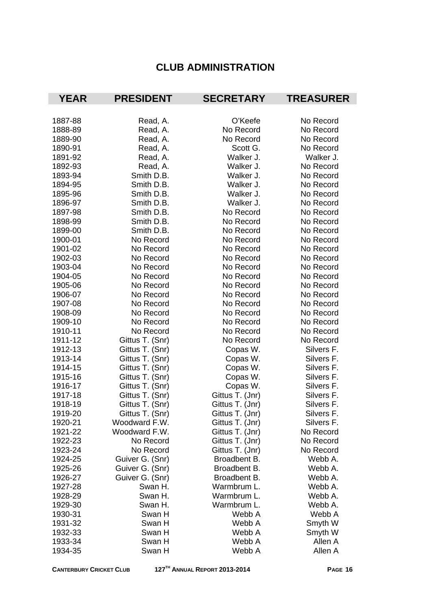## **CLUB ADMINISTRATION**

| <b>YEAR</b> | <b>PRESIDENT</b> | <b>SECRETARY</b> | <b>TREASURER</b> |
|-------------|------------------|------------------|------------------|
|             |                  |                  |                  |
| 1887-88     | Read, A.         | O'Keefe          | No Record        |
| 1888-89     | Read, A.         | No Record        | No Record        |
| 1889-90     | Read, A.         | No Record        | No Record        |
| 1890-91     | Read, A.         | Scott G.         | No Record        |
| 1891-92     | Read, A.         | Walker J.        | Walker J.        |
| 1892-93     | Read, A.         | Walker J.        | No Record        |
| 1893-94     | Smith D.B.       | Walker J.        | No Record        |
| 1894-95     | Smith D.B.       | Walker J.        | No Record        |
| 1895-96     | Smith D.B.       | Walker J.        | No Record        |
| 1896-97     | Smith D.B.       | Walker J.        | No Record        |
| 1897-98     | Smith D.B.       | No Record        | No Record        |
| 1898-99     | Smith D.B.       | No Record        | No Record        |
| 1899-00     | Smith D.B.       | No Record        | No Record        |
| 1900-01     | No Record        | No Record        | No Record        |
| 1901-02     | No Record        | No Record        | No Record        |
| 1902-03     | No Record        | No Record        | No Record        |
| 1903-04     | No Record        | No Record        | No Record        |
| 1904-05     | No Record        | No Record        | No Record        |
| 1905-06     | No Record        | No Record        | No Record        |
| 1906-07     | No Record        | No Record        | No Record        |
| 1907-08     | No Record        | No Record        | No Record        |
| 1908-09     | No Record        | No Record        | No Record        |
| 1909-10     | No Record        | No Record        | No Record        |
| 1910-11     | No Record        | No Record        | No Record        |
| 1911-12     | Gittus T. (Snr)  | No Record        | No Record        |
| 1912-13     | Gittus T. (Snr)  | Copas W.         | Silvers F.       |
| 1913-14     | Gittus T. (Snr)  | Copas W.         | Silvers F.       |
| 1914-15     | Gittus T. (Snr)  | Copas W.         | Silvers F.       |
| 1915-16     | Gittus T. (Snr)  | Copas W.         | Silvers F.       |
| 1916-17     | Gittus T. (Snr)  | Copas W.         | Silvers F.       |
| 1917-18     | Gittus T. (Snr)  | Gittus T. (Jnr)  | Silvers F.       |
| 1918-19     | Gittus T. (Snr)  | Gittus T. (Jnr)  | Silvers F.       |
| 1919-20     | Gittus T. (Snr)  | Gittus T. (Jnr)  | Silvers F.       |
| 1920-21     | Woodward F.W.    | Gittus T. (Jnr)  | Silvers F.       |
| 1921-22     | Woodward F.W.    | Gittus T. (Jnr)  | No Record        |
| 1922-23     | No Record        | Gittus T. (Jnr)  | No Record        |
| 1923-24     | No Record        | Gittus T. (Jnr)  | No Record        |
| 1924-25     | Guiver G. (Snr)  | Broadbent B.     | Webb A.          |
| 1925-26     | Guiver G. (Snr)  | Broadbent B.     | Webb A.          |
| 1926-27     | Guiver G. (Snr)  | Broadbent B.     | Webb A.          |
| 1927-28     | Swan H.          | Warmbrum L.      | Webb A.          |
| 1928-29     | Swan H.          | Warmbrum L.      | Webb A.          |
| 1929-30     | Swan H.          | Warmbrum L.      | Webb A.          |
| 1930-31     | Swan H           | Webb A           | Webb A           |
| 1931-32     | Swan H           | Webb A           | Smyth W          |
| 1932-33     | Swan H           | Webb A           | Smyth W          |
| 1933-34     | Swan H           | Webb A           | Allen A          |
| 1934-35     | Swan H           | Webb A           | Allen A          |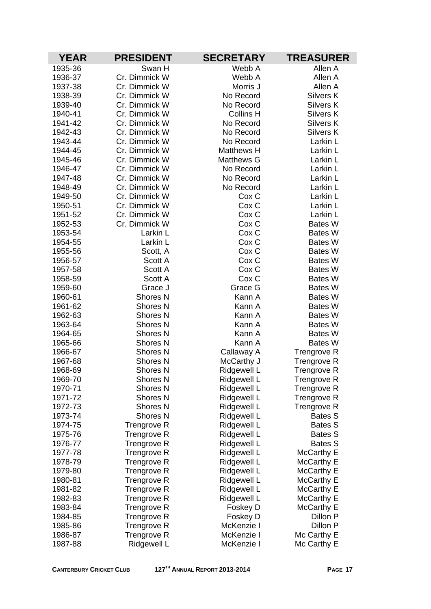| <b>YEAR</b>        | <b>PRESIDENT</b>                           | <b>SECRETARY</b>           | <b>TREASURER</b>           |
|--------------------|--------------------------------------------|----------------------------|----------------------------|
| 1935-36            | Swan H                                     | Webb A                     | Allen A                    |
| 1936-37            | Cr. Dimmick W                              | Webb A                     | Allen A                    |
| 1937-38            | Cr. Dimmick W                              | Morris J                   | Allen A                    |
| 1938-39            | Cr. Dimmick W                              | No Record                  | <b>Silvers K</b>           |
| 1939-40            | Cr. Dimmick W                              | No Record                  | <b>Silvers K</b>           |
| 1940-41            | Cr. Dimmick W                              | <b>Collins H</b>           | Silvers K                  |
| 1941-42            | Cr. Dimmick W                              | No Record                  | <b>Silvers K</b>           |
| 1942-43            | Cr. Dimmick W                              | No Record                  | Silvers K                  |
| 1943-44            | Cr. Dimmick W                              | No Record                  | Larkin L                   |
| 1944-45            | Cr. Dimmick W                              | <b>Matthews H</b>          | Larkin L                   |
| 1945-46            | Cr. Dimmick W                              | <b>Matthews G</b>          | Larkin L                   |
| 1946-47            | Cr. Dimmick W                              | No Record                  | Larkin L                   |
| 1947-48            | Cr. Dimmick W                              | No Record                  | Larkin L                   |
| 1948-49            | Cr. Dimmick W                              | No Record                  | Larkin L                   |
| 1949-50            | Cr. Dimmick W                              | Cox <sub>C</sub>           | Larkin L                   |
| 1950-51            | Cr. Dimmick W                              | Cox C                      | Larkin L                   |
| 1951-52            | Cr. Dimmick W                              | Cox C                      | Larkin L                   |
| 1952-53            | Cr. Dimmick W                              | Cox <sub>C</sub>           | <b>Bates W</b>             |
| 1953-54            | Larkin L                                   | Cox <sub>C</sub>           | <b>Bates W</b>             |
| 1954-55            | Larkin L                                   | Cox C                      | <b>Bates W</b>             |
| 1955-56            | Scott, A                                   | Cox <sub>C</sub>           | <b>Bates W</b>             |
| 1956-57            | Scott A                                    | Cox <sub>C</sub>           | <b>Bates W</b>             |
| 1957-58            | Scott A                                    | Cox C                      | <b>Bates W</b>             |
| 1958-59            | Scott A                                    | Cox C                      | <b>Bates W</b>             |
| 1959-60            | Grace J                                    | Grace G                    | <b>Bates W</b>             |
| 1960-61            | Shores <sub>N</sub>                        | Kann A                     | <b>Bates W</b>             |
| 1961-62            | <b>Shores N</b>                            | Kann A                     | <b>Bates W</b>             |
| 1962-63            | <b>Shores N</b>                            | Kann A                     | <b>Bates W</b>             |
| 1963-64            | <b>Shores N</b>                            | Kann A                     | <b>Bates W</b>             |
| 1964-65            | Shores <sub>N</sub>                        | Kann A                     | <b>Bates W</b>             |
| 1965-66            | <b>Shores N</b>                            | Kann A                     | <b>Bates W</b>             |
| 1966-67            | <b>Shores N</b>                            | Callaway A                 | Trengrove R                |
| 1967-68<br>1968-69 | Shores <sub>N</sub>                        | McCarthy J                 | <b>Trengrove R</b>         |
| 1969-70            | Shores <sub>N</sub><br>Shores <sub>N</sub> | Ridgewell L                | <b>Trengrove R</b>         |
| 1970-71            | <b>Shores N</b>                            | <b>Ridgewell L</b>         | Trengrove R                |
| 1971-72            | <b>Shores N</b>                            | Ridgewell L<br>Ridgewell L | Trengrove R<br>Trengrove R |
| 1972-73            | Shores <sub>N</sub>                        | Ridgewell L                | Trengrove R                |
| 1973-74            | <b>Shores N</b>                            | Ridgewell L                | Bates S                    |
| 1974-75            | Trengrove R                                | Ridgewell L                | Bates S                    |
| 1975-76            | <b>Trengrove R</b>                         | Ridgewell L                | <b>Bates S</b>             |
| 1976-77            | <b>Trengrove R</b>                         | Ridgewell L                | Bates S                    |
| 1977-78            | <b>Trengrove R</b>                         | Ridgewell L                | McCarthy E                 |
| 1978-79            | <b>Trengrove R</b>                         | Ridgewell L                | McCarthy E                 |
| 1979-80            | Trengrove R                                | Ridgewell L                | McCarthy E                 |
| 1980-81            | Trengrove R                                | Ridgewell L                | McCarthy E                 |
| 1981-82            | Trengrove R                                | Ridgewell L                | McCarthy E                 |
| 1982-83            | Trengrove R                                | Ridgewell L                | McCarthy E                 |
| 1983-84            | Trengrove R                                | Foskey D                   | McCarthy E                 |
| 1984-85            | <b>Trengrove R</b>                         | Foskey D                   | Dillon P                   |
| 1985-86            | <b>Trengrove R</b>                         | McKenzie I                 | Dillon P                   |
| 1986-87            | Trengrove R                                | McKenzie I                 | Mc Carthy E                |
| 1987-88            | Ridgewell L                                | McKenzie I                 | Mc Carthy E                |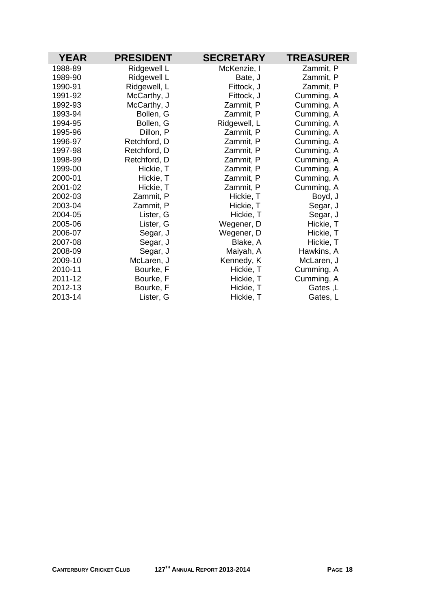| <b>YEAR</b> | <b>PRESIDENT</b> | <b>SECRETARY</b> | <b>TREASURER</b> |
|-------------|------------------|------------------|------------------|
| 1988-89     | Ridgewell L      | McKenzie, I      | Zammit, P        |
| 1989-90     | Ridgewell L      | Bate, J          | Zammit, P        |
| 1990-91     | Ridgewell, L     | Fittock, J       | Zammit, P        |
| 1991-92     | McCarthy, J      | Fittock, J       | Cumming, A       |
| 1992-93     | McCarthy, J      | Zammit, P        | Cumming, A       |
| 1993-94     | Bollen, G        | Zammit, P        | Cumming, A       |
| 1994-95     | Bollen, G        | Ridgewell, L     | Cumming, A       |
| 1995-96     | Dillon, P        | Zammit, P        | Cumming, A       |
| 1996-97     | Retchford, D     | Zammit, P        | Cumming, A       |
| 1997-98     | Retchford, D     | Zammit, P        | Cumming, A       |
| 1998-99     | Retchford, D     | Zammit, P        | Cumming, A       |
| 1999-00     | Hickie, T        | Zammit, P        | Cumming, A       |
| 2000-01     | Hickie, T        | Zammit, P        | Cumming, A       |
| 2001-02     | Hickie, T        | Zammit, P        | Cumming, A       |
| 2002-03     | Zammit, P        | Hickie, T        | Boyd, J          |
| 2003-04     | Zammit, P        | Hickie, T        | Segar, J         |
| 2004-05     | Lister, G        | Hickie, T        | Segar, J         |
| 2005-06     | Lister, G        | Wegener, D       | Hickie, T        |
| 2006-07     | Segar, J         | Wegener, D       | Hickie, T        |
| 2007-08     | Segar, J         | Blake, A         | Hickie, T        |
| 2008-09     | Segar, J         | Maiyah, A        | Hawkins, A       |
| 2009-10     | McLaren, J       | Kennedy, K       | McLaren, J       |
| 2010-11     | Bourke, F        | Hickie, T        | Cumming, A       |
| 2011-12     | Bourke, F        | Hickie, T        | Cumming, A       |
| 2012-13     | Bourke, F        | Hickie, T        | Gates, L         |
| 2013-14     | Lister, G        | Hickie, T        | Gates, L         |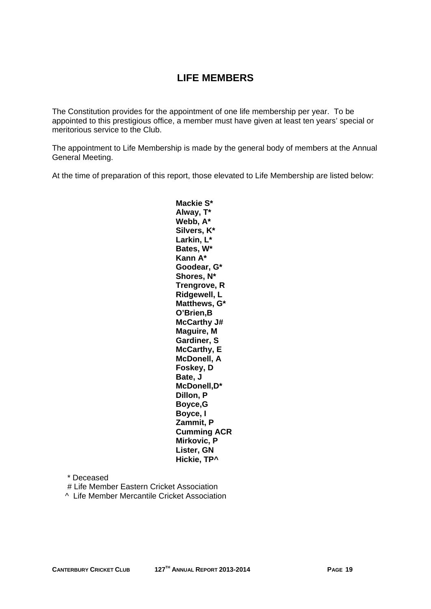## **LIFE MEMBERS**

The Constitution provides for the appointment of one life membership per year. To be appointed to this prestigious office, a member must have given at least ten years' special or meritorious service to the Club.

The appointment to Life Membership is made by the general body of members at the Annual General Meeting.

At the time of preparation of this report, those elevated to Life Membership are listed below:

**Mackie S\* Alway, T\* Webb, A\* Silvers, K\* Larkin, L\* Bates, W\* Kann A\* Goodear, G\* Shores, N\* Trengrove, R Ridgewell, L Matthews, G\* O'Brien,B McCarthy J# Maguire, M Gardiner, S McCarthy, E McDonell, A Foskey, D Bate, J McDonell,D\* Dillon, P Boyce,G Boyce, I Zammit, P Cumming ACR Mirkovic, P Lister, GN Hickie, TP^** 

 \* Deceased # Life Member Eastern Cricket Association

^ Life Member Mercantile Cricket Association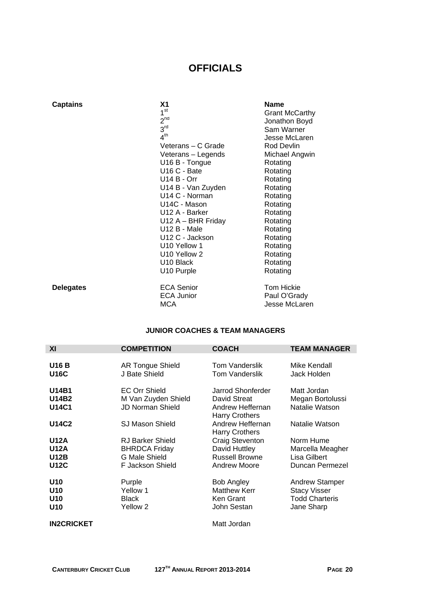## **OFFICIALS**

| <b>Captains</b>  | Χ1                    | <b>Name</b>           |
|------------------|-----------------------|-----------------------|
|                  | 1 <sup>st</sup>       | <b>Grant McCarthy</b> |
|                  | $2^{nd}$              | Jonathon Boyd         |
|                  | 3 <sup>rd</sup>       | Sam Warner            |
|                  | 4 <sup>th</sup>       | Jesse McLaren         |
|                  | Veterans – C Grade    | Rod Devlin            |
|                  | Veterans - Legends    | Michael Angwin        |
|                  | U16 B - Tongue        | Rotating              |
|                  | U16 C - Bate          | Rotating              |
|                  | <b>U14 B - Orr</b>    | Rotating              |
|                  | U14 B - Van Zuyden    | Rotating              |
|                  | U14 C - Norman        | Rotating              |
|                  | U14C - Mason          | Rotating              |
|                  | U12 A - Barker        | Rotating              |
|                  | $U12 A - BHR Friday$  | Rotating              |
|                  | U12 B - Male          | Rotating              |
|                  | U12 C - Jackson       | Rotating              |
|                  | U10 Yellow 1          | Rotating              |
|                  | U10 Yellow 2          | Rotating              |
|                  | U <sub>10</sub> Black | Rotating              |
|                  | U10 Purple            | Rotating              |
| <b>Delegates</b> | <b>ECA Senior</b>     | <b>Tom Hickie</b>     |
|                  | <b>ECA Junior</b>     | Paul O'Grady          |
|                  | <b>MCA</b>            | Jesse McLaren         |

#### **JUNIOR COACHES & TEAM MANAGERS**

| XI                                                       | <b>COMPETITION</b>                                                                   | <b>COACH</b>                                                                   | <b>TEAM MANAGER</b>                                                                 |
|----------------------------------------------------------|--------------------------------------------------------------------------------------|--------------------------------------------------------------------------------|-------------------------------------------------------------------------------------|
| <b>U16 B</b><br><b>U16C</b>                              | <b>AR Tongue Shield</b><br>J Bate Shield                                             | <b>Tom Vanderslik</b><br>Tom Vanderslik                                        | Mike Kendall<br>Jack Holden                                                         |
| U14B1<br>U14B2<br>U14C1                                  | <b>EC Orr Shield</b><br>M Van Zuyden Shield<br><b>JD Norman Shield</b>               | Jarrod Shonferder<br>David Streat<br>Andrew Heffernan<br><b>Harry Crothers</b> | Matt Jordan<br>Megan Bortolussi<br>Natalie Watson                                   |
| U14C2                                                    | <b>SJ Mason Shield</b>                                                               | Andrew Heffernan<br><b>Harry Crothers</b>                                      | Natalie Watson                                                                      |
| <b>U12A</b><br><b>U12A</b><br><b>U12B</b><br><b>U12C</b> | <b>RJ Barker Shield</b><br><b>BHRDCA Friday</b><br>G Male Shield<br>F Jackson Shield | Craig Steventon<br>David Huttley<br><b>Russell Browne</b><br>Andrew Moore      | Norm Hume<br>Marcella Meagher<br>Lisa Gilbert<br>Duncan Permezel                    |
| U10<br>U <sub>10</sub><br>U <sub>10</sub><br>U10         | Purple<br>Yellow 1<br><b>Black</b><br>Yellow <sub>2</sub>                            | <b>Bob Angley</b><br><b>Matthew Kerr</b><br>Ken Grant<br>John Sestan           | <b>Andrew Stamper</b><br><b>Stacy Visser</b><br><b>Todd Charteris</b><br>Jane Sharp |
| <b>IN2CRICKET</b>                                        |                                                                                      | Matt Jordan                                                                    |                                                                                     |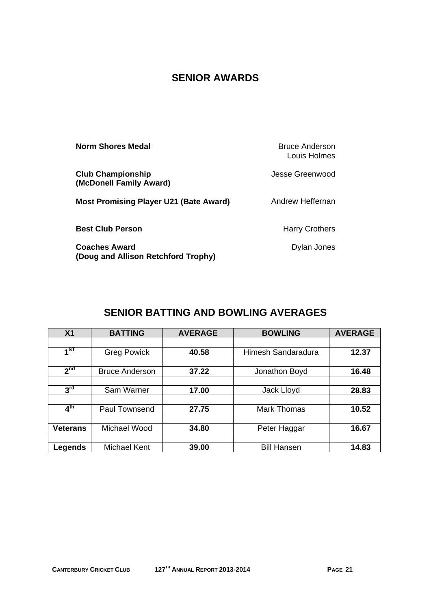## **SENIOR AWARDS**

| <b>Norm Shores Medal</b>                            | Bruce Anderson<br>Louis Holmes |
|-----------------------------------------------------|--------------------------------|
| <b>Club Championship</b><br>(McDonell Family Award) | Jesse Greenwood                |
| <b>Most Promising Player U21 (Bate Award)</b>       | Andrew Heffernan               |
| <b>Best Club Person</b>                             | <b>Harry Crothers</b>          |
| <b>Coaches Award</b>                                | Dylan Jones                    |

**SENIOR BATTING AND BOWLING AVERAGES** 

**(Doug and Allison Retchford Trophy)** 

| X <sub>1</sub>  | <b>BATTING</b>        | <b>AVERAGE</b> | <b>BOWLING</b>     | <b>AVERAGE</b> |
|-----------------|-----------------------|----------------|--------------------|----------------|
|                 |                       |                |                    |                |
| $1^{ST}$        | <b>Greg Powick</b>    | 40.58          | Himesh Sandaradura | 12.37          |
|                 |                       |                |                    |                |
| 2 <sup>nd</sup> | <b>Bruce Anderson</b> | 37.22          | Jonathon Boyd      | 16.48          |
|                 |                       |                |                    |                |
| 3 <sup>rd</sup> | Sam Warner            | 17.00          | Jack Lloyd         | 28.83          |
|                 |                       |                |                    |                |
| 4 <sup>th</sup> | <b>Paul Townsend</b>  | 27.75          | <b>Mark Thomas</b> | 10.52          |
|                 |                       |                |                    |                |
| <b>Veterans</b> | Michael Wood          | 34.80          | Peter Haggar       | 16.67          |
|                 |                       |                |                    |                |
| Legends         | Michael Kent          | 39.00          | <b>Bill Hansen</b> | 14.83          |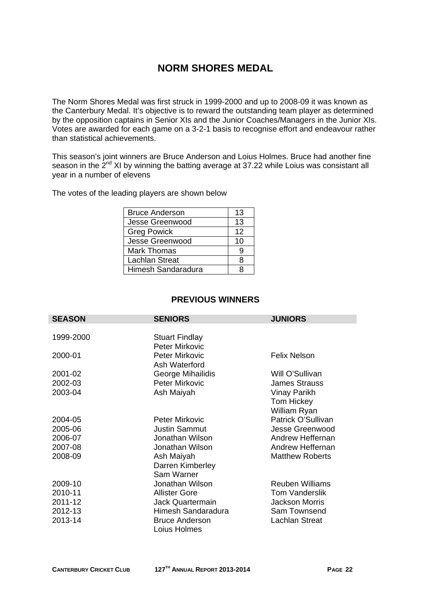## **NORM SHORES MEDAL**

The Norm Shores Medal was first struck in 1999-2000 and up to 2008-09 it was known as the Canterbury Medal. It's objective is to reward the outstanding team player as determined by the opposition captains in Senior XIs and the Junior Coaches/Managers in the Junior XIs. Votes are awarded for each game on a 3-2-1 basis to recognise effort and endeavour rather than statistical achievements.

This season's joint winners are Bruce Anderson and Loius Holmes. Bruce had another fine season in the 2<sup>nd</sup> XI by winning the batting average at 37.22 while Loius was consistant all year in a number of elevens

The votes of the leading players are shown below

| <b>Bruce Anderson</b> | 13 |
|-----------------------|----|
| Jesse Greenwood       | 13 |
| <b>Greg Powick</b>    | 12 |
| Jesse Greenwood       | 10 |
| <b>Mark Thomas</b>    | g  |
| Lachlan Streat        | 8  |
| Himesh Sandaradura    | я  |

#### **PREVIOUS WINNERS**

| <b>SEASON</b> | <b>SENIORS</b>        | <b>JUNIORS</b>         |
|---------------|-----------------------|------------------------|
|               |                       |                        |
| 1999-2000     | <b>Stuart Findlay</b> |                        |
|               | <b>Peter Mirkovic</b> |                        |
| 2000-01       | Peter Mirkovic        | <b>Felix Nelson</b>    |
|               | Ash Waterford         |                        |
| 2001-02       | George Mihailidis     | Will O'Sullivan        |
| 2002-03       | Peter Mirkovic        | <b>James Strauss</b>   |
| 2003-04       | Ash Maiyah            | Vinay Parikh           |
|               |                       | Tom Hickey             |
|               |                       | William Ryan           |
| 2004-05       | <b>Peter Mirkovic</b> | Patrick O'Sullivan     |
| 2005-06       | <b>Justin Sammut</b>  | Jesse Greenwood        |
| 2006-07       | Jonathan Wilson       | Andrew Heffernan       |
| 2007-08       | Jonathan Wilson       | Andrew Heffernan       |
| 2008-09       | Ash Maiyah            | <b>Matthew Roberts</b> |
|               | Darren Kimberley      |                        |
|               | Sam Warner            |                        |
| 2009-10       | Jonathan Wilson       | <b>Reuben Williams</b> |
| 2010-11       | <b>Allister Gore</b>  | <b>Tom Vanderslik</b>  |
| 2011-12       | Jack Quartermain      | <b>Jackson Morris</b>  |
| 2012-13       | Himesh Sandaradura    | Sam Townsend           |
| 2013-14       | <b>Bruce Anderson</b> | <b>Lachlan Streat</b>  |
|               | Loius Holmes          |                        |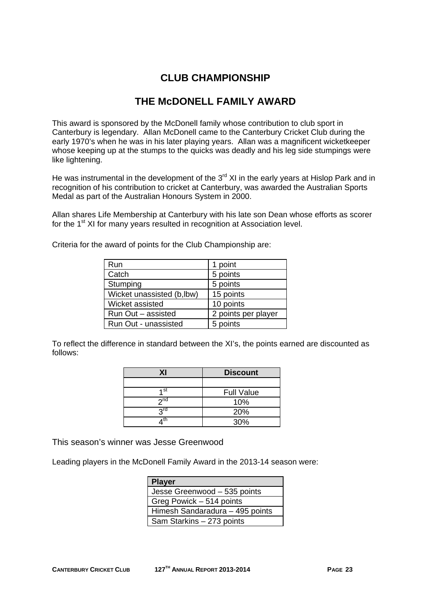## **CLUB CHAMPIONSHIP**

## **THE McDONELL FAMILY AWARD**

This award is sponsored by the McDonell family whose contribution to club sport in Canterbury is legendary. Allan McDonell came to the Canterbury Cricket Club during the early 1970's when he was in his later playing years. Allan was a magnificent wicketkeeper whose keeping up at the stumps to the quicks was deadly and his leg side stumpings were like lightening.

He was instrumental in the development of the  $3<sup>rd</sup>$  XI in the early years at Hislop Park and in recognition of his contribution to cricket at Canterbury, was awarded the Australian Sports Medal as part of the Australian Honours System in 2000.

Allan shares Life Membership at Canterbury with his late son Dean whose efforts as scorer for the 1<sup>st</sup> XI for many years resulted in recognition at Association level.

| Run                       | 1 point             |
|---------------------------|---------------------|
| Catch                     | 5 points            |
| Stumping                  | 5 points            |
| Wicket unassisted (b,lbw) | 15 points           |
| Wicket assisted           | 10 points           |
| Run Out - assisted        | 2 points per player |
| Run Out - unassisted      | 5 points            |

Criteria for the award of points for the Club Championship are:

To reflect the difference in standard between the XI's, the points earned are discounted as follows:

| ΧI              | <b>Discount</b>   |
|-----------------|-------------------|
|                 |                   |
| 4 st            | <b>Full Value</b> |
| 2 <sup>nd</sup> | 10%               |
| <b>2rd</b>      | 20%               |
| th              | 30%               |

This season's winner was Jesse Greenwood

Leading players in the McDonell Family Award in the 2013-14 season were:

| <b>Player</b>                   |
|---------------------------------|
| Jesse Greenwood - 535 points    |
| Greg Powick - 514 points        |
| Himesh Sandaradura - 495 points |
| Sam Starkins - 273 points       |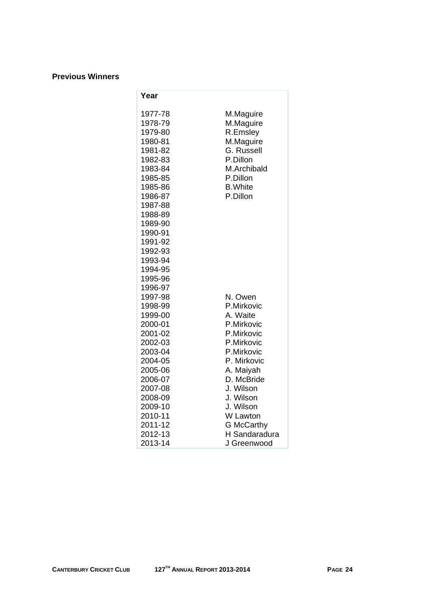#### **Previous Winners**

| Year               |                          |
|--------------------|--------------------------|
| 1977-78            | M.Maguire                |
| 1978-79            | M.Maguire                |
| 1979-80            | R.Emsley                 |
| 1980-81            | M.Maguire                |
| 1981-82            | G. Russell               |
| 1982-83            | P.Dillon                 |
| 1983-84            | M.Archibald              |
| 1985-85            | P.Dillon                 |
| 1985-86            | <b>B.</b> White          |
| 1986-87            | P.Dillon                 |
| 1987-88            |                          |
| 1988-89            |                          |
| 1989-90            |                          |
| 1990-91            |                          |
| 1991-92            |                          |
| 1992-93            |                          |
| 1993-94            |                          |
| 1994-95            |                          |
| 1995-96            |                          |
| 1996-97            |                          |
| 1997-98            | N. Owen                  |
| 1998-99            | P.Mirkovic               |
| 1999-00            | A. Waite                 |
| 2000-01            | P.Mirkovic               |
| 2001-02            | P.Mirkovic               |
| 2002-03            | P.Mirkovic<br>P.Mirkovic |
| 2003-04<br>2004-05 | P. Mirkovic              |
| 2005-06            | A. Maiyah                |
| 2006-07            | D. McBride               |
| 2007-08            | J. Wilson                |
| 2008-09            | J. Wilson                |
| 2009-10            | J. Wilson                |
| 2010-11            | W Lawton                 |
| 2011-12            | <b>G</b> McCarthy        |
| 2012-13            | H Sandaradura            |
| 2013-14            | J Greenwood              |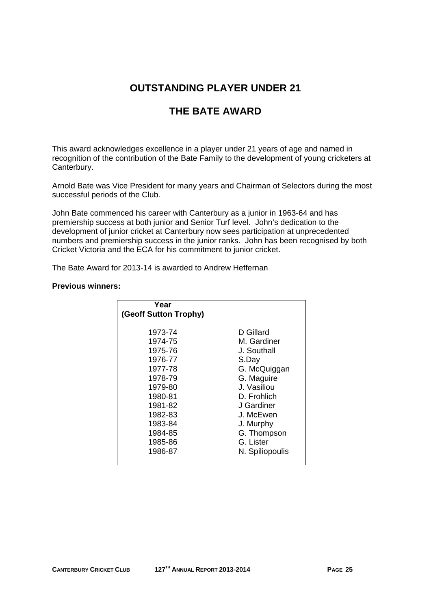## **OUTSTANDING PLAYER UNDER 21**

## **THE BATE AWARD**

This award acknowledges excellence in a player under 21 years of age and named in recognition of the contribution of the Bate Family to the development of young cricketers at Canterbury.

Arnold Bate was Vice President for many years and Chairman of Selectors during the most successful periods of the Club.

John Bate commenced his career with Canterbury as a junior in 1963-64 and has premiership success at both junior and Senior Turf level. John's dedication to the development of junior cricket at Canterbury now sees participation at unprecedented numbers and premiership success in the junior ranks. John has been recognised by both Cricket Victoria and the ECA for his commitment to junior cricket.

The Bate Award for 2013-14 is awarded to Andrew Heffernan

#### **Previous winners:**

| D Gillard<br>1973-74<br>1974-75<br>M. Gardiner<br>1975-76<br>J. Southall<br>1976-77<br>S.Day<br>1977-78<br>G. McQuiggan<br>G. Maguire<br>1978-79<br>J. Vasiliou<br>1979-80<br>1980-81<br>D. Frohlich<br>1981-82<br>J Gardiner | Year<br>(Geoff Sutton Trophy) |           |
|-------------------------------------------------------------------------------------------------------------------------------------------------------------------------------------------------------------------------------|-------------------------------|-----------|
| 1983-84<br>J. Murphy<br>1984-85<br>G. Thompson<br>G. Lister<br>1985-86<br>1986-87<br>N. Spiliopoulis                                                                                                                          | 1982-83                       | J. McEwen |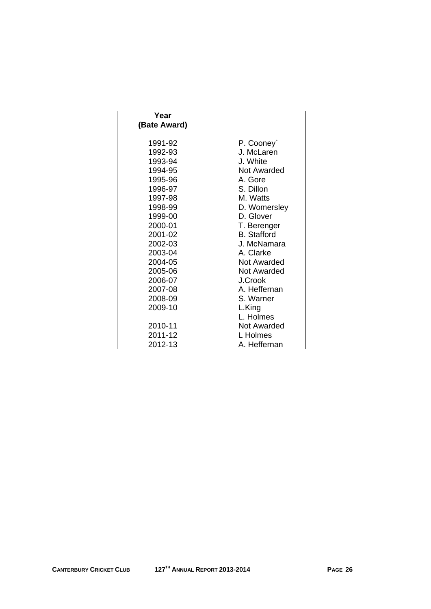| Year         |                    |
|--------------|--------------------|
| (Bate Award) |                    |
|              |                    |
| 1991-92      | P. Cooney          |
| 1992-93      | J. McLaren         |
| 1993-94      | J. White           |
| 1994-95      | Not Awarded        |
| 1995-96      | A. Gore            |
| 1996-97      | S. Dillon          |
| 1997-98      | M. Watts           |
| 1998-99      | D. Womersley       |
| 1999-00      | D. Glover          |
| 2000-01      | T. Berenger        |
| 2001-02      | <b>B.</b> Stafford |
| 2002-03      | J. McNamara        |
| 2003-04      | A. Clarke          |
| 2004-05      | <b>Not Awarded</b> |
| 2005-06      | Not Awarded        |
| 2006-07      | J.Crook            |
| 2007-08      | A. Heffernan       |
| 2008-09      | S. Warner          |
| 2009-10      | L.King             |
|              | L. Holmes          |
| 2010-11      | <b>Not Awarded</b> |
| 2011-12      | L Holmes           |
| 2012-13      | A. Heffernan       |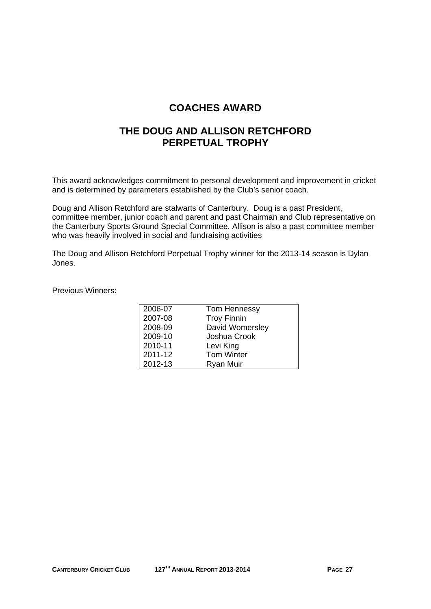## **COACHES AWARD**

## **THE DOUG AND ALLISON RETCHFORD PERPETUAL TROPHY**

This award acknowledges commitment to personal development and improvement in cricket and is determined by parameters established by the Club's senior coach.

Doug and Allison Retchford are stalwarts of Canterbury. Doug is a past President, committee member, junior coach and parent and past Chairman and Club representative on the Canterbury Sports Ground Special Committee. Allison is also a past committee member who was heavily involved in social and fundraising activities

The Doug and Allison Retchford Perpetual Trophy winner for the 2013-14 season is Dylan Jones.

Previous Winners:

| 2006-07 | Tom Hennessy       |
|---------|--------------------|
| 2007-08 | <b>Troy Finnin</b> |
| 2008-09 | David Womersley    |
| 2009-10 | Joshua Crook       |
| 2010-11 | Levi King          |
| 2011-12 | <b>Tom Winter</b>  |
| 2012-13 | <b>Ryan Muir</b>   |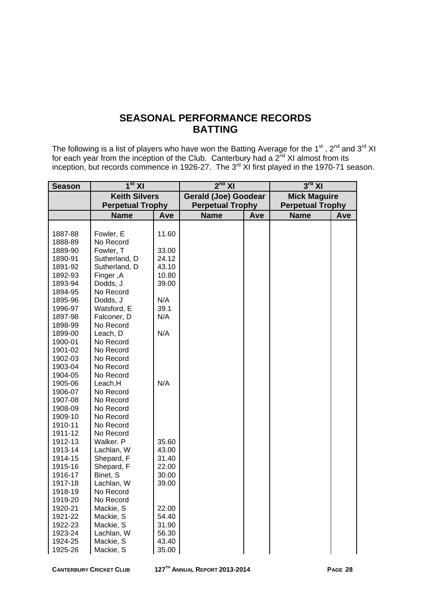## **SEASONAL PERFORMANCE RECORDS BATTING**

The following is a list of players who have won the Batting Average for the 1<sup>st</sup>, 2<sup>nd</sup> and 3<sup>rd</sup> XI for each year from the inception of the Club. Canterbury had a  $2^{nd}$  XI almost from its inception, but records commence in 1926-27. The  $3<sup>rd</sup>$  XI first played in the 1970-71 season.

| <b>Season</b> | 1 <sup>st</sup> XI      |       | $2^{nd}$ XI                 |     | $3^{\text{rd}}$ XI      |     |  |
|---------------|-------------------------|-------|-----------------------------|-----|-------------------------|-----|--|
|               | <b>Keith Silvers</b>    |       | <b>Gerald (Joe) Goodear</b> |     | <b>Mick Maguire</b>     |     |  |
|               | <b>Perpetual Trophy</b> |       | <b>Perpetual Trophy</b>     |     | <b>Perpetual Trophy</b> |     |  |
|               | <b>Name</b>             | Ave   | <b>Name</b>                 | Ave | <b>Name</b>             | Ave |  |
|               |                         |       |                             |     |                         |     |  |
| 1887-88       | Fowler, E               | 11.60 |                             |     |                         |     |  |
| 1888-89       | No Record               |       |                             |     |                         |     |  |
| 1889-90       | Fowler, T               | 33.00 |                             |     |                         |     |  |
| 1890-91       | Sutherland, D           | 24.12 |                             |     |                         |     |  |
| 1891-92       | Sutherland, D           | 43.10 |                             |     |                         |     |  |
| 1892-93       | Finger, A               | 10.80 |                             |     |                         |     |  |
| 1893-94       | Dodds, J                | 39.00 |                             |     |                         |     |  |
| 1894-95       | No Record               |       |                             |     |                         |     |  |
| 1895-96       | Dodds, J                | N/A   |                             |     |                         |     |  |
| 1996-97       | Watsford, E             | 39.1  |                             |     |                         |     |  |
| 1897-98       | Falconer, D             | N/A   |                             |     |                         |     |  |
| 1898-99       | No Record               |       |                             |     |                         |     |  |
| 1899-00       | Leach, D                | N/A   |                             |     |                         |     |  |
| 1900-01       | No Record               |       |                             |     |                         |     |  |
| 1901-02       | No Record               |       |                             |     |                         |     |  |
| 1902-03       | No Record               |       |                             |     |                         |     |  |
| 1903-04       | No Record               |       |                             |     |                         |     |  |
| 1904-05       | No Record               |       |                             |     |                         |     |  |
| 1905-06       | Leach, H                | N/A   |                             |     |                         |     |  |
| 1906-07       | No Record               |       |                             |     |                         |     |  |
| 1907-08       | No Record               |       |                             |     |                         |     |  |
| 1908-09       | No Record               |       |                             |     |                         |     |  |
| 1909-10       | No Record               |       |                             |     |                         |     |  |
| 1910-11       | No Record               |       |                             |     |                         |     |  |
| 1911-12       | No Record               |       |                             |     |                         |     |  |
| 1912-13       | Walker. P               | 35.60 |                             |     |                         |     |  |
| 1913-14       | Lachlan, W              | 43.00 |                             |     |                         |     |  |
| 1914-15       | Shepard, F              | 31.40 |                             |     |                         |     |  |
| 1915-16       | Shepard, F              | 22.00 |                             |     |                         |     |  |
| 1916-17       | Binet, S                | 30.00 |                             |     |                         |     |  |
| 1917-18       | Lachlan, W              | 39.00 |                             |     |                         |     |  |
| 1918-19       | No Record               |       |                             |     |                         |     |  |
| 1919-20       | No Record               |       |                             |     |                         |     |  |
| 1920-21       | Mackie, S               | 22.00 |                             |     |                         |     |  |
| 1921-22       | Mackie, S               | 54.40 |                             |     |                         |     |  |
| 1922-23       | Mackie, S               | 31.90 |                             |     |                         |     |  |
| 1923-24       | Lachlan, W              | 56.30 |                             |     |                         |     |  |
| 1924-25       | Mackie, S               | 43.40 |                             |     |                         |     |  |
| 1925-26       | Mackie, S               | 35.00 |                             |     |                         |     |  |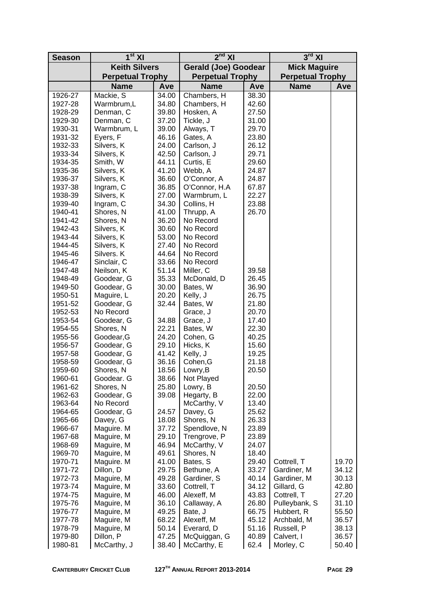| <b>Season</b>      | $1st$ XI                 |                      | $2nd$ XI                 |                             | $3rd$ XI                |       |  |
|--------------------|--------------------------|----------------------|--------------------------|-----------------------------|-------------------------|-------|--|
|                    |                          | <b>Keith Silvers</b> |                          | <b>Gerald (Joe) Goodear</b> | <b>Mick Maguire</b>     |       |  |
|                    | <b>Perpetual Trophy</b>  |                      | <b>Perpetual Trophy</b>  |                             | <b>Perpetual Trophy</b> |       |  |
|                    | <b>Name</b>              | Ave                  | <b>Name</b>              | Ave                         | <b>Name</b>             | Ave   |  |
| 1926-27            | Mackie, S                | 34.00                | Chambers, H              | 38.30                       |                         |       |  |
| 1927-28            | Warmbrum,L               | 34.80                | Chambers, H              | 42.60                       |                         |       |  |
| 1928-29            | Denman, C                | 39.80                | Hosken, A                | 27.50                       |                         |       |  |
| 1929-30            | Denman, C                | 37.20                | Tickle, J                | 31.00                       |                         |       |  |
| 1930-31            | Warmbrum, L              | 39.00                | Always, T                | 29.70                       |                         |       |  |
| 1931-32            | Eyers, F                 | 46.16                | Gates, A                 | 23.80                       |                         |       |  |
| 1932-33            | Silvers, K               | 24.00                | Carlson, J               | 26.12                       |                         |       |  |
| 1933-34            | Silvers, K               | 42.50                | Carlson, J               | 29.71                       |                         |       |  |
| 1934-35            | Smith, W                 | 44.11                | Curtis, E                | 29.60                       |                         |       |  |
| 1935-36            | Silvers, K               | 41.20                | Webb, A                  | 24.87                       |                         |       |  |
| 1936-37            | Silvers, K               | 36.60                | O'Connor, A              | 24.87                       |                         |       |  |
| 1937-38            | Ingram, C                | 36.85                | O'Connor, H.A            | 67.87                       |                         |       |  |
| 1938-39            | Silvers, K               | 27.00                | Warmbrum, L              | 22.27                       |                         |       |  |
| 1939-40            | Ingram, C                | 34.30                | Collins, H               | 23.88                       |                         |       |  |
| 1940-41            | Shores, N                | 41.00                | Thrupp, A                | 26.70                       |                         |       |  |
| 1941-42            | Shores, N                | 36.20                | No Record                |                             |                         |       |  |
| 1942-43            | Silvers, K               | 30.60                | No Record                |                             |                         |       |  |
| 1943-44            | Silvers, K               | 53.00                | No Record                |                             |                         |       |  |
| 1944-45            | Silvers, K               | 27.40                | No Record                |                             |                         |       |  |
| 1945-46            | Silvers. K               | 44.64<br>33.66       | No Record                |                             |                         |       |  |
| 1946-47            | Sinclair, C              | 51.14                | No Record                |                             |                         |       |  |
| 1947-48<br>1948-49 | Neilson, K<br>Goodear, G | 35.33                | Miller, C<br>McDonald, D | 39.58<br>26.45              |                         |       |  |
| 1949-50            | Goodear, G               | 30.00                | Bates, W                 | 36.90                       |                         |       |  |
| 1950-51            | Maguire, L               | 20.20                | Kelly, J                 | 26.75                       |                         |       |  |
| 1951-52            | Goodear, G               | 32.44                | Bates, W                 | 21.80                       |                         |       |  |
| 1952-53            | No Record                |                      | Grace, J                 | 20.70                       |                         |       |  |
| 1953-54            | Goodear, G               | 34.88                | Grace, J                 | 17.40                       |                         |       |  |
| 1954-55            | Shores, N                | 22.21                | Bates, W                 | 22.30                       |                         |       |  |
| 1955-56            | Goodear, G               | 24.20                | Cohen, G                 | 40.25                       |                         |       |  |
| 1956-57            | Goodear, G               | 29.10                | Hicks, K                 | 15.60                       |                         |       |  |
| 1957-58            | Goodear, G               | 41.42                | Kelly, J                 | 19.25                       |                         |       |  |
| 1958-59            | Goodear, G               | 36.16                | Cohen, G                 | 21.18                       |                         |       |  |
| 1959-60            | Shores, N                | 18.56                | Lowry, B                 | 20.50                       |                         |       |  |
| 1960-61            | Goodear. G               | 38.66                | Not Played               |                             |                         |       |  |
| 1961-62            | Shores, N                | 25.80                | Lowry, B                 | 20.50                       |                         |       |  |
| 1962-63            | Goodear, G               | 39.08                | Hegarty, B               | 22.00                       |                         |       |  |
| 1963-64            | No Record                |                      | McCarthy, V              | 13.40                       |                         |       |  |
| 1964-65            | Goodear, G               | 24.57                | Davey, G                 | 25.62                       |                         |       |  |
| 1965-66            | Davey, G                 | 18.08                | Shores, N                | 26.33                       |                         |       |  |
| 1966-67            | Maguire. M               | 37.72                | Spendlove, N             | 23.89                       |                         |       |  |
| 1967-68            | Maguire, M               | 29.10                | Trengrove, P             | 23.89                       |                         |       |  |
| 1968-69            | Maguire, M               | 46.94<br>49.61       | McCarthy, V              | 24.07<br>18.40              |                         |       |  |
| 1969-70<br>1970-71 | Maguire, M<br>Maguire. M | 41.00                | Shores, N<br>Bates, S    | 29.40                       | Cottrell, T             | 19.70 |  |
| 1971-72            | Dillon, D                | 29.75                | Bethune, A               | 33.27                       | Gardiner, M             | 34.12 |  |
| 1972-73            | Maguire, M               | 49.28                | Gardiner, S              | 40.14                       | Gardiner, M             | 30.13 |  |
| 1973-74            | Maguire, M               | 33.60                | Cottrell, T              | 34.12                       | Gillard, G              | 42.80 |  |
| 1974-75            | Maguire, M               | 46.00                | Alexeff, M               | 43.83                       | Cottrell, T             | 27.20 |  |
| 1975-76            | Maguire, M               | 36.10                | Callaway, A              | 26.80                       | Pulleybank, S           | 31.10 |  |
| 1976-77            | Maguire, M               | 49.25                | Bate, J                  | 66.75                       | Hubbert, R              | 55.50 |  |
| 1977-78            | Maguire, M               | 68.22                | Alexeff, M               | 45.12                       | Archbald, M             | 36.57 |  |
| 1978-79            | Maguire, M               | 50.14                | Everard, D               | 51.16                       | Russell, P              | 38.13 |  |
| 1979-80            | Dillon, P                | 47.25                | McQuiggan, G             | 40.89                       | Calvert, I              | 36.57 |  |
| 1980-81            | McCarthy, J              | 38.40                | McCarthy, E              | 62.4                        | Morley, C               | 50.40 |  |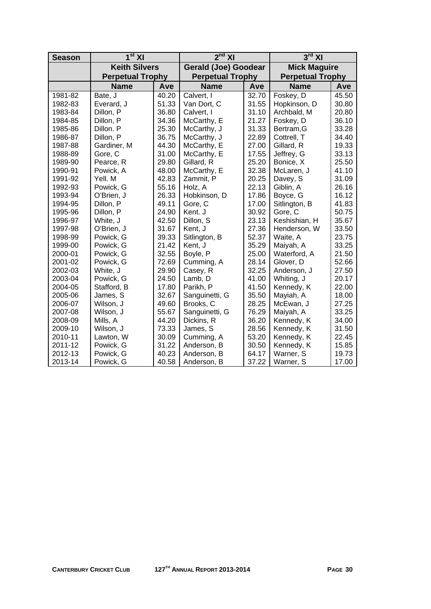| <b>Season</b> | 1 <sup>st</sup> XI      |       | $2nd$ XI                    |       | $3rd$ XI                |       |  |
|---------------|-------------------------|-------|-----------------------------|-------|-------------------------|-------|--|
|               | <b>Keith Silvers</b>    |       | <b>Gerald (Joe) Goodear</b> |       | <b>Mick Maguire</b>     |       |  |
|               | <b>Perpetual Trophy</b> |       | <b>Perpetual Trophy</b>     |       | <b>Perpetual Trophy</b> |       |  |
|               | <b>Name</b>             | Ave   | <b>Name</b>                 | Ave   | <b>Name</b>             | Ave   |  |
| 1981-82       | Bate, J                 | 40.20 | Calvert, I                  | 32.70 | Foskey, D               | 45.50 |  |
| 1982-83       | Everard, J              | 51.33 | Van Dort, C                 | 31.55 | Hopkinson, D            | 30.80 |  |
| 1983-84       | Dillon, P               | 36.80 | Calvert, I                  | 31.10 | Archbald, M             | 20.80 |  |
| 1984-85       | Dillon, P               | 34.36 | McCarthy, E                 | 21.27 | Foskey, D               | 36.10 |  |
| 1985-86       | Dillon. P               | 25.30 | McCarthy, J                 | 31.33 | Bertram, G              | 33.28 |  |
| 1986-87       | Dillon, P               | 36.75 | McCarthy, J                 | 22.89 | Cottrell, T             | 34.40 |  |
| 1987-88       | Gardiner, M             | 44.30 | McCarthy, E                 | 27.00 | Gillard, R              | 19.33 |  |
| 1988-89       | Gore, C                 | 31.00 | McCarthy, E                 | 17.55 | Jeffrey, G              | 33.13 |  |
| 1989-90       | Pearce, R               | 29.80 | Gillard, R                  | 25.20 | Bonice, X               | 25.50 |  |
| 1990-91       | Powick, A               | 48.00 | McCarthy, E                 | 32.38 | McLaren, J              | 41.10 |  |
| 1991-92       | Yell, M                 | 42.83 | Zammit, P                   | 20.25 | Davey, S                | 31.09 |  |
| 1992-93       | Powick, G               | 55.16 | Holz, A                     | 22.13 | Giblin, A               | 26.16 |  |
| 1993-94       | 26.33<br>O'Brien, J     |       | Hobkinson, D                | 17.86 | Boyce, G                | 16.12 |  |
| 1994-95       | Dillon, P               | 49.11 | Gore, C                     | 17.00 | Sitlington, B           | 41.83 |  |
| 1995-96       | Dillon, P               | 24.90 | Kent. J                     | 30.92 | Gore, C                 | 50.75 |  |
| 1996-97       | White, J                | 42.50 | Dillon, S                   | 23.13 | Keshishian, H           | 35.67 |  |
| 1997-98       | O'Brien, J              | 31.67 | Kent, J                     | 27.36 | Henderson, W            | 33.50 |  |
| 1998-99       | Powick, G               | 39.33 | Sitlington, B               | 52.37 | Waite, A                | 23.75 |  |
| 1999-00       | Powick, G               | 21.42 | Kent, J                     | 35.29 | Maiyah, A               | 33.25 |  |
| 2000-01       | Powick, G               | 32.55 | Boyle, P                    | 25.00 | Waterford, A            | 21.50 |  |
| 2001-02       | Powick, G               | 72.69 | Cumming, A                  | 28.14 | Glover, D               | 52.66 |  |
| 2002-03       | White, J                | 29.90 | Casey, R                    | 32.25 | Anderson, J             | 27.50 |  |
| 2003-04       | Powick, G               | 24.50 | Lamb, D                     | 41.00 | Whiting, J              | 20.17 |  |
| 2004-05       | Stafford, B             | 17.80 | Parikh, P                   | 41.50 | Kennedy, K              | 22.00 |  |
| 2005-06       | James, S                | 32.67 | Sanguinetti, G              | 35.50 | Mayiah, A               | 18.00 |  |
| 2006-07       | Wilson, J               | 49.60 | Brooks, C                   | 28.25 | McEwan, J               | 27.25 |  |
| 2007-08       | Wilson, J               | 55.67 | Sanguinetti, G              | 76.29 | Maiyah, A               | 33.25 |  |
| 2008-09       | Mills, A                | 44.20 | Dickins, R                  | 36.20 | Kennedy, K              | 34.00 |  |
| 2009-10       | Wilson, J               | 73.33 | James, S                    | 28.56 | Kennedy, K              | 31.50 |  |
| 2010-11       | Lawton, W               | 30.09 | Cumming, A                  | 53.20 | Kennedy, K              | 22.45 |  |
| 2011-12       | Powick, G               | 31.22 | Anderson, B                 | 30.50 | Kennedy, K              | 15.85 |  |
| 2012-13       | Powick, G               | 40.23 | Anderson, B                 | 64.17 | Warner, S               | 19.73 |  |
| 2013-14       | Powick, G               | 40.58 | Anderson, B                 | 37.22 | Warner, S               | 17.00 |  |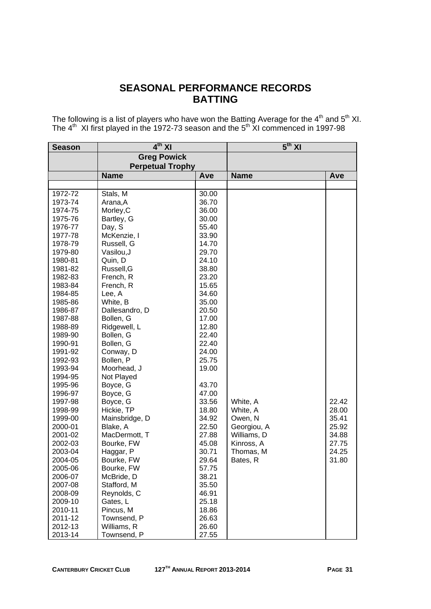## **SEASONAL PERFORMANCE RECORDS BATTING**

The following is a list of players who have won the Batting Average for the  $4<sup>th</sup>$  and  $5<sup>th</sup>$  XI. The  $4<sup>th</sup>$  XI first played in the 1972-73 season and the  $5<sup>th</sup>$  XI commenced in 1997-98

| <b>Season</b> | $4th$ XI                |       | $5th$ XI    |       |  |
|---------------|-------------------------|-------|-------------|-------|--|
|               | <b>Greg Powick</b>      |       |             |       |  |
|               | <b>Perpetual Trophy</b> |       |             |       |  |
|               | <b>Name</b>             | Ave   | <b>Name</b> | Ave   |  |
|               |                         |       |             |       |  |
| 1972-72       | Stals, M                | 30.00 |             |       |  |
| 1973-74       | Arana, A                | 36.70 |             |       |  |
| 1974-75       | Morley, C               | 36.00 |             |       |  |
| 1975-76       | Bartley, G              | 30.00 |             |       |  |
| 1976-77       | Day, S                  | 55.40 |             |       |  |
| 1977-78       | McKenzie, I             | 33.90 |             |       |  |
| 1978-79       | Russell, G              | 14.70 |             |       |  |
| 1979-80       | Vasilou, J              | 29.70 |             |       |  |
| 1980-81       | Quin, D                 | 24.10 |             |       |  |
| 1981-82       | Russell, G              | 38.80 |             |       |  |
| 1982-83       | French, R               | 23.20 |             |       |  |
| 1983-84       | French, R               | 15.65 |             |       |  |
| 1984-85       | Lee, A                  | 34.60 |             |       |  |
| 1985-86       | White, B                | 35.00 |             |       |  |
| 1986-87       | Dallesandro, D          | 20.50 |             |       |  |
| 1987-88       | Bollen, G               | 17.00 |             |       |  |
| 1988-89       | Ridgewell, L            | 12.80 |             |       |  |
| 1989-90       | Bollen, G               | 22.40 |             |       |  |
| 1990-91       | Bollen, G               | 22.40 |             |       |  |
| 1991-92       | Conway, D               | 24.00 |             |       |  |
| 1992-93       | Bollen, P               | 25.75 |             |       |  |
| 1993-94       | Moorhead, J             | 19.00 |             |       |  |
| 1994-95       | Not Played              |       |             |       |  |
| 1995-96       | Boyce, G                | 43.70 |             |       |  |
| 1996-97       | Boyce, G                | 47.00 |             |       |  |
| 1997-98       | Boyce, G                | 33.56 | White, A    | 22.42 |  |
| 1998-99       | Hickie, TP              | 18.80 | White, A    | 28.00 |  |
| 1999-00       | Mainsbridge, D          | 34.92 | Owen, N     | 35.41 |  |
| 2000-01       | Blake, A                | 22.50 | Georgiou, A | 25.92 |  |
| 2001-02       | MacDermott, T           | 27.88 | Williams, D | 34.88 |  |
| 2002-03       | Bourke, FW              | 45.08 | Kinross, A  | 27.75 |  |
| 2003-04       | Haggar, P               | 30.71 | Thomas, M   | 24.25 |  |
| 2004-05       | Bourke, FW              | 29.64 | Bates, R    | 31.80 |  |
| 2005-06       | Bourke, FW              | 57.75 |             |       |  |
| 2006-07       | McBride, D              | 38.21 |             |       |  |
| 2007-08       | Stafford, M             | 35.50 |             |       |  |
| 2008-09       | Reynolds, C             | 46.91 |             |       |  |
| 2009-10       | Gates, L                | 25.18 |             |       |  |
| 2010-11       | Pincus, M               | 18.86 |             |       |  |
| 2011-12       | Townsend, P             | 26.63 |             |       |  |
| 2012-13       | Williams, R             | 26.60 |             |       |  |
| 2013-14       | Townsend, P             | 27.55 |             |       |  |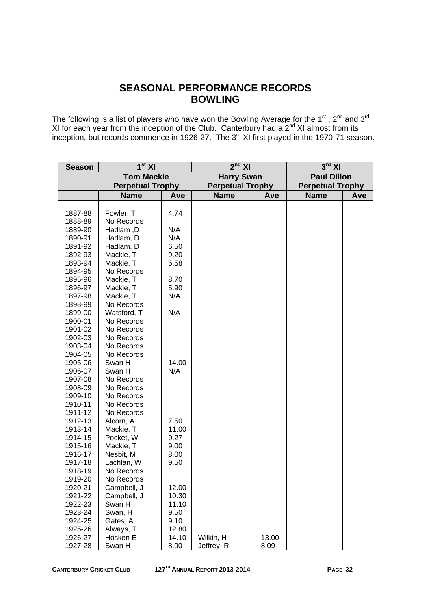## **SEASONAL PERFORMANCE RECORDS BOWLING**

The following is a list of players who have won the Bowling Average for the 1<sup>st</sup>, 2<sup>nd</sup> and 3<sup>rd</sup> XI for each year from the inception of the Club. Canterbury had a  $2^{nd}$  XI almost from its inception, but records commence in 1926-27. The 3<sup>rd</sup> XI first played in the 1970-71 season.

| <b>Season</b>      | $1st$ XI                   |                | $2nd$ XI                |       | $3rd$ XI                |     |  |
|--------------------|----------------------------|----------------|-------------------------|-------|-------------------------|-----|--|
|                    | <b>Tom Mackie</b>          |                | <b>Harry Swan</b>       |       | <b>Paul Dillon</b>      |     |  |
|                    | <b>Perpetual Trophy</b>    |                | <b>Perpetual Trophy</b> |       | <b>Perpetual Trophy</b> |     |  |
|                    | <b>Name</b>                | Ave            | <b>Name</b><br>Ave      |       | <b>Name</b>             | Ave |  |
|                    |                            |                |                         |       |                         |     |  |
| 1887-88            | Fowler, T                  | 4.74           |                         |       |                         |     |  |
| 1888-89            | No Records                 |                |                         |       |                         |     |  |
| 1889-90            | Hadlam, D                  | N/A            |                         |       |                         |     |  |
| 1890-91            | Hadlam, D                  | N/A            |                         |       |                         |     |  |
| 1891-92            | Hadlam, D                  | 6.50           |                         |       |                         |     |  |
| 1892-93            | Mackie, T                  | 9.20           |                         |       |                         |     |  |
| 1893-94            | Mackie, T                  | 6.58           |                         |       |                         |     |  |
| 1894-95            | No Records                 |                |                         |       |                         |     |  |
| 1895-96            | Mackie, T                  | 8.70           |                         |       |                         |     |  |
| 1896-97            | Mackie, T                  | 5.90           |                         |       |                         |     |  |
| 1897-98            | Mackie, T                  | N/A            |                         |       |                         |     |  |
| 1898-99            | No Records                 |                |                         |       |                         |     |  |
| 1899-00            | Watsford, T                | N/A            |                         |       |                         |     |  |
| 1900-01            | No Records                 |                |                         |       |                         |     |  |
| 1901-02            | No Records                 |                |                         |       |                         |     |  |
| 1902-03            | No Records                 |                |                         |       |                         |     |  |
| 1903-04            | No Records                 |                |                         |       |                         |     |  |
| 1904-05            | No Records                 |                |                         |       |                         |     |  |
| 1905-06            | Swan H                     | 14.00          |                         |       |                         |     |  |
| 1906-07            | Swan H                     | N/A            |                         |       |                         |     |  |
| 1907-08            | No Records                 |                |                         |       |                         |     |  |
| 1908-09            | No Records                 |                |                         |       |                         |     |  |
| 1909-10            | No Records                 |                |                         |       |                         |     |  |
| 1910-11            | No Records                 |                |                         |       |                         |     |  |
| 1911-12            | No Records                 |                |                         |       |                         |     |  |
| 1912-13            | Alcorn, A                  | 7.50           |                         |       |                         |     |  |
| 1913-14            | Mackie, T                  | 11.00          |                         |       |                         |     |  |
| 1914-15            | Pocket, W                  | 9.27           |                         |       |                         |     |  |
| 1915-16            | Mackie, T                  | 9.00           |                         |       |                         |     |  |
| 1916-17            | Nesbit, M                  | 8.00           |                         |       |                         |     |  |
| 1917-18            | Lachlan, W                 | 9.50           |                         |       |                         |     |  |
| 1918-19            | No Records                 |                |                         |       |                         |     |  |
| 1919-20            | No Records                 |                |                         |       |                         |     |  |
| 1920-21            | Campbell, J<br>Campbell, J | 12.00          |                         |       |                         |     |  |
| 1921-22<br>1922-23 | Swan H                     | 10.30<br>11.10 |                         |       |                         |     |  |
| 1923-24            | Swan, H                    | 9.50           |                         |       |                         |     |  |
| 1924-25            | Gates, A                   | 9.10           |                         |       |                         |     |  |
| 1925-26            | Always, T                  | 12.80          |                         |       |                         |     |  |
| 1926-27            | Hosken E                   | 14.10          | Wilkin, H               | 13.00 |                         |     |  |
| 1927-28            | Swan H                     | 8.90           | Jeffrey, R              | 8.09  |                         |     |  |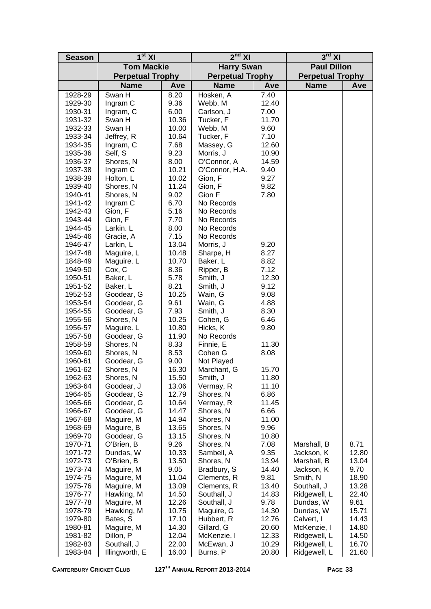| <b>Season</b>      | 1 <sup>st</sup> XI      |               | 2 <sup>nd</sup> XI      |              | $3rd$ XI                  |               |  |
|--------------------|-------------------------|---------------|-------------------------|--------------|---------------------------|---------------|--|
|                    | <b>Tom Mackie</b>       |               | <b>Harry Swan</b>       |              | <b>Paul Dillon</b>        |               |  |
|                    | <b>Perpetual Trophy</b> |               | <b>Perpetual Trophy</b> |              | <b>Perpetual Trophy</b>   |               |  |
|                    | <b>Name</b>             | Ave           | <b>Name</b>             | Ave          | <b>Name</b>               | Ave           |  |
| 1928-29            | Swan H                  | 8.20          | Hosken, A               | 7.40         |                           |               |  |
| 1929-30            | Ingram C                | 9.36          | Webb, M                 | 12.40        |                           |               |  |
| 1930-31            | Ingram, C               | 6.00          | Carlson, J              | 7.00         |                           |               |  |
| 1931-32            | Swan H                  | 10.36         | Tucker, F               | 11.70        |                           |               |  |
| 1932-33            | Swan H                  | 10.00         | Webb, M                 | 9.60         |                           |               |  |
| 1933-34            | Jeffrey, R              | 10.64         | Tucker, F               | 7.10         |                           |               |  |
| 1934-35            | Ingram, C               | 7.68          | Massey, G               | 12.60        |                           |               |  |
| 1935-36            | Self, S                 | 9.23          | Morris, J               | 10.90        |                           |               |  |
| 1936-37            | Shores, N               | 8.00          | O'Connor, A             | 14.59        |                           |               |  |
| 1937-38            | Ingram C                | 10.21         | O'Connor, H.A.          | 9.40         |                           |               |  |
| 1938-39            | Holton, L               | 10.02         | Gion, F                 | 9.27         |                           |               |  |
| 1939-40            | Shores, N               | 11.24         | Gion, F                 | 9.82         |                           |               |  |
| 1940-41            | Shores, N               | 9.02          | Gion F                  | 7.80         |                           |               |  |
| 1941-42            | Ingram C                | 6.70          | No Records              |              |                           |               |  |
| 1942-43            | Gion, F                 | 5.16          | No Records              |              |                           |               |  |
| 1943-44            | Gion, F                 | 7.70          | No Records              |              |                           |               |  |
| 1944-45            | Larkin. L               | 8.00<br>7.15  | No Records              |              |                           |               |  |
| 1945-46<br>1946-47 | Gracie, A<br>Larkin, L  | 13.04         | No Records<br>Morris, J | 9.20         |                           |               |  |
| 1947-48            | Maguire, L              | 10.48         | Sharpe, H               | 8.27         |                           |               |  |
| 1848-49            | Maguire. L              | 10.70         | Baker, L                | 8.82         |                           |               |  |
| 1949-50            | Cox, C                  | 8.36          | Ripper, B               | 7.12         |                           |               |  |
| 1950-51            | Baker, L                | 5.78          | Smith, J                | 12.30        |                           |               |  |
| 1951-52            | Baker, L                | 8.21          | Smith, J                | 9.12         |                           |               |  |
| 1952-53            | Goodear, G              | 10.25         | Wain, G                 | 9.08         |                           |               |  |
| 1953-54            | Goodear, G              | 9.61          | Wain, G                 | 4.88         |                           |               |  |
| 1954-55            | Goodear, G              | 7.93          | Smith, J                | 8.30         |                           |               |  |
| 1955-56            | Shores, N               | 10.25         | Cohen, G                | 6.46         |                           |               |  |
| 1956-57            | Maguire. L              | 10.80         | Hicks, K                | 9.80         |                           |               |  |
| 1957-58            | Goodear, G              | 11.90         | No Records              |              |                           |               |  |
| 1958-59            | Shores, N               | 8.33          | Finnie, E               | 11.30        |                           |               |  |
| 1959-60            | Shores, N               | 8.53          | Cohen G                 | 8.08         |                           |               |  |
| 1960-61            | Goodear, G              | 9.00          | Not Played              |              |                           |               |  |
| 1961-62            | Shores, N               | 16.30         | Marchant, G             | 15.70        |                           |               |  |
| 1962-63            | Shores, N               | 15.50         | Smith, J                | 11.80        |                           |               |  |
| 1963-64            | Goodear, J              | 13.06         | Vermay, R               | 11.10        |                           |               |  |
| 1964-65            | Goodear, G              | 12.79         | Shores, N               | 6.86         |                           |               |  |
| 1965-66            | Goodear, G              | 10.64         | Vermay, R               | 11.45        |                           |               |  |
| 1966-67            | Goodear, G              | 14.47         | Shores, N               | 6.66         |                           |               |  |
| 1967-68            | Maguire, M              | 14.94         | Shores, N               | 11.00        |                           |               |  |
| 1968-69            | Maguire, B              | 13.65         | Shores, N               | 9.96         |                           |               |  |
| 1969-70            | Goodear, G              | 13.15         | Shores, N               | 10.80        |                           |               |  |
| 1970-71<br>1971-72 | O'Brien, B<br>Dundas, W | 9.26<br>10.33 | Shores, N<br>Sambell, A | 7.08<br>9.35 | Marshall, B<br>Jackson, K | 8.71<br>12.80 |  |
| 1972-73            | O'Brien, B              | 13.50         | Shores, N               | 13.94        | Marshall, B               | 13.04         |  |
| 1973-74            | Maguire, M              | 9.05          | Bradbury, S             | 14.40        | Jackson, K                | 9.70          |  |
| 1974-75            | Maguire, M              | 11.04         | Clements, R             | 9.81         | Smith, N                  | 18.90         |  |
| 1975-76            | Maguire, M              | 13.09         | Clements, R             | 13.40        | Southall, J               | 13.28         |  |
| 1976-77            | Hawking, M              | 14.50         | Southall, J             | 14.83        | Ridgewell, L              | 22.40         |  |
| 1977-78            | Maguire, M              | 12.26         | Southall, J             | 9.78         | Dundas, W                 | 9.61          |  |
| 1978-79            | Hawking, M              | 10.75         | Maguire, G              | 14.30        | Dundas, W                 | 15.71         |  |
| 1979-80            | Bates, S                | 17.10         | Hubbert, R              | 12.76        | Calvert, I                | 14.43         |  |
| 1980-81            | Maguire, M              | 14.30         | Gillard, G              | 20.60        | McKenzie, I               | 14.80         |  |
| 1981-82            | Dillon, P               | 12.04         | McKenzie, I             | 12.33        | Ridgewell, L              | 14.50         |  |
| 1982-83            | Southall, J             | 22.00         | McEwan, J               | 10.29        | Ridgewell, L              | 16.70         |  |
| 1983-84            | Illingworth, E          | 16.00         | Burns, P                | 20.80        | Ridgewell, L              | 21.60         |  |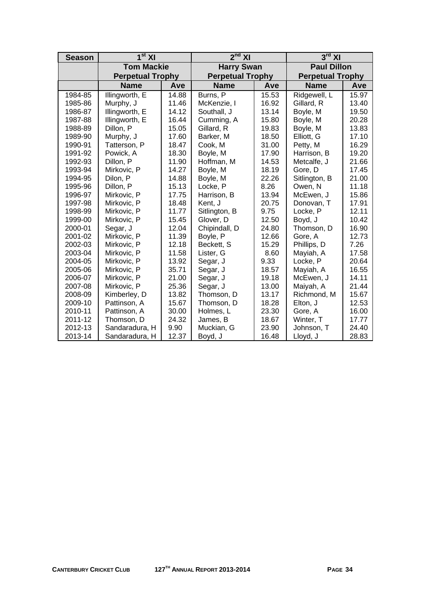| <b>Season</b> | 1 <sup>st</sup> XI      |       | $2nd$ XI                |       | $3rd$ XI                |       |  |
|---------------|-------------------------|-------|-------------------------|-------|-------------------------|-------|--|
|               | <b>Tom Mackie</b>       |       | <b>Harry Swan</b>       |       | <b>Paul Dillon</b>      |       |  |
|               | <b>Perpetual Trophy</b> |       | <b>Perpetual Trophy</b> |       | <b>Perpetual Trophy</b> |       |  |
|               | <b>Name</b>             | Ave   | <b>Name</b>             | Ave   | <b>Name</b>             | Ave   |  |
| 1984-85       | Illingworth, E          | 14.88 | Burns, P                | 15.53 | Ridgewell, L            | 15.97 |  |
| 1985-86       | Murphy, J               | 11.46 | McKenzie, I             | 16.92 | Gillard, R              | 13.40 |  |
| 1986-87       | Illingworth, E          | 14.12 | Southall, J             | 13.14 | Boyle, M                | 19.50 |  |
| 1987-88       | Illingworth, E          | 16.44 | Cumming, A              | 15.80 | Boyle, M                | 20.28 |  |
| 1988-89       | Dillon, P               | 15.05 | Gillard, R              | 19.83 | Boyle, M                | 13.83 |  |
| 1989-90       | Murphy, J               | 17.60 | Barker, M               | 18.50 | Elliott, G              | 17.10 |  |
| 1990-91       | Tatterson, P            | 18.47 | Cook, M                 | 31.00 | Petty, M                | 16.29 |  |
| 1991-92       | Powick, A               | 18.30 | Boyle, M                | 17.90 | Harrison, B             | 19.20 |  |
| 1992-93       | Dillon, P               | 11.90 | Hoffman, M              | 14.53 | Metcalfe, J             | 21.66 |  |
| 1993-94       | Mirkovic, P             | 14.27 | Boyle, M                | 18.19 | Gore, D                 | 17.45 |  |
| 1994-95       | Dilon, P                | 14.88 | Boyle, M                | 22.26 | Sitlington, B           | 21.00 |  |
| 1995-96       | Dillon, P               | 15.13 | Locke, P                | 8.26  | Owen, N                 | 11.18 |  |
| 1996-97       | Mirkovic, P             | 17.75 | Harrison, B             | 13.94 | McEwen, J               | 15.86 |  |
| 1997-98       | Mirkovic, P             | 18.48 | Kent, J                 | 20.75 | Donovan, T              | 17.91 |  |
| 1998-99       | Mirkovic, P             | 11.77 | Sitlington, B           | 9.75  | Locke, P                | 12.11 |  |
| 1999-00       | Mirkovic, P             | 15.45 | Glover, D               | 12.50 | Boyd, J                 | 10.42 |  |
| 2000-01       | Segar, J                | 12.04 | Chipindall, D           | 24.80 | Thomson, D              | 16.90 |  |
| 2001-02       | Mirkovic, P             | 11.39 | Boyle, P                | 12.66 | Gore, A                 | 12.73 |  |
| 2002-03       | Mirkovic, P             | 12.18 | Beckett, S              | 15.29 | Phillips, D             | 7.26  |  |
| 2003-04       | Mirkovic, P             | 11.58 | Lister, G               | 8.60  | Mayiah, A               | 17.58 |  |
| 2004-05       | Mirkovic, P             | 13.92 | Segar, J                | 9.33  | Locke, P                | 20.64 |  |
| 2005-06       | Mirkovic, P             | 35.71 | Segar, J                | 18.57 | Mayiah, A               | 16.55 |  |
| 2006-07       | Mirkovic, P             | 21.00 | Segar, J                | 19.18 | McEwen, J               | 14.11 |  |
| 2007-08       | Mirkovic, P             | 25.36 | Segar, J                | 13.00 | Maiyah, A               | 21.44 |  |
| 2008-09       | Kimberley, D            | 13.82 | Thomson, D              | 13.17 | Richmond, M             | 15.67 |  |
| 2009-10       | Pattinson, A            | 15.67 | Thomson, D              | 18.28 | Elton, J                | 12.53 |  |
| 2010-11       | Pattinson, A            | 30.00 | Holmes, L               | 23.30 | Gore, A                 | 16.00 |  |
| 2011-12       | Thomson, D              | 24.32 | James, B                | 18.67 | Winter, T               | 17.77 |  |
| 2012-13       | Sandaradura, H          | 9.90  | Muckian, G              | 23.90 | Johnson, T              | 24.40 |  |
| 2013-14       | Sandaradura, H          | 12.37 | Boyd, J                 | 16.48 | Lloyd, J                | 28.83 |  |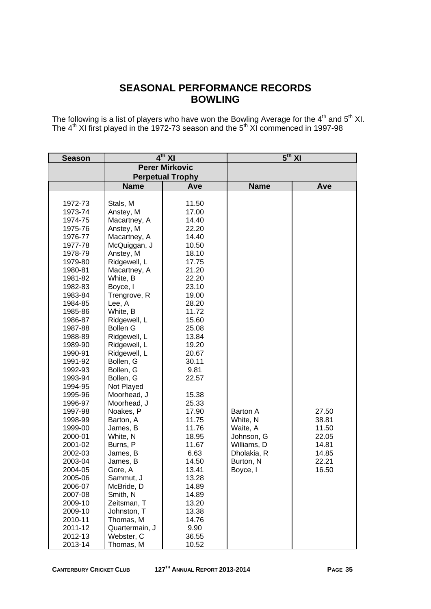## **SEASONAL PERFORMANCE RECORDS BOWLING**

The following is a list of players who have won the Bowling Average for the  $4<sup>th</sup>$  and  $5<sup>th</sup>$  XI. The  $4<sup>th</sup>$  XI first played in the 1972-73 season and the  $5<sup>th</sup>$  XI commenced in 1997-98

| <b>Season</b>      |                             | $4th$ XI              |             | $5th$ XI |
|--------------------|-----------------------------|-----------------------|-------------|----------|
|                    |                             | <b>Perer Mirkovic</b> |             |          |
|                    | <b>Perpetual Trophy</b>     |                       |             |          |
|                    | <b>Name</b>                 | Ave                   | <b>Name</b> | Ave      |
|                    |                             |                       |             |          |
| 1972-73            | Stals, M                    | 11.50                 |             |          |
| 1973-74            | Anstey, M                   | 17.00                 |             |          |
| 1974-75            | Macartney, A                | 14.40                 |             |          |
| 1975-76            | Anstey, M                   | 22.20                 |             |          |
| 1976-77            | Macartney, A                | 14.40                 |             |          |
| 1977-78            | McQuiggan, J                | 10.50                 |             |          |
| 1978-79            | Anstey, M                   | 18.10                 |             |          |
| 1979-80            | Ridgewell, L                | 17.75                 |             |          |
| 1980-81            | Macartney, A                | 21.20                 |             |          |
| 1981-82            | White, B                    | 22.20                 |             |          |
| 1982-83            | Boyce, I                    | 23.10                 |             |          |
| 1983-84            | Trengrove, R                | 19.00                 |             |          |
| 1984-85            | Lee, A                      | 28.20                 |             |          |
| 1985-86            | White, B                    | 11.72                 |             |          |
| 1986-87            | Ridgewell, L                | 15.60                 |             |          |
| 1987-88            | <b>Bollen G</b>             | 25.08                 |             |          |
| 1988-89            | Ridgewell, L                | 13.84                 |             |          |
| 1989-90            | Ridgewell, L                | 19.20                 |             |          |
| 1990-91            | Ridgewell, L                | 20.67                 |             |          |
| 1991-92            | Bollen, G                   | 30.11                 |             |          |
| 1992-93            | Bollen, G                   | 9.81                  |             |          |
| 1993-94            | Bollen, G                   | 22.57                 |             |          |
| 1994-95            | Not Played                  |                       |             |          |
| 1995-96            | Moorhead, J                 | 15.38                 |             |          |
| 1996-97            | Moorhead, J                 | 25.33                 |             |          |
| 1997-98            | Noakes, P                   | 17.90                 | Barton A    | 27.50    |
| 1998-99            | Barton, A                   | 11.75                 | White, N    | 38.81    |
| 1999-00            | James, B                    | 11.76                 | Waite, A    | 11.50    |
| 2000-01            | White, N                    | 18.95                 | Johnson, G  | 22.05    |
| 2001-02            | Burns, P                    | 11.67                 | Williams, D | 14.81    |
| 2002-03            | James, B                    | 6.63                  | Dholakia, R | 14.85    |
| 2003-04            | James, B                    | 14.50                 | Burton, N   | 22.21    |
| 2004-05            | Gore, A                     | 13.41                 | Boyce, I    | 16.50    |
| 2005-06            | Sammut, J                   | 13.28                 |             |          |
| 2006-07            | McBride, D                  | 14.89                 |             |          |
| 2007-08            | Smith, N                    | 14.89                 |             |          |
| 2009-10            | Zeitsman, T                 | 13.20                 |             |          |
| 2009-10            | Johnston, T                 | 13.38                 |             |          |
| 2010-11            | Thomas, M<br>Quartermain, J | 14.76<br>9.90         |             |          |
| 2011-12<br>2012-13 |                             |                       |             |          |
|                    | Webster, C<br>Thomas, M     | 36.55                 |             |          |
| 2013-14            |                             | 10.52                 |             |          |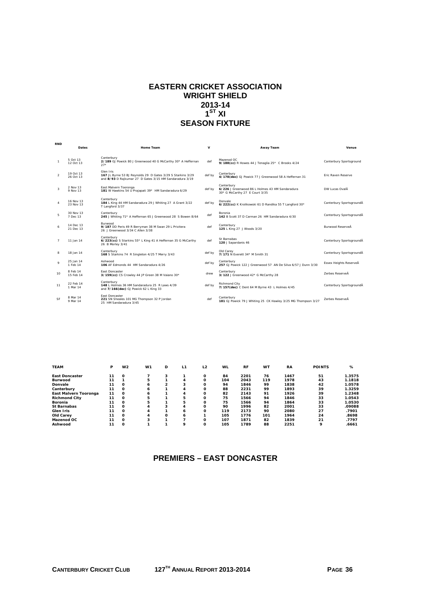#### **EASTERN CRICKET ASSOCIATION WRIGHT SHIELD 2013-14**   $1^{\text{ST}}$  XI **SEASON FIXTURE**

|                | Dates                  | Home Team                                                                                                                           | $\mathbf v$ | Away Team                                                                                       | Venue                     |
|----------------|------------------------|-------------------------------------------------------------------------------------------------------------------------------------|-------------|-------------------------------------------------------------------------------------------------|---------------------------|
|                | 5 Oct 13<br>12 Oct 13  | Canterbury<br>2/189 GJ Powick 80 J Greenwood 40 G McCarthy 30* A Heffernan<br>$27*$                                                 | def         | Mazenod OC<br>9/188(cc) R Howes 44 J Tenaglia 25* C Brooks 4/24                                 | Canterbury Sportsground   |
| $\overline{2}$ | 19 Oct 13<br>26 Oct 13 | Glen Iris<br>167 JL Byrne 53 BJ Reynolds 29 D Gates 3/29 S Starkins 3/29<br>and 8/93 D Rajkumar 27 D Gates 3/15 HM Sandaradura 3/19 | def by      | Canterbury<br>4/178(dec) GJ Powick 77 J Greenwood 58 A Heffernan 31                             | <b>Fric Raven Reserve</b> |
| $\mathbf{3}$   | 2 Nov 13<br>9 Nov 13   | East Malvern Tooronga<br>181 W Hawkins 54 U Prajapati 39* HM Sandaradura 6/29                                                       | def by      | Canterbury<br>6/226 J Greenwood 86 L Holmes 43 HM Sandaradura<br>30* G McCarthy 27 E Court 3/35 | DW Lucas OvalĂ            |
| $\overline{4}$ | 16 Nov 13<br>23 Nov 13 | Canterbury<br>184 L King 44 HM Sandaradura 29 J Whiting 27 A Grant 3/22<br>T Langford 3/37                                          | def by      | Donvale<br>6/222(cc) K Krolikowski 61 D Randika 55 T Langford 30*                               | Canterbury SportsgroundA  |
| 5              | 30 Nov 13<br>7 Dec 13  | Canterbury<br>245 J Whiting 71* A Heffernan 65 J Greenwood 28 S Bowen 8/64                                                          | def         | Boronia<br>142 B Scott 37 D Carman 26 HM Sandaradura 4/30                                       | Canterbury SportsgroundA  |
| 6              | 14 Dec 13<br>21 Dec 13 | Burwood<br>9/187 DD Peris 49 R Berryman 38 M Swan 29 L Privitera<br>26 J Greenwood 3/34 C Allen 3/38                                | def         | Canterbury<br>125 L King 27 J Woods 3/20                                                        | <b>Burwood ReserveĂ</b>   |
| $\overline{7}$ | 11 Jan 14              | Canterbury<br>6/223(cc) S Starkins 55* L King 41 A Heffernan 35 G McCarthy<br>26 B Morley 3/41                                      | def         | St Barnabas<br>120 J Sapardanis 46                                                              | Canterbury SportsgroundA  |
| 8              | 18 Jan 14              | Canterbury<br>168 S Starkins 74 R Singleton 4/25 T Merry 3/43                                                                       | def by      | Old Carev<br>7/171 N Everett 34* M Smith 31                                                     | Canterbury SportsgroundA  |
| $\mathbf Q$    | 25 Jan 14<br>1 Feb 14  | Ashwood<br>106 AF Edmonds 44 HM Sandaradura 4/26                                                                                    | def by      | Canterbury<br>257 GJ Powick 122 J Greenwood 57 AN De Silva 6/57 J Dunn 3/30                     | Essex Heights ReserveĂ    |
| 10             | 8 Feb 14<br>15 Feb 14  | <b>East Doncaster</b><br>3/159(cc) CS Crowley 44 JP Green 38 M Valano 30*                                                           | drew        | Canterbury<br>3/122 J Greenwood 42* G McCarthy 28                                               | <b>Zerbes ReserveĂ</b>    |
| 11             | 22 Feb 14<br>1 Mar 14  | Canterbury<br>148 L Holmes 36 HM Sandaradura 25 R Laws 4/39<br>and 7/166(dec) GJ Powick 62 L King 33                                | def by      | <b>Richmond City</b><br>7/157(dec) C Dent 64 M Byrne 43 L Holmes 4/45                           | Canterbury SportsgroundA  |
| SF             | 8 Mar 14<br>9 Mar 14   | East Doncaster<br>221 SN Sheales 101 MG Thompson 32 P Jordan<br>25 HM Sandaradura 3/45                                              | def         | Canterbury<br>181 GJ Powick 79 J Whiting 25 CK Hawley 3/25 MG Thompson 3/27                     | Zerbes ReserveÅ           |

| <b>TEAM</b>           | P  | W <sub>2</sub> | W <sub>1</sub> | D              | L1 | L <sub>2</sub> | <b>WL</b> | <b>RF</b> | <b>WT</b> | <b>RA</b> | <b>POINTS</b> | %      |
|-----------------------|----|----------------|----------------|----------------|----|----------------|-----------|-----------|-----------|-----------|---------------|--------|
| <b>East Doncaster</b> | 11 | $\Omega$       |                |                |    | O              | 84        | 2201      | 76        | 1467      | 51            | 1.3575 |
| <b>Burwood</b>        | 11 |                | 5              |                | 4  | $\Omega$       | 104       | 2043      | 119       | 1978      | 43            | 1.1818 |
| Donvale               | 11 | $\Omega$       | 6              | $\mathfrak{p}$ | 3  | O              | 94        | 1846      | 99        | 1838      | 42            | 1.0578 |
| Canterbury            | 11 | $\Omega$       | 6              |                | 4  | Ω              | 88        | 2231      | 99        | 1893      | 39            | 1.3259 |
| East Malvern Tooronga | 11 | Ω              | 6              |                | 4  | O              | 82        | 2143      | 91        | 1926      | 39            | 1.2348 |
| <b>Richmond City</b>  | 11 | $\Omega$       | 5              |                | 5  | O              | 75        | 1566      | 94        | 1846      | 33            | 1.0543 |
| <b>Boronia</b>        | 11 | $\Omega$       | 5              |                | 5  | Ω              | 75        | 1566      | 94        | 1864      | 33            | 1.0530 |
| <b>St Barnabas</b>    | 11 | $\Omega$       | 4              | 3              | 4  | $\Omega$       | 90        | 1996      | 82        | 2001      | 33            | .09088 |
| Glen Iris             | 11 | $\Omega$       | 4              |                | 6  | O              | 119       | 2173      | 90        | 2080      | 27            | .7901  |
| Old Carev             | 11 | $\Omega$       | 4              | O              | ь  |                | 105       | 1776      | 101       | 1964      | 24            | .8698  |
| Mazenod OC            | 11 | $\Omega$       |                |                |    | O              | 107       | 1871      | 82        | 1839      | 21            | .7797  |
| Ashwood               | 11 | $\Omega$       |                |                | 9  | $\Omega$       | 105       | 1789      | 88        | 2251      | 9             | .6661  |

#### **PREMIERS – EAST DONCASTER**

**RND**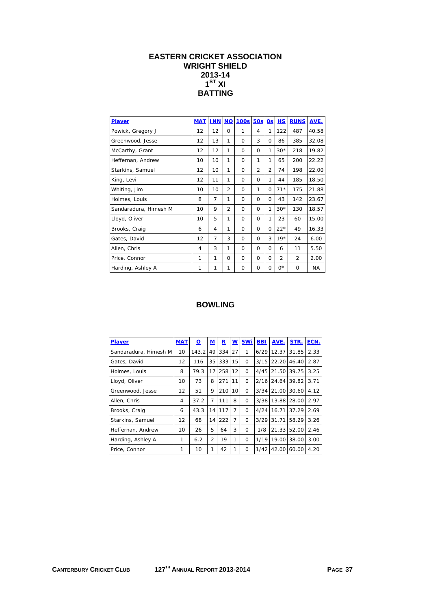## **EASTERN CRICKET ASSOCIATION WRIGHT SHIELD 2013-14**   $\overline{1}^{\text{ST}}$  XI **BATTING**

| <b>Player</b>         | <b>MAT</b> | <b>INN</b>     | <b>NO</b>      | <b>100s</b> | <b>50s</b>     | 0s           | <b>HS</b>      | <b>RUNS</b>    | AVE.      |
|-----------------------|------------|----------------|----------------|-------------|----------------|--------------|----------------|----------------|-----------|
| Powick, Gregory J     | 12         | 12             | $\Omega$       | 1           | 4              | 1            | 122            | 487            | 40.58     |
| Greenwood, Jesse      | 12         | 13             | 1              | $\Omega$    | 3              | 0            | 86             | 385            | 32.08     |
| McCarthy, Grant       | 12         | 12             | 1              | 0           | $\Omega$       | 1            | $30*$          | 218            | 19.82     |
| Heffernan, Andrew     | 10         | 10             | 1              | $\Omega$    | 1              | 1            | 65             | 200            | 22.22     |
| Starkins, Samuel      | 12         | 10             | 1              | $\Omega$    | $\overline{2}$ | 2            | 74             | 198            | 22.00     |
| King, Levi            | 12         | 11             | 1              | $\Omega$    | $\Omega$       | 1            | 44             | 185            | 18.50     |
| Whiting, Jim          | 10         | 10             | $\overline{2}$ | $\Omega$    | 1              | 0            | $71*$          | 175            | 21.88     |
| Holmes, Louis         | 8          | 7              | 1              | $\Omega$    | $\Omega$       | 0            | 43             | 142            | 23.67     |
| Sandaradura, Himesh M | 10         | 9              | $\mathfrak{D}$ | $\Omega$    | $\Omega$       | 1            | $30*$          | 130            | 18.57     |
| Lloyd, Oliver         | 10         | 5              | 1              | $\Omega$    | $\Omega$       | 1            | 23             | 60             | 15.00     |
| Brooks, Craig         | 6          | 4              | 1              | $\Omega$    | $\Omega$       | $\Omega$     | $22*$          | 49             | 16.33     |
| Gates, David          | 12         | $\overline{7}$ | 3              | $\Omega$    | $\Omega$       | 3            | $19*$          | 24             | 6.00      |
| Allen, Chris          | 4          | 3              | 1              | $\Omega$    | $\Omega$       | <sup>0</sup> | 6              | 11             | 5.50      |
| Price, Connor         | 1          | 1              | $\Omega$       | $\Omega$    | $\Omega$       | 0            | $\overline{2}$ | $\overline{2}$ | 2.00      |
| Harding, Ashley A     | 1          | 1              | 1              | $\Omega$    | O              | 0            | $0^*$          | $\Omega$       | <b>NA</b> |

| <b>Player</b>         | <b>MAT</b>   | <u>0</u> | ${\bf M}$      | $\mathbf R$ | W  | 5Wi      | <b>BBI</b> | AVE.  | STR.  | ECN. |
|-----------------------|--------------|----------|----------------|-------------|----|----------|------------|-------|-------|------|
| Sandaradura, Himesh M | 10           | 143.2    | 49             | 334         | 27 | 1        | 6/29       | 12.37 | 31.85 | 2.33 |
| Gates, David          | 12           | 116      | 35             | 333         | 15 | $\Omega$ | 3/15       | 22.20 | 46.40 | 2.87 |
| Holmes, Louis         | 8            | 79.3     | 17             | 258         | 12 | $\Omega$ | 4/45       | 21.50 | 39.75 | 3.25 |
| Lloyd, Oliver         | 10           | 73       | 8              | 271         | 11 | $\Omega$ | 2/16       | 24.64 | 39.82 | 3.71 |
| Greenwood, Jesse      | 12           | 51       | 9              | 210         | 10 | $\Omega$ | 3/34       | 21.00 | 30.60 | 4.12 |
| Allen, Chris          | 4            | 37.2     | 7              | 111         | 8  | 0        | 3/38       | 13.88 | 28.00 | 2.97 |
| Brooks, Craig         | 6            | 43.3     | 14             | 117         | 7  | $\Omega$ | 4/24       | 16.71 | 37.29 | 2.69 |
| Starkins, Samuel      | 12           | 68       | 14             | 222         | 7  | $\Omega$ | 3/29       | 31.71 | 58.29 | 3.26 |
| Heffernan, Andrew     | 10           | 26       | 5              | 64          | 3  | $\Omega$ | 1/8        | 21.33 | 52.00 | 2.46 |
| Harding, Ashley A     | $\mathbf{1}$ | 6.2      | $\overline{2}$ | 19          | 1  | $\Omega$ | 1/19       | 19.00 | 38.00 | 3.00 |
| Price, Connor         | 1            | 10       | 1              | 42          | 1  | $\Omega$ | 1/42       | 42.00 | 60.00 | 4.20 |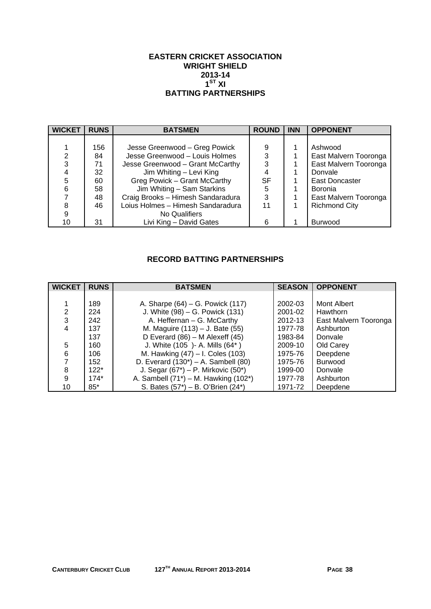#### **EASTERN CRICKET ASSOCIATION WRIGHT SHIELD 2013-14**   $\overline{1}^{\text{ST}}$  XI **BATTING PARTNERSHIPS**

| <b>WICKET</b> | <b>RUNS</b> | <b>BATSMEN</b>                    | <b>ROUND</b> | <b>INN</b> | <b>OPPONENT</b>       |
|---------------|-------------|-----------------------------------|--------------|------------|-----------------------|
|               |             |                                   |              |            |                       |
|               | 156         | Jesse Greenwood - Greg Powick     | 9            |            | Ashwood               |
| 2             | 84          | Jesse Greenwood - Louis Holmes    | 3            |            | East Malvern Tooronga |
| 3             | 71          | Jesse Greenwood - Grant McCarthy  | 3            |            | East Malvern Tooronga |
|               | 32          | Jim Whiting - Levi King           |              |            | Donvale               |
| 5             | 60          | Greg Powick - Grant McCarthy      | <b>SF</b>    |            | East Doncaster        |
| 6             | 58          | Jim Whiting - Sam Starkins        | 5            |            | Boronia               |
|               | 48          | Craig Brooks - Himesh Sandaradura | 3            |            | East Malvern Tooronga |
| 8             | 46          | Loius Holmes - Himesh Sandaradura | 11           |            | <b>Richmond City</b>  |
| 9             |             | No Qualifiers                     |              |            |                       |
| 10            | 31          | Livi King - David Gates           | 6            |            | <b>Burwood</b>        |

# **RECORD BATTING PARTNERSHIPS**

| <b>WICKET</b> | <b>RUNS</b> | <b>BATSMEN</b>                             | <b>SEASON</b> | <b>OPPONENT</b>       |
|---------------|-------------|--------------------------------------------|---------------|-----------------------|
|               |             |                                            |               |                       |
|               | 189         | A. Sharpe (64) – G. Powick (117)           | 2002-03       | Mont Albert           |
| 2             | 224         | J. White (98) – G. Powick (131)            | 2001-02       | Hawthorn              |
| 3             | 242         | A. Heffernan - G. McCarthy                 | 2012-13       | East Malvern Tooronga |
| 4             | 137         | M. Maguire (113) – J. Bate (55)            | 1977-78       | Ashburton             |
|               | 137         | D Everard $(86)$ – M Alexeff $(45)$        | 1983-84       | Donvale               |
| 5             | 160         | J. White (105 )- A. Mills (64*)            | 2009-10       | Old Carey             |
| 6             | 106         | M. Hawking (47) - I. Coles (103)           | 1975-76       | Deepdene              |
| 7             | 152         | D. Everard $(130^*)$ – A. Sambell $(80)$   | 1975-76       | <b>Burwood</b>        |
| 8             | $122*$      | J. Segar $(67^*)$ – P. Mirkovic $(50^*)$   | 1999-00       | Donvale               |
| 9             | $174*$      | A. Sambell $(71^*)$ – M. Hawking $(102^*)$ | 1977-78       | Ashburton             |
| 10            | $85*$       | S. Bates (57*) - B. O'Brien (24*)          | 1971-72       | Deepdene              |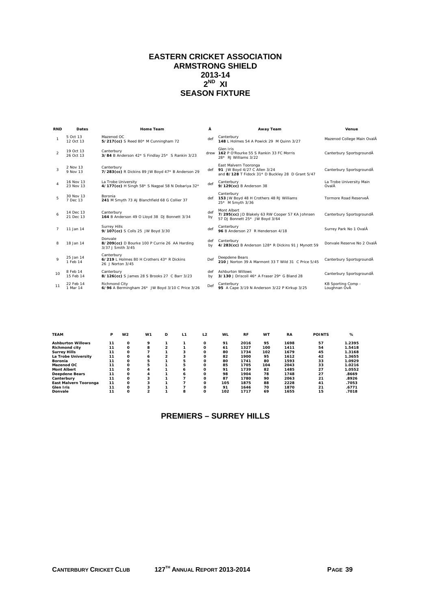## **EASTERN CRICKET ASSOCIATION ARMSTRONG SHIELD 2013-14**   $2^{ND}$  XI **SEASON FIXTURE**

| <b>RND</b>     | <b>Dates</b>           | <b>Home Team</b>                                                              | Â         | Away Team                                                                                                 | Venue                              |
|----------------|------------------------|-------------------------------------------------------------------------------|-----------|-----------------------------------------------------------------------------------------------------------|------------------------------------|
|                | 5 Oct 13<br>12 Oct 13  | Mazenod OC<br>5/217(cc) S Reed 80* M Cunningham 72                            | def       | Canterbury<br>148 L Holmes 54 A Powick 29 M Quinn 3/27                                                    | Mazenod College Main OvalÂ         |
| $\overline{a}$ | 19 Oct 13<br>26 Oct 13 | Canterbury<br>3/84 B Anderson 42* S Findlay 25* S Rankin 3/23                 |           | Glen Iris<br>drew 162 P O'Rourke 55 S Rankin 33 FC Morris<br>28* RJ Williams 3/22                         | Canterbury SportsgroundA           |
| 3              | 2 Nov 13<br>9 Nov 13   | Canterbury<br>7/283(cc) R Dickins 89 JW Boyd 47* B Anderson 29                | def       | East Malvern Tooronga<br>91 JW Boyd 4/27 C Allen 3/24<br>and 8/128 T Fidock 31* D Buckley 28 D Grant 5/47 | Canterbury SportsgroundA           |
| 4              | 16 Nov 13<br>23 Nov 13 | La Trobe University<br>4/177(cc) H Singh 58* S Nagpal 58 N Dobariya 32*       | def       | Canterbury<br>9/129(cc) B Anderson 38                                                                     | La Trobe University Main<br>OvalÂ  |
| 5              | 30 Nov 13<br>7 Dec 13  | Boronia<br>241 M Smyth 73 AJ Blanchfield 68 G Collier 37                      | def       | Canterbury<br>153 JW Boyd 48 H Crothers 48 RJ Williams<br>25* M Smyth 3/36                                | Tormore Road ReserveÅ              |
| 6              | 14 Dec 13<br>21 Dec 13 | Canterbury<br>164 B Anderson 49 O Lloyd 38 DJ Bonnett 3/34                    | def<br>by | Mont Albert<br>7/295(cc) JD Blakely 63 RW Cooper 57 KA Johnsen<br>57 DJ Bonnett 25* JW Boyd 3/64          | Canterbury SportsgroundÅ           |
| $\overline{7}$ | 11 Jan 14              | <b>Surrey Hills</b><br>9/107(cc) S Colls 25 JW Boyd 3/30                      | def       | Canterbury<br>96 B Anderson 27 R Henderson 4/18                                                           | Surrey Park No 1 OvalÂ             |
| 8              | 18 Jan 14              | Donvale<br>8/209(cc) D Bourke 100 P Currie 26 AA Harding<br>3/37 J Smith 3/45 | def<br>bv | Canterbury<br>4/283(cc) B Anderson 128* R Dickins 91 J Mynott 59                                          | Donvale Reserve No 2 OvalÂ         |
|                | 25 Jan 14<br>1 Feb 14  | Canterbury<br>6/219 L Holmes 80 H Crothers 43* R Dickins<br>26 J Norton 3/45  | Def       | Deepdene Bears<br>210 J Norton 39 A Marmont 33 T Wild 31 C Price 5/45                                     | Canterbury SportsgroundÅ           |
| 10             | 8 Feb 14<br>15 Feb 14  | Canterbury<br>8/126(cc) S James 28 S Brooks 27 C Barr 3/23                    | def<br>bv | <b>Ashburton Willows</b><br>3/130 J Driscoll 46* A Fraser 29* G Bland 28                                  | Canterbury SportsgroundA           |
| 11             | 22 Feb 14<br>1 Mar 14  | <b>Richmond City</b><br>6/96 A Bermingham 26* JW Boyd 3/10 C Price 3/26       | Def       | Canterbury<br>95 A Cape 3/19 N Anderson 3/22 P Kirkup 3/25                                                | KB Sporting Comp -<br>Loughnan OvÂ |

| <b>TEAM</b>              | P  | W <sub>2</sub> | W <sub>1</sub> | D              | L1 | L <sub>2</sub> | <b>WL</b> | <b>RF</b> | <b>WT</b> | <b>RA</b> | <b>POINTS</b> | %      |
|--------------------------|----|----------------|----------------|----------------|----|----------------|-----------|-----------|-----------|-----------|---------------|--------|
| <b>Ashburton Willows</b> | 11 | 0              | 9              |                |    | O              | 91        | 2016      | 95        | 1698      | 57            | 1.2395 |
| <b>Richmond city</b>     | 11 | 0              | 8              |                |    |                | 61        | 1327      | 100       | 1411      | 54            | 1.5418 |
| <b>Surrey Hills</b>      | 11 | 0              |                |                | 3  | Ω              | 80        | 1734      | 102       | 1679      | 45            | 1.3168 |
| La Trobe University      | 11 | 0              | 6              | $\overline{2}$ | 3  | o              | 82        | 1900      | 95        | 1612      | 42            | 1.3655 |
| <b>Boronia</b>           | 11 | O              | 5              |                |    | 0              | 80        | 1741      | 80        | 1593      | 33            | 1.0929 |
| Mazenod OC               | 11 | 0              | 5              |                | 5  |                | 85        | 1705      | 104       | 2043      | 33            | 1.0216 |
| <b>Mont Albert</b>       | 11 | O              | 4              |                | 6  | $\Omega$       | 91        | 1739      | 82        | 1485      | 27            | 1.0552 |
| <b>Deepdene Bears</b>    | 11 | O              | 4              |                | 6  | Ω              | 98        | 1904      | 78        | 1748      | 27            | .8669  |
| Canterbury               | 11 | 0              | 3              |                |    |                | 87        | 1780      | 90        | 2063      | 21            | .8926  |
| East Malvern Tooronga    | 11 | O              | 3              |                |    | n              | 105       | 1875      | 88        | 2228      | 41            | .7053  |
| Glen Iris                | 11 | $\Omega$       | 3              |                |    |                | 91        | 1646      | 70        | 1870      | 21            | .6771  |
| Donvale                  | 11 | 0              | <u>ົ</u>       |                | 8  | $\Omega$       | 102       | 1717      | 69        | 1655      | 15            | .7018  |

# **PREMIERS – SURREY HILLS**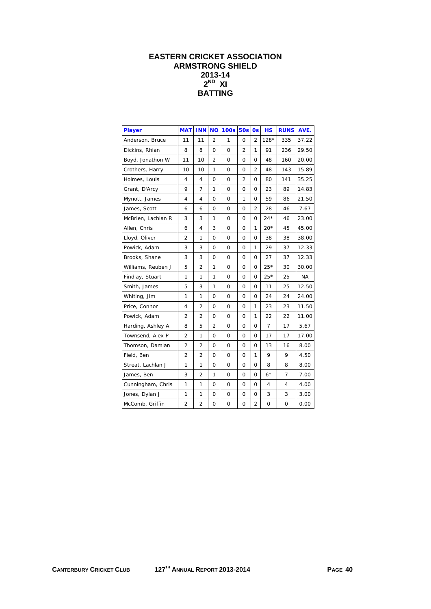# **EASTERN CRICKET ASSOCIATION ARMSTRONG SHIELD 2013-14 2ND XI BATTING**

| Player             | <b>MAT</b>     | <b>INN</b>     | <b>NO</b>      | 100s     | <b>50s</b>     | 0s             | НS     | <b>RUNS</b> | AVE.      |
|--------------------|----------------|----------------|----------------|----------|----------------|----------------|--------|-------------|-----------|
| Anderson, Bruce    | 11             | 11             | $\overline{2}$ | 1        | $\Omega$       | $\overline{2}$ | $128*$ | 335         | 37.22     |
| Dickins, Rhian     | 8              | 8              | 0              | 0        | $\overline{2}$ | 1              | 91     | 236         | 29.50     |
| Boyd, Jonathon W   | 11             | 10             | 2              | 0        | 0              | 0              | 48     | 160         | 20.00     |
| Crothers, Harry    | 10             | 10             | 1              | 0        | 0              | 2              | 48     | 143         | 15.89     |
| Holmes, Louis      | 4              | 4              | 0              | 0        | 2              | 0              | 80     | 141         | 35.25     |
| Grant, D'Arcy      | 9              | $\overline{7}$ | 1              | 0        | 0              | 0              | 23     | 89          | 14.83     |
| Mynott, James      | 4              | 4              | 0              | 0        | 1              | 0              | 59     | 86          | 21.50     |
| James, Scott       | 6              | 6              | 0              | 0        | 0              | $\overline{2}$ | 28     | 46          | 7.67      |
| McBrien, Lachlan R | 3              | 3              | 1              | 0        | 0              | 0              | $24*$  | 46          | 23.00     |
| Allen, Chris       | 6              | 4              | 3              | 0        | 0              | 1              | $20*$  | 45          | 45.00     |
| Lloyd, Oliver      | $\overline{2}$ | 1              | $\Omega$       | 0        | 0              | O              | 38     | 38          | 38.00     |
| Powick, Adam       | 3              | 3              | 0              | 0        | 0              | 1              | 29     | 37          | 12.33     |
| Brooks, Shane      | 3              | 3              | 0              | 0        | 0              | 0              | 27     | 37          | 12.33     |
| Williams, Reuben J | 5              | $\overline{2}$ | 1              | 0        | 0              | 0              | $25*$  | 30          | 30.00     |
| Findlay, Stuart    | 1              | 1              | 1              | 0        | 0              | 0              | $25*$  | 25          | <b>NA</b> |
| Smith, James       | 5              | 3              | 1              | $\Omega$ | $\Omega$       | O              | 11     | 25          | 12.50     |
| Whiting, Jim       | 1              | 1              | 0              | 0        | 0              | 0              | 24     | 24          | 24.00     |
| Price, Connor      | 4              | $\overline{2}$ | 0              | 0        | 0              | 1              | 23     | 23          | 11.50     |
| Powick, Adam       | $\overline{2}$ | $\overline{2}$ | 0              | 0        | 0              | 1              | 22     | 22          | 11.00     |
| Harding, Ashley A  | 8              | 5              | 2              | 0        | 0              | 0              | 7      | 17          | 5.67      |
| Townsend, Alex P   | $\overline{2}$ | 1              | $\Omega$       | 0        | $\Omega$       | O              | 17     | 17          | 17.00     |
| Thomson, Damian    | $\overline{2}$ | $\overline{2}$ | 0              | 0        | 0              | 0              | 13     | 16          | 8.00      |
| Field, Ben         | $\overline{2}$ | 2              | 0              | 0        | 0              | 1              | 9      | 9           | 4.50      |
| Streat, Lachlan J  | 1              | 1              | 0              | 0        | 0              | 0              | 8      | 8           | 8.00      |
| James, Ben         | 3              | $\overline{2}$ | 1              | 0        | 0              | O              | $6*$   | 7           | 7.00      |
| Cunningham, Chris  | 1              | $\mathbf{1}$   | 0              | 0        | $\mathbf 0$    | $\Omega$       | 4      | 4           | 4.00      |
| Jones, Dylan J     | 1              | 1              | 0              | 0        | 0              | 0              | 3      | 3           | 3.00      |
| McComb, Griffin    | $\overline{2}$ | $\overline{2}$ | 0              | 0        | 0              | $\overline{2}$ | 0      | 0           | 0.00      |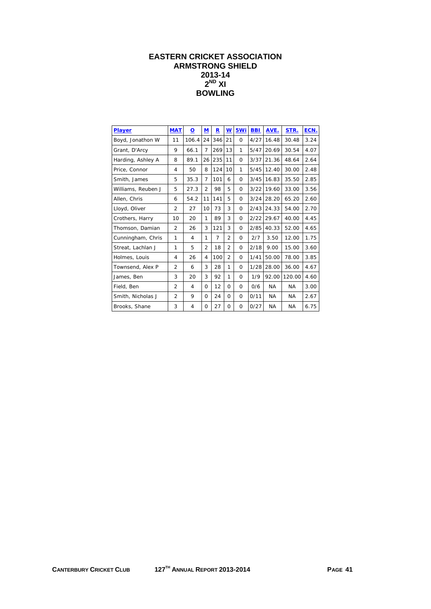# **EASTERN CRICKET ASSOCIATION ARMSTRONG SHIELD 2013-14**   $2^{ND}$  XI **BOWLING**

| Player             | <b>MAT</b>     | $\Omega$ | M              | $\overline{\mathbf{R}}$ | $\underline{\mathsf{w}}$ | 5Wi      | <b>BBI</b> | AVE.      | STR.      | ECN. |
|--------------------|----------------|----------|----------------|-------------------------|--------------------------|----------|------------|-----------|-----------|------|
| Boyd, Jonathon W   | 11             | 106.4    | 24             | 346                     | 21                       | $\Omega$ | 4/27       | 16.48     | 30.48     | 3.24 |
| Grant, D'Arcy      | 9              | 66.1     | $\overline{7}$ | 269                     | 13                       | 1        | 5/47       | 20.69     | 30.54     | 4.07 |
| Harding, Ashley A  | 8              | 89.1     | 26             | 235                     | 11                       | $\Omega$ | 3/37       | 21.36     | 48.64     | 2.64 |
| Price, Connor      | 4              | 50       | 8              | 124                     | 10                       | 1        | 5/45       | 12.40     | 30.00     | 2.48 |
| Smith, James       | 5              | 35.3     | $\overline{7}$ | 101                     | 6                        | $\Omega$ | 3/45       | 16.83     | 35.50     | 2.85 |
| Williams, Reuben J | 5              | 27.3     | $\overline{2}$ | 98                      | 5                        | 0        | 3/22       | 19.60     | 33.00     | 3.56 |
| Allen, Chris       | 6              | 54.2     | 11             | 141                     | 5                        | $\Omega$ | 3/24       | 28.20     | 65.20     | 2.60 |
| Lloyd, Oliver      | $\overline{2}$ | 27       | 10             | 73                      | 3                        | $\Omega$ | 2/43       | 24.33     | 54.00     | 2.70 |
| Crothers, Harry    | 10             | 20       | $\mathbf{1}$   | 89                      | 3                        | $\Omega$ | 2/22       | 29.67     | 40.00     | 4.45 |
| Thomson, Damian    | $\overline{2}$ | 26       | 3              | 121                     | 3                        | $\Omega$ | 2/85       | 40.33     | 52.00     | 4.65 |
| Cunningham, Chris  | 1              | 4        | 1              | $\overline{7}$          | $\overline{2}$           | $\Omega$ | 2/7        | 3.50      | 12.00     | 1.75 |
| Streat, Lachlan J  | 1              | 5        | $\overline{2}$ | 18                      | $\overline{2}$           | $\Omega$ | 2/18       | 9.00      | 15.00     | 3.60 |
| Holmes, Louis      | 4              | 26       | 4              | 100                     | $\overline{2}$           | $\Omega$ | 1/41       | 50.00     | 78.00     | 3.85 |
| Townsend, Alex P   | $\overline{2}$ | 6        | 3              | 28                      | 1                        | $\Omega$ | 1/28       | 28.00     | 36.00     | 4.67 |
| James, Ben         | 3              | 20       | 3              | 92                      | 1                        | $\Omega$ | 1/9        | 92.00     | 120.00    | 4.60 |
| Field, Ben         | $\overline{2}$ | 4        | 0              | 12                      | 0                        | 0        | 0/6        | <b>NA</b> | <b>NA</b> | 3.00 |
| Smith, Nicholas J  | $\overline{2}$ | 9        | $\Omega$       | 24                      | $\Omega$                 | $\Omega$ | 0/11       | <b>NA</b> | <b>NA</b> | 2.67 |
| Brooks, Shane      | 3              | 4        | $\Omega$       | 27                      | $\Omega$                 | $\Omega$ | 0/27       | NA.       | <b>NA</b> | 6.75 |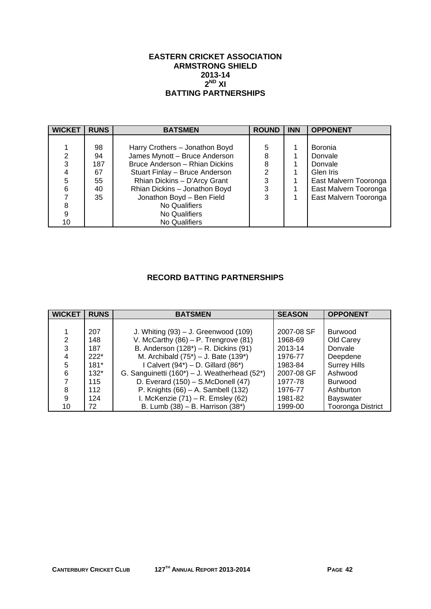## **EASTERN CRICKET ASSOCIATION ARMSTRONG SHIELD 2013-14**   $2^{ND}$  XI **BATTING PARTNERSHIPS**

| <b>WICKET</b> | <b>RUNS</b> | <b>BATSMEN</b>                 | <b>ROUND</b>   | <b>INN</b> | <b>OPPONENT</b>       |
|---------------|-------------|--------------------------------|----------------|------------|-----------------------|
|               |             |                                |                |            |                       |
|               | 98          | Harry Crothers - Jonathon Boyd | 5              |            | <b>Boronia</b>        |
| 2             | 94          | James Mynott - Bruce Anderson  | 8              |            | Donvale               |
| 3             | 187         | Bruce Anderson - Rhian Dickins | 8              |            | Donvale               |
|               | 67          | Stuart Finlay - Bruce Anderson | $\overline{2}$ |            | Glen Iris             |
| 5             | 55          | Rhian Dickins - D'Arcy Grant   | 3              |            | East Malvern Tooronga |
| 6             | 40          | Rhian Dickins - Jonathon Boyd  | 3              |            | East Malvern Tooronga |
|               | 35          | Jonathon Boyd - Ben Field      | 3              |            | East Malvern Tooronga |
| 8             |             | No Qualifiers                  |                |            |                       |
| 9             |             | No Qualifiers                  |                |            |                       |
| 10            |             | No Qualifiers                  |                |            |                       |

# **RECORD BATTING PARTNERSHIPS**

| <b>WICKET</b> | <b>RUNS</b> | <b>BATSMEN</b>                               | <b>SEASON</b> | <b>OPPONENT</b>          |
|---------------|-------------|----------------------------------------------|---------------|--------------------------|
|               |             |                                              |               |                          |
|               | 207         | J. Whiting $(93) - J$ . Greenwood $(109)$    | 2007-08 SF    | <b>Burwood</b>           |
| 2             | 148         | V. McCarthy $(86)$ – P. Trengrove $(81)$     | 1968-69       | Old Carey                |
| 3             | 187         | B. Anderson (128*) - R. Dickins (91)         | 2013-14       | Donvale                  |
|               | $222*$      | M. Archibald $(75^*)$ – J. Bate $(139^*)$    | 1976-77       | Deepdene                 |
| 5             | $181*$      | I Calvert $(94^*)$ – D. Gillard $(86^*)$     | 1983-84       | <b>Surrey Hills</b>      |
| 6             | $132*$      | G. Sanguinetti (160*) - J. Weatherhead (52*) | 2007-08 GF    | Ashwood                  |
|               | 115         | D. Everard $(150)$ – S.McDonell $(47)$       | 1977-78       | <b>Burwood</b>           |
| 8             | 112         | P. Knights $(66)$ – A. Sambell $(132)$       | 1976-77       | Ashburton                |
| 9             | 124         | I. McKenzie $(71)$ – R. Emsley $(62)$        | 1981-82       | <b>Bayswater</b>         |
| 10            | 72          | B. Lumb $(38) - B$ . Harrison $(38^*)$       | 1999-00       | <b>Tooronga District</b> |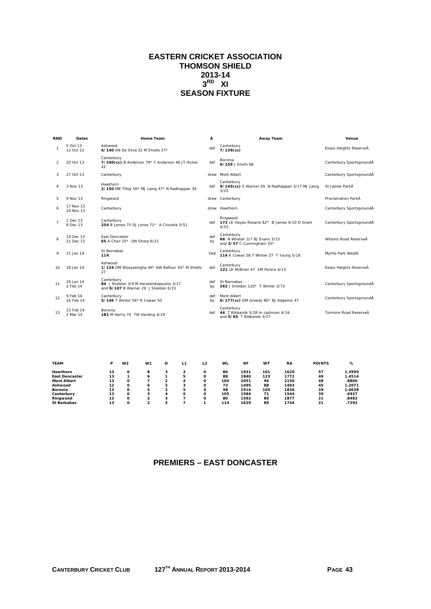## **EASTERN CRICKET ASSOCIATION THOMSON SHIELD 2013-14**   $3<sup>RD</sup>$  XI **SEASON FIXTURE**

| <b>RND</b>     | Dates                  | Home Team                                                                                     | Â         | Away Team                                                                       | Venue                    |
|----------------|------------------------|-----------------------------------------------------------------------------------------------|-----------|---------------------------------------------------------------------------------|--------------------------|
| $\mathbf{1}$   | 5 Oct 13<br>12 Oct 13  | Ashwood<br>6/140 AN De Silva 32 M Shiells 27*                                                 | def       | Canterbury<br>$7/139$ (cc)                                                      | Essex Heights ReserveÂ   |
| 2              | 20 Oct 13              | Canterbury<br>7/240(cc) B Anderson 70* T Anderson 46 JT Hickie<br>42                          | def       | <b>Boronia</b><br>6/159 J Smith 68                                              | Canterbury SportsgroundÂ |
| 3              | 27 Oct 13              | Canterbury                                                                                    |           | drew Mont Albert                                                                | Canterbury SportsgroundÂ |
| 4              | 3 Nov 13               | Hawthorn<br>2/150 MB Tilley 50* MJ Laing 47* N Radhappan 39                                   |           | Canterbury<br>def 9/145(cc) S Warner 65 N Radhappan 3/17 MJ Laing<br>3/25       | St James ParkÅ           |
| 5              | 9 Nov 13               | Ringwood                                                                                      |           | drew Canterbury                                                                 | Proclamation ParkÂ       |
| 6              | 17 Nov 13<br>24 Nov 13 | Canterbury                                                                                    |           | drew Hawthorn                                                                   | Canterbury SportsgroundÂ |
| $\overline{7}$ | 1 Dec 13<br>8 Dec 13   | Canterbury<br>254 B James 75 DJ Jones 71* A Cincotta 5/51                                     |           | Ringwood<br>def 172 LK Hayes-Rosario 82* B James 4/10 D Grant<br>4/55           | Canterbury SportsgroundÂ |
| 8              | 14 Dec 13<br>21 Dec 13 | East Doncaster<br>65 A Chan 25* ON Sharp 6/21                                                 | def<br>by | Canterbury<br>66 N Whelan 3/7 BJ Evans 3/15<br>and 3/57 C Cunningham 33*        | Wilsons Road ReserveÅ    |
| 9              | 11 Jan 14              | St Barnabas<br>114                                                                            | tied      | Canterbury<br>114 K Cowan 58 T Winter 27 T Young 5/18                           | Myrtle Park WestÂ        |
| 10             | 18 Jan 14              | Ashwood<br>1/124 DM Wijayasingha 46* AW Balfour 43* M Shiells<br>27                           | def       | Canterbury<br>121 I R McBrien 47 SM Perera 4/13                                 | Essex Heights ReserveÂ   |
| 11             | 26 Jan 14<br>2 Feb 14  | Canterbury<br>84 J Sheldon 3/9 M Haralambopoulos 3/17<br>and 9/107 B Warner 29 J Sheldon 6/23 | def<br>bv | St Barnabas<br>262 J Sheldon 120* T Winter 3/73                                 | Canterbury SportsgroundÂ |
| 12             | 9 Feb 14<br>16 Feb 14  | Canterbury<br>5/146 T Winter 56* K Cowan 50                                                   | def<br>bv | Mont Albert<br>6/177(cc) DM Greedy 80* NJ Adgemis 47                            | Canterbury SportsgroundÂ |
| 13             | 23 Feb 14<br>2 Mar 14  | Boronia<br>181 M Harris 70 TW Harding 4/19                                                    |           | Canterbury<br>def 46 T Ribbands 5/28 m cashman 4/16<br>and 5/65 T Ribbands 3/27 | Tormore Road ReserveÅ    |
|                |                        |                                                                                               |           |                                                                                 |                          |

| <b>TEAM</b>           | P  | W <sub>2</sub> | W1 | D | L1 | L <sub>2</sub> | WL  | <b>RF</b> | <b>WT</b> | <b>RA</b> | <b>POINTS</b> | %      |
|-----------------------|----|----------------|----|---|----|----------------|-----|-----------|-----------|-----------|---------------|--------|
| Hawthorn              | 13 | Ο              | 8  |   |    | Ω              | 86  | 1931      | 101       | 1620      | 57            | 1.3999 |
| <b>East Doncaster</b> | 13 |                | 6  |   | 5  | $\Omega$       | 88  | 1840      | 123       | 1772      | 49            | 1.4514 |
| <b>Mont Albert</b>    | 13 | о              |    |   | 4  | Ω              | 104 | 2051      | 96        | 2150      | 48            | .8806  |
| Ashwood               | 12 | о              | 6  |   | 3  | Ω              | 73  | 1495      | 88        | 1493      | 45            | 1.2071 |
| <b>Boronia</b>        | 13 | Ο              | 5  |   | 5  | Ω              | 98  | 1914      | 100       | 1836      | 39            | 1.0638 |
| Canterbury            | 13 | Ο              | 3  | 4 | 6  | Ω              | 105 | 1584      | 71        | 1544      | 30            | .6937  |
| Ringwood              | 12 | Ω              | ຳ  |   |    | $\Omega$       | 80  | 1592      | 80        | 1877      | 21            | .8482  |
| <b>St Barbabas</b>    | 13 | Ο              | ີ  |   |    |                | 114 | 1629      | 89        | 1744      | 21            | .7292  |

# **PREMIERS – EAST DONCASTER**

**CANTERBURY CRICKET CLUB 127TH ANNUAL REPORT 2013-2014 PAGE 43**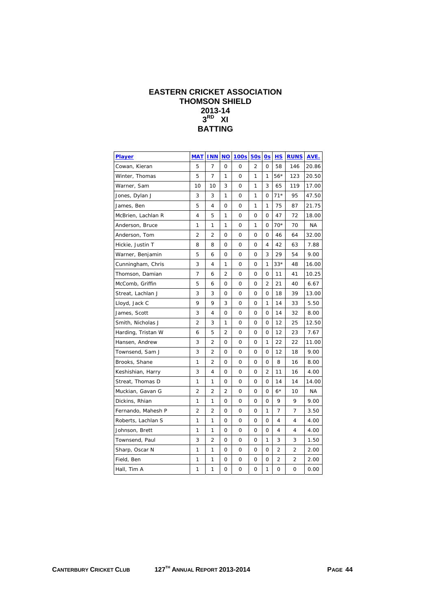# **EASTERN CRICKET ASSOCIATION THOMSON SHIELD 2013-14 3RD XI BATTING**

| <b>Player</b>      | <b>MAT</b>     | <b>INN</b>     | <b>NO</b>      | <b>100s</b> | 50s            | 0s             | H.S   | <b>RUNS</b> | AVE.  |
|--------------------|----------------|----------------|----------------|-------------|----------------|----------------|-------|-------------|-------|
| Cowan, Kieran      | 5              | 7              | $\mathbf 0$    | 0           | $\overline{2}$ | $\mathbf{O}$   | 58    | 146         | 20.86 |
| Winter, Thomas     | 5              | $\overline{7}$ | 1              | 0           | 1              | 1              | 56*   | 123         | 20.50 |
| Warner, Sam        | 10             | 10             | 3              | 0           | 1              | 3              | 65    | 119         | 17.00 |
| Jones, Dylan J     | 3              | 3              | 1              | 0           | 1              | 0              | $71*$ | 95          | 47.50 |
| James, Ben         | 5              | 4              | $\Omega$       | $\Omega$    | 1              | 1              | 75    | 87          | 21.75 |
| McBrien, Lachlan R | 4              | 5              | 1              | 0           | 0              | 0              | 47    | 72          | 18.00 |
| Anderson, Bruce    | 1              | 1              | 1              | 0           | 1              | 0              | $70*$ | 70          | NA    |
| Anderson, Tom      | $\overline{2}$ | $\overline{c}$ | 0              | 0           | 0              | $\mathbf 0$    | 46    | 64          | 32.00 |
| Hickie, Justin T   | 8              | 8              | 0              | 0           | 0              | 4              | 42    | 63          | 7.88  |
| Warner, Benjamin   | 5              | 6              | 0              | 0           | 0              | 3              | 29    | 54          | 9.00  |
| Cunningham, Chris  | 3              | 4              | 1              | 0           | 0              | 1              | $33*$ | 48          | 16.00 |
| Thomson, Damian    | 7              | 6              | 2              | 0           | 0              | 0              | 11    | 41          | 10.25 |
| McComb, Griffin    | 5              | 6              | $\mathbf 0$    | 0           | 0              | $\overline{2}$ | 21    | 40          | 6.67  |
| Streat, Lachlan J  | 3              | 3              | 0              | 0           | 0              | 0              | 18    | 39          | 13.00 |
| Lloyd, Jack C      | 9              | 9              | 3              | 0           | 0              | 1              | 14    | 33          | 5.50  |
| James, Scott       | 3              | 4              | 0              | 0           | 0              | 0              | 14    | 32          | 8.00  |
| Smith, Nicholas J  | $\overline{2}$ | 3              | 1              | 0           | 0              | 0              | 12    | 25          | 12.50 |
| Harding, Tristan W | 6              | 5              | 2              | 0           | 0              | 0              | 12    | 23          | 7.67  |
| Hansen, Andrew     | 3              | 2              | 0              | 0           | $\mathbf 0$    | 1              | 22    | 22          | 11.00 |
| Townsend, Sam J    | 3              | 2              | 0              | 0           | 0              | 0              | 12    | 18          | 9.00  |
| Brooks, Shane      | 1              | 2              | 0              | 0           | 0              | 0              | 8     | 16          | 8.00  |
| Keshishian, Harry  | 3              | 4              | 0              | 0           | 0              | $\overline{2}$ | 11    | 16          | 4.00  |
| Streat, Thomas D   | 1              | 1              | 0              | 0           | 0              | 0              | 14    | 14          | 14.00 |
| Muckian, Gavan G   | $\overline{2}$ | $\overline{2}$ | $\overline{2}$ | 0           | 0              | 0              | $6*$  | 10          | NA    |
| Dickins, Rhian     | 1              | 1              | 0              | 0           | 0              | 0              | 9     | 9           | 9.00  |
| Fernando, Mahesh P | 2              | 2              | 0              | 0           | 0              | 1              | 7     | 7           | 3.50  |
| Roberts, Lachlan S | 1              | 1              | 0              | 0           | 0              | O              | 4     | 4           | 4.00  |
| Johnson, Brett     | 1              | 1              | 0              | 0           | 0              | 0              | 4     | 4           | 4.00  |
| Townsend, Paul     | 3              | 2              | 0              | 0           | 0              | 1              | 3     | 3           | 1.50  |
| Sharp, Oscar N     | 1              | 1              | 0              | 0           | 0              | 0              | 2     | 2           | 2.00  |
| Field, Ben         | 1              | 1              | 0              | 0           | 0              | 0              | 2     | 2           | 2.00  |
| Hall, Tim A        | 1              | 1              | 0              | 0           | 0              | 1              | 0     | 0           | 0.00  |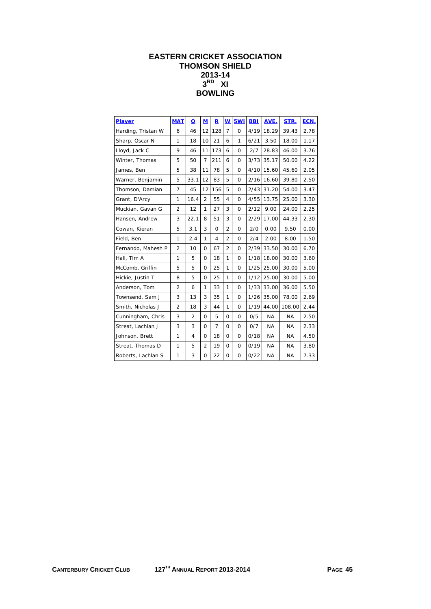# **EASTERN CRICKET ASSOCIATION THOMSON SHIELD 2013-14 3RD XI BOWLING**

| Player             | <b>MAT</b>     | O              | M              | R              | W              | 5Wi          | <b>BBI</b> | AVE.      | STR.      | ECN. |
|--------------------|----------------|----------------|----------------|----------------|----------------|--------------|------------|-----------|-----------|------|
| Harding, Tristan W | 6              | 46             | 12             | 128            | $\overline{7}$ | $\Omega$     | 4/19       | 18.29     | 39.43     | 2.78 |
| Sharp, Oscar N     | 1              | 18             | 10             | 21             | 6              | 1            | 6/21       | 3.50      | 18.00     | 1.17 |
| Lloyd, Jack C      | 9              | 46             | 11             | 173            | 6              | $\mathbf{O}$ | 2/7        | 28.83     | 46.00     | 3.76 |
| Winter, Thomas     | 5              | 50             | $\overline{7}$ | 211            | 6              | $\mathbf{O}$ | 3/73       | 35.17     | 50.00     | 4.22 |
| James, Ben         | 5              | 38             | 11             | 78             | 5              | $\Omega$     | 4/10       | 15.60     | 45.60     | 2.05 |
| Warner, Benjamin   | 5              | 33.1           | 12             | 83             | 5              | $\Omega$     | 2/16       | 16.60     | 39.80     | 2.50 |
| Thomson, Damian    | $\overline{7}$ | 45             | 12             | 156            | 5              | $\Omega$     | 2/43       | 31.20     | 54.00     | 3.47 |
| Grant, D'Arcy      | $\mathbf{1}$   | 16.4           | $\overline{2}$ | 55             | 4              | $\mathbf{O}$ | 4/55       | 13.75     | 25.00     | 3.30 |
| Muckian, Gavan G   | 2              | 12             | 1              | 27             | 3              | $\Omega$     | 2/12       | 9.00      | 24.00     | 2.25 |
| Hansen, Andrew     | 3              | 22.1           | 8              | 51             | 3              | $\mathbf{O}$ | 2/29       | 17.00     | 44.33     | 2.30 |
| Cowan, Kieran      | 5              | 3.1            | 3              | $\mathbf 0$    | $\overline{2}$ | $\mathbf{O}$ | 2/0        | 0.00      | 9.50      | 0.00 |
| Field, Ben         | $\mathbf{1}$   | 2.4            | 1              | 4              | $\overline{2}$ | $\Omega$     | 2/4        | 2.00      | 8.00      | 1.50 |
| Fernando, Mahesh P | 2              | 10             | $\Omega$       | 67             | 2              | 0            | 2/39       | 33.50     | 30.00     | 6.70 |
| Hall, Tim A        | 1              | 5              | $\Omega$       | 18             | 1              | 0            | 1/18       | 18.00     | 30.00     | 3.60 |
| McComb, Griffin    | 5              | 5              | 0              | 25             | 1              | 0            | 1/25       | 25.00     | 30.00     | 5.00 |
| Hickie, Justin T   | 8              | 5              | $\Omega$       | 25             | 1              | 0            | 1/12       | 25.00     | 30.00     | 5.00 |
| Anderson, Tom      | $\overline{2}$ | 6              | $\mathbf{1}$   | 33             | 1              | 0            | 1/33       | 33.00     | 36.00     | 5.50 |
| Townsend, Sam J    | 3              | 13             | 3              | 35             | 1              | 0            | 1/26       | 35.00     | 78.00     | 2.69 |
| Smith, Nicholas J  | $\overline{2}$ | 18             | 3              | 44             | 1              | 0            | 1/19       | 44.00     | 108.00    | 2.44 |
| Cunningham, Chris  | 3              | $\overline{2}$ | $\Omega$       | 5              | 0              | 0            | 0/5        | <b>NA</b> | <b>NA</b> | 2.50 |
| Streat, Lachlan J  | 3              | 3              | 0              | $\overline{7}$ | $\Omega$       | $\Omega$     | 0/7        | <b>NA</b> | <b>NA</b> | 2.33 |
| Johnson, Brett     | $\mathbf{1}$   | $\overline{4}$ | $\Omega$       | 18             | 0              | $\Omega$     | 0/18       | <b>NA</b> | NA        | 4.50 |
| Streat, Thomas D   | $\mathbf{1}$   | 5              | $\overline{2}$ | 19             | 0              | $\mathbf{O}$ | 0/19       | <b>NA</b> | ΝA        | 3.80 |
| Roberts, Lachlan S | 1              | 3              | 0              | 22             | 0              | $\mathbf{O}$ | 0/22       | <b>NA</b> | ΝA        | 7.33 |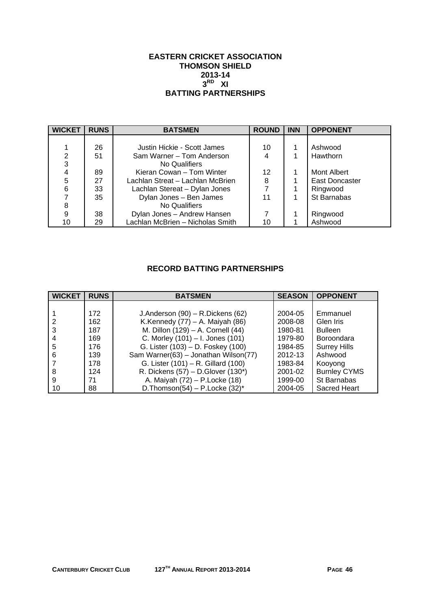#### **EASTERN CRICKET ASSOCIATION THOMSON SHIELD 2013-14**   $3<sup>RD</sup>$  XI **BATTING PARTNERSHIPS**

| <b>WICKET</b> | <b>RUNS</b> | <b>BATSMEN</b>                   | <b>ROUND</b> | <b>INN</b> | <b>OPPONENT</b>       |
|---------------|-------------|----------------------------------|--------------|------------|-----------------------|
|               |             |                                  |              |            |                       |
|               | 26          | Justin Hickie - Scott James      | 10           |            | Ashwood               |
| 2             | 51          | Sam Warner - Tom Anderson        | 4            |            | Hawthorn              |
| 3             |             | No Qualifiers                    |              |            |                       |
| 4             | 89          | Kieran Cowan - Tom Winter        | 12           |            | Mont Albert           |
| 5             | 27          | Lachlan Streat - Lachlan McBrien | 8            |            | <b>East Doncaster</b> |
| 6             | 33          | Lachlan Stereat - Dylan Jones    |              |            | Ringwood              |
|               | 35          | Dylan Jones - Ben James          | 11           |            | St Barnabas           |
| 8             |             | No Qualifiers                    |              |            |                       |
| 9             | 38          | Dylan Jones - Andrew Hansen      |              |            | Ringwood              |
| 10            | 29          | Lachlan McBrien - Nicholas Smith | 10           |            | Ashwood               |

# **RECORD BATTING PARTNERSHIPS**

| <b>WICKET</b> | <b>RUNS</b> | <b>BATSMEN</b>                       | <b>SEASON</b> | <b>OPPONENT</b>     |
|---------------|-------------|--------------------------------------|---------------|---------------------|
|               |             |                                      |               |                     |
|               | 172         | J.Anderson (90) - R.Dickens (62)     | 2004-05       | Emmanuel            |
|               | 162         | K.Kennedy $(77)$ – A. Maiyah $(86)$  | 2008-08       | Glen Iris           |
|               | 187         | M. Dillon (129) - A. Cornell (44)    | 1980-81       | <b>Bulleen</b>      |
|               | 169         | C. Morley (101) - I. Jones (101)     | 1979-80       | Boroondara          |
| 5             | 176         | G. Lister (103) - D. Foskey (100)    | 1984-85       | <b>Surrey Hills</b> |
| 6             | 139         | Sam Warner(63) - Jonathan Wilson(77) | 2012-13       | Ashwood             |
|               | 178         | G. Lister (101) - R. Gillard (100)   | 1983-84       | Kooyong             |
| 8             | 124         | R. Dickens (57) - D. Glover (130*)   | 2001-02       | <b>Burnley CYMS</b> |
| 9             | 71          | A. Maiyah (72) - P. Locke (18)       | 1999-00       | St Barnabas         |
| 10            | 88          | D. Thomson(54) – P. Locke $(32)^*$   | 2004-05       | Sacred Heart        |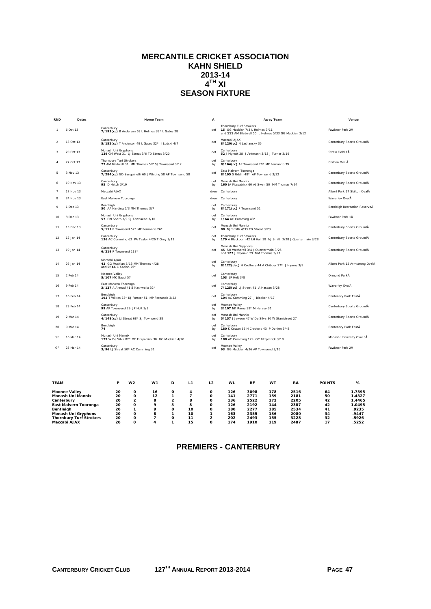## **MERCANTILE CRICKET ASSOCIATION KAHN SHIELD 2013-14**   $4^{TH}$  XI **SEASON FIXTURE**

| <b>RND</b>     | Dates     | Home Team                                                                   | Ā         | Away Team                                                                                                          | Venue                          |
|----------------|-----------|-----------------------------------------------------------------------------|-----------|--------------------------------------------------------------------------------------------------------------------|--------------------------------|
| -1             | 6 Oct 13  | Canterbury<br>7/193(cc) B Anderson 63 L Holmes 39* L Gates 28               | def       | Thornbury Turf Strokers<br>15 GG Muckian 7/3 L Holmes 3/11<br>and 111 AM Bladwell 50 L Holmes 5/33 GG Muckian 3/12 | Fawkner Park 2Å                |
| $\overline{2}$ | 13 Oct 13 | Canterbury<br>5/152(cc) T Anderson 49 L Gates 32* I Ludski 4/7              | def       | Maccabi AJAX<br>8/120(cc) N Lashansky 35                                                                           | Canterbury Sports GroundĂ      |
| 3              | 20 Oct 13 | Monash Uni Gryphons<br>129 CM West 31 LJ Streat 3/6 TD Streat 3/20          | def       | Canterbury<br>52 J Mynott 28 J Antmann 3/13 J Turner 3/19                                                          | Straw Field 1Å                 |
| $\overline{A}$ | 27 Oct 13 | Thornbury Turf Strokers<br>77 AM Bladwell 31 MM Thomas 5/2 SJ Townsend 3/12 | def<br>by | Canterbury<br>8/164(cc) AP Townsend 70* MP Fernando 39                                                             | Corben OvalĂ                   |
| 5              | 3 Nov 13  | Canterbury<br>7/284(cc) GD Sanguinetti 60 J Whiting 58 AP Townsend 58       | def       | East Malvern Tooronga<br>8/195 S Uddin 48* AP Townsend 3/32                                                        | Canterbury Sports GroundÅ      |
| 6              | 10 Nov 13 | Canterbury<br>95 D Hatch 3/19                                               | def<br>by | Monash Uni Mannix<br>160 JA Fitzpatrick 60 AJ Swan 50 MM Thomas 7/24                                               | Canterbury Sports GroundĂ      |
| $\overline{7}$ | 17 Nov 13 | Maccabi AJAX                                                                | drew      | Canterbury                                                                                                         | Albert Park 17 Skilton OvalĂ   |
| 8              | 24 Nov 13 | East Malvern Tooronga                                                       | drew      | Canterbury                                                                                                         | Waverley OvalĂ                 |
| 9              | 1 Dec 13  | Bentleigh<br>50 AA Harding 5/3 MM Thomas 3/7                                | def<br>by | Canterbury<br>8/171(cc) P Townsend 51                                                                              | Bentleigh Recreation ReserveÅ  |
| 10             | 8 Dec 13  | Monash Uni Gryphons<br>57 ON Sharp 3/9 SJ Townsend 3/10                     | def<br>by | Canterbury<br>1/64 AC Cumming 43*                                                                                  | Fawkner Park 1Å                |
| 11             | 15 Dec 13 | Canterbury<br>5/111 P Townsend 57* MP Fernando 26*                          | def       | Monash Uni Mannix<br>88 NJ Smith 4/33 TD Streat 3/23                                                               | Canterbury Sports GroundĂ      |
| 12             | 12 Jan 14 | Canterbury<br>136 AC Cumming 63 PA Taylor 4/26 T Grey 3/13                  | def<br>by | Thornbury Turf Strokers<br>179 A Blackburn 42 LH Hall 38 NJ Smith 3/28 J Quartermain 3/28                          | Canterbury Sports GroundÅ      |
| 13             | 19 Jan 14 | Canterbury<br>6/219 P Townsend 118*                                         | def       | Monash Uni Gryphons<br>45 SH Wetherall 3/4 J Quartermain 3/25<br>and 127 J Reynald 29 MM Thomas 3/27               | Canterbury Sports GroundÅ      |
| 14             | 26 Jan 14 | Maccabi AJAX<br>42 GG Muckian 5/13 MM Thomas 4/28<br>and 0/46 C Kadish 25*  | def<br>by | Canterbury<br>8/122(dec) H Crothers 44 A Chibber 27* J Hyams 3/9                                                   | Albert Park 12 Armstrong OvalĂ |
| 15             | 2 Feb 14  | Moonee Valley<br>5/107 MK Gauci 57                                          | def       | Canterbury<br>103 JP Holt 3/8                                                                                      | Ormond ParkÅ                   |
| 16             | 9 Feb 14  | East Malvern Tooronga<br>3/127 A Ahmad 41 S Kachwalla 32*                   | def       | Canterbury<br>7/125(cc) LJ Streat 41 A Hassan 3/28                                                                 | Waverley OvalĂ                 |
| 17             | 16 Feb 14 | Bentleigh<br>192 T Wilkes 73* KJ Forster 51 MP Fernando 3/22                | def       | Canterbury<br>104 AC Cumming 27 J Blacker 4/17                                                                     | Centenary Park EastĂ           |
| 18             | 23 Feb 14 | Canterbury<br>99 AP Townsend 29 JP Holt 3/3                                 | def<br>by | Moonee Valley<br>3/107 NK Rama 38* M Harvey 31                                                                     | Canterbury Sports GroundĂ      |
| 19             | 2 Mar 14  | Canterbury<br>4/148(cc) LJ Streat 68* SJ Townsend 38                        | def<br>bv | Monash Uni Mannix<br>5/157 J Jewson 47 W De Silva 30 W Stanistreet 27                                              | Canterbury Sports GroundÅ      |
| 20             | 9 Mar 14  | Bentleigh<br>74                                                             | def<br>by | Canterbury<br>180 K Cowan 65 H Crothers 43 P Donlen 3/48                                                           | Centenary Park EastĂ           |
| SF             | 16 Mar 14 | Monash Uni Mannix<br>179 W De Silva 82* OC Fitzpatrick 30 GG Muckian 4/20   | def<br>bv | Canterbury<br>188 AC Cumming 129 OC Fitzpatrick 3/18                                                               | Monash University Oval 3Å      |
| GF             | 23 Mar 14 | Canterbury<br>3/96 LJ Streat 50* AC Cumming 31                              | def       | Moonee Valley<br>93 GG Muckian 4/26 AP Townsend 3/16                                                               | Fawkner Park 2Å                |

| <b>TEAM</b>                    | Р  | W2 | W <sub>1</sub> | D | L1 | L <sub>2</sub> | <b>WL</b> | <b>RF</b> | <b>WT</b> | <b>RA</b> | <b>POINTS</b> | %      |
|--------------------------------|----|----|----------------|---|----|----------------|-----------|-----------|-----------|-----------|---------------|--------|
| <b>Moonee Valley</b>           | 20 |    | 16             | Ω |    |                | 126       | 3098      | 178       | 2516      | 64            | 1.7395 |
| <b>Monash Uni Mannix</b>       | 20 |    | 12             |   |    |                | 141       | 2771      | 159       | 2181      | 50            | 1.4327 |
| Canterbury                     | 20 |    | 8              |   | 8  |                | 136       | 2522      | 172       | 2205      | 42            | 1.4465 |
| East Malvern Tooronga          | 20 |    | ۰              | 3 | 8  |                | 126       | 2192      | 144       | 2387      | 42            | 1.0495 |
| <b>Bentleigh</b>               | 20 |    | ۰              | Ω | 10 |                | 180       | 2277      | 185       | 2534      | 41            | .9235  |
| <b>Monash Uni Gryphons</b>     | 20 |    | 8              |   | 10 |                | 163       | 2355      | 136       | 2080      | 34            | .9447  |
| <b>Thornbury Turf Strokers</b> | 20 |    |                | Ω | 11 |                | 202       | 2493      | 155       | 3228      | 32            | .5926  |
| <b>Maccabi AJAX</b>            | 20 |    | 4              |   | 15 |                | 174       | 1910      | 119       | 2487      | 17            | .5252  |

# **PREMIERS - CANTERBURY**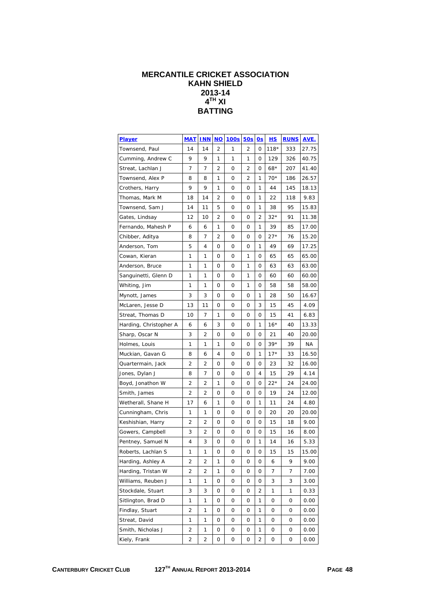# **MERCANTILE CRICKET ASSOCIATION KAHN SHIELD 2013-14 4TH XI BATTING**

| <b>Player</b>          | <b>MAT</b>     | <b>INN</b>     | $NO$ | 100s | 50s | 0s | <u>HS</u> | <b>RUNS</b> | AVE.  |
|------------------------|----------------|----------------|------|------|-----|----|-----------|-------------|-------|
| Townsend, Paul         | 14             | 14             | 2    | 1    | 2   | 0  | $118*$    | 333         | 27.75 |
| Cumming, Andrew C      | 9              | 9              | 1    | 1    | 1   | 0  | 129       | 326         | 40.75 |
| Streat, Lachlan J      | 7              | 7              | 2    | 0    | 2   | 0  | $68*$     | 207         | 41.40 |
| Townsend, Alex P       | 8              | 8              | 1    | 0    | 2   | 1  | $70*$     | 186         | 26.57 |
| Crothers, Harry        | 9              | 9              | 1    | 0    | 0   | 1  | 44        | 145         | 18.13 |
| Thomas, Mark M         | 18             | 14             | 2    | 0    | 0   | 1  | 22        | 118         | 9.83  |
| Townsend, Sam J        | 14             | 11             | 5    | 0    | 0   | 1  | 38        | 95          | 15.83 |
| Gates, Lindsay         | 12             | 10             | 2    | 0    | 0   | 2  | $32*$     | 91          | 11.38 |
| Fernando, Mahesh P     | 6              | 6              | 1    | 0    | 0   | 1  | 39        | 85          | 17.00 |
| Chibber, Aditya        | 8              | 7              | 2    | 0    | 0   | 0  | $27*$     | 76          | 15.20 |
| Anderson, Tom          | 5              | 4              | 0    | 0    | 0   | 1  | 49        | 69          | 17.25 |
| Cowan, Kieran          | 1              | 1              | 0    | 0    | 1   | 0  | 65        | 65          | 65.00 |
| Anderson, Bruce        | 1              | 1              | 0    | 0    | 1   | 0  | 63        | 63          | 63.00 |
| Sanguinetti, Glenn D   | 1              | 1              | 0    | 0    | 1   | 0  | 60        | 60          | 60.00 |
| Whiting, Jim           | 1              | 1              | 0    | 0    | 1   | 0  | 58        | 58          | 58.00 |
| Mynott, James          | 3              | 3              | 0    | 0    | 0   | 1  | 28        | 50          | 16.67 |
| McLaren, Jesse D       | 13             | 11             | 0    | 0    | 0   | 3  | 15        | 45          | 4.09  |
| Streat, Thomas D       | 10             | 7              | 1    | 0    | 0   | 0  | 15        | 41          | 6.83  |
| Harding, Christopher A | 6              | 6              | 3    | 0    | 0   | 1  | 16*       | 40          | 13.33 |
| Sharp, Oscar N         | 3              | 2              | 0    | 0    | 0   | 0  | 21        | 40          | 20.00 |
| Holmes, Louis          | 1              | 1              | 1    | 0    | 0   | 0  | $39*$     | 39          | ΝA    |
| Muckian, Gavan G       | 8              | 6              | 4    | 0    | 0   | 1  | $17*$     | 33          | 16.50 |
| Quartermain, Jack      | 2              | 2              | 0    | 0    | 0   | 0  | 23        | 32          | 16.00 |
| Jones, Dylan J         | 8              | 7              | 0    | 0    | 0   | 4  | 15        | 29          | 4.14  |
| Boyd, Jonathon W       | $\overline{2}$ | 2              | 1    | 0    | 0   | 0  | $22*$     | 24          | 24.00 |
| Smith, James           | $\overline{2}$ | 2              | 0    | 0    | 0   | 0  | 19        | 24          | 12.00 |
| Wetherall, Shane H     | 17             | 6              | 1    | 0    | 0   | 1  | 11        | 24          | 4.80  |
| Cunningham, Chris      | 1              | 1              | 0    | 0    | 0   | 0  | 20        | 20          | 20.00 |
| Keshishian, Harry      | 2              | 2              | 0    | 0    | 0   | 0  | 15        | 18          | 9.00  |
| Gowers, Campbell       | 3              | 2              | 0    | 0    | 0   | 0  | 15        | 16          | 8.00  |
| Pentney, Samuel N      | 4              | 3              | 0    | 0    | 0   | 1  | 14        | 16          | 5.33  |
| Roberts, Lachlan S     | 1              | 1              | 0    | 0    | 0   | 0  | 15        | 15          | 15.00 |
| Harding, Ashley A      | $\overline{2}$ | 2              | 1    | 0    | 0   | 0  | 6         | 9           | 9.00  |
| Harding, Tristan W     | 2              | 2              | 1    | 0    | 0   | 0  | 7         | 7           | 7.00  |
| Williams, Reuben J     | 1              | 1              | 0    | 0    | 0   | 0  | 3         | 3           | 3.00  |
| Stockdale, Stuart      | 3              | 3              | 0    | 0    | 0   | 2  | 1         | 1           | 0.33  |
| Sitlington, Brad D     | 1              | 1              | 0    | 0    | 0   | 1  | 0         | 0           | 0.00  |
| Findlay, Stuart        | 2              | 1              | 0    | 0    | 0   | 1  | 0         | 0           | 0.00  |
| Streat, David          | 1              | 1              | 0    | 0    | 0   | 1  | 0         | 0           | 0.00  |
| Smith, Nicholas J      | $\overline{2}$ | 1              | 0    | 0    | 0   | 1  | 0         | 0           | 0.00  |
| Kiely, Frank           | $\overline{2}$ | $\overline{c}$ | 0    | 0    | 0   | 2  | 0         | 0           | 0.00  |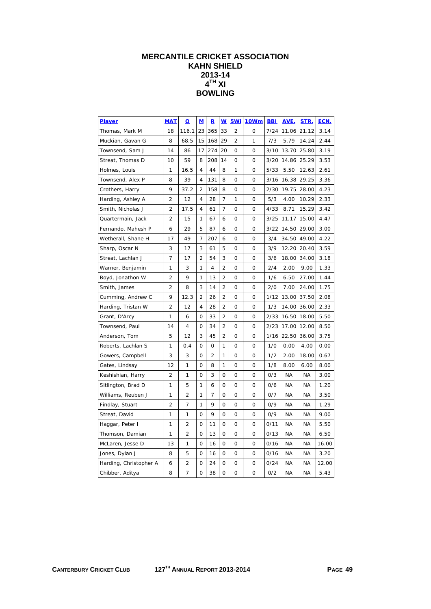# **MERCANTILE CRICKET ASSOCIATION KAHN SHIELD 2013-14**   $4^{TH}$  XI<sup>-</sup> **BOWLING**

| <b>Player</b>          | <b>MAT</b>     | $\overline{\mathbf{o}}$ | $\mathbf M$    | $\overline{\mathbf{R}}$ | <u>w</u>       | 5Wi         | <b>10Wm</b> | <b>BBI</b> | AVE.      | STR.      | ECN.  |
|------------------------|----------------|-------------------------|----------------|-------------------------|----------------|-------------|-------------|------------|-----------|-----------|-------|
| Thomas, Mark M         | 18             | 116.1                   | 23             | 365                     | 33             | 2           | 0           | 7/24       | 11.06     | 21.12     | 3.14  |
| Muckian, Gavan G       | 8              | 68.5                    | 15             | 168                     | 29             | 2           | 1           | 7/3        | 5.79      | 14.24     | 2.44  |
| Townsend, Sam J        | 14             | 86                      | 17             | 274                     | 20             | 0           | $\mathbf 0$ | 3/10       | 13.70     | 25.80     | 3.19  |
| Streat, Thomas D       | 10             | 59                      | 8              | 208                     | 14             | 0           | $\mathbf 0$ | 3/20       | 14.86     | 25.29     | 3.53  |
| Holmes, Louis          | 1              | 16.5                    | 4              | 44                      | 8              | 1           | 0           | 5/33       | 5.50      | 12.63     | 2.61  |
| Townsend, Alex P       | 8              | 39                      | 4              | 131                     | 8              | 0           | 0           | 3/16       | 16.38     | 29.25     | 3.36  |
| Crothers, Harry        | 9              | 37.2                    | $\overline{2}$ | 158                     | 8              | 0           | 0           | 2/30       | 19.75     | 28.00     | 4.23  |
| Harding, Ashley A      | 2              | 12                      | 4              | 28                      | 7              | 1           | 0           | 5/3        | 4.00      | 10.29     | 2.33  |
| Smith, Nicholas J      | 2              | 17.5                    | 4              | 61                      | 7              | 0           | 0           | 4/33       | 8.71      | 15.29     | 3.42  |
| Quartermain, Jack      | 2              | 15                      | 1              | 67                      | 6              | 0           | 0           | 3/25       | 11.17     | 15.00     | 4.47  |
| Fernando, Mahesh P     | 6              | 29                      | 5              | 87                      | 6              | 0           | 0           | 3/22       | 14.50     | 29.00     | 3.00  |
| Wetherall, Shane H     | 17             | 49                      | 7              | 207                     | 6              | 0           | 0           | 3/4        | 34.50     | 49.00     | 4.22  |
| Sharp, Oscar N         | 3              | 17                      | 3              | 61                      | 5              | 0           | 0           | 3/9        | 12.20     | 20.40     | 3.59  |
| Streat, Lachlan J      | 7              | 17                      | 2              | 54                      | 3              | 0           | 0           | 3/6        | 18.00     | 34.00     | 3.18  |
| Warner, Benjamin       | 1              | 3                       | 1              | 4                       | $\overline{2}$ | $\mathbf 0$ | $\mathbf 0$ | 2/4        | 2.00      | 9.00      | 1.33  |
| Boyd, Jonathon W       | $\overline{2}$ | 9                       | 1              | 13                      | 2              | $\mathbf 0$ | $\mathbf 0$ | 1/6        | 6.50      | 27.00     | 1.44  |
| Smith, James           | $\overline{2}$ | 8                       | 3              | 14                      | $\overline{2}$ | $\mathbf 0$ | $\mathbf 0$ | 2/0        | 7.00      | 24.00     | 1.75  |
| Cumming, Andrew C      | 9              | 12.3                    | $\overline{2}$ | 26                      | $\overline{2}$ | 0           | 0           | 1/12       | 13.00     | 37.50     | 2.08  |
| Harding, Tristan W     | $\overline{2}$ | 12                      | 4              | 28                      | $\overline{2}$ | 0           | 0           | 1/3        | 14.00     | 36.00     | 2.33  |
| Grant, D'Arcy          | 1              | 6                       | 0              | 33                      | $\overline{2}$ | 0           | 0           | 2/33       | 16.50     | 18.00     | 5.50  |
| Townsend, Paul         | 14             | 4                       | 0              | 34                      | $\overline{2}$ | 0           | $\Omega$    | 2/23       | 17.00     | 12.00     | 8.50  |
| Anderson, Tom          | 5              | 12                      | 3              | 45                      | 2              | 0           | 0           | 1/16       | 22.50     | 36.00     | 3.75  |
| Roberts, Lachlan S     | 1              | 0.4                     | 0              | 0                       | 1              | 0           | 0           | 1/0        | 0.00      | 4.00      | 0.00  |
| Gowers, Campbell       | 3              | 3                       | 0              | 2                       | 1              | 0           | 0           | 1/2        | 2.00      | 18.00     | 0.67  |
| Gates, Lindsay         | 12             | 1                       | 0              | 8                       | 1              | 0           | 0           | 1/8        | 8.00      | 6.00      | 8.00  |
| Keshishian, Harry      | $\overline{2}$ | 1                       | $\mathbf 0$    | 3                       | $\mathbf 0$    | $\mathbf 0$ | $\mathbf 0$ | 0/3        | <b>NA</b> | <b>NA</b> | 3.00  |
| Sitlington, Brad D     | 1              | 5                       | 1              | 6                       | $\mathbf 0$    | $\mathbf 0$ | $\mathbf 0$ | 0/6        | <b>NA</b> | <b>NA</b> | 1.20  |
| Williams, Reuben J     | 1              | $\overline{2}$          | 1              | 7                       | $\mathbf 0$    | $\mathbf 0$ | $\mathbf 0$ | 0/7        | ΝA        | <b>NA</b> | 3.50  |
| Findlay, Stuart        | 2              | 7                       | 1              | 9                       | $\mathbf 0$    | $\mathbf 0$ | $\mathbf 0$ | 0/9        | ΝA        | <b>NA</b> | 1.29  |
| Streat, David          | 1              | 1                       | 0              | 9                       | $\mathbf 0$    | 0           | $\mathbf 0$ | 0/9        | ΝA        | <b>NA</b> | 9.00  |
| Haggar, Peter I        | 1              | 2                       | 0              | 11                      | $\Omega$       | 0           | 0           | 0/11       | ΝA        | ΝA        | 5.50  |
| Thomson, Damian        | 1              | 2                       | 0              | 13                      | $\mathbf 0$    | 0           | $\mathbf 0$ | 0/13       | <b>NA</b> | ΝA        | 6.50  |
| McLaren, Jesse D       | 13             | 1                       | 0              | 16                      | $\mathbf 0$    | 0           | 0           | 0/16       | ΝA        | ΝA        | 16.00 |
| Jones, Dylan J         | 8              | 5                       | 0              | 16                      | $\mathbf 0$    | 0           | 0           | 0/16       | ΝA        | ΝA        | 3.20  |
| Harding, Christopher A | 6              | 2                       | 0              | 24                      | $\overline{0}$ | 0           | 0           | 0/24       | ΝA        | ΝA        | 12.00 |
| Chibber, Aditya        | 8              | 7                       | $\overline{O}$ | 38                      | $\overline{0}$ | 0           | 0           | 0/2        | <b>NA</b> | <b>NA</b> | 5.43  |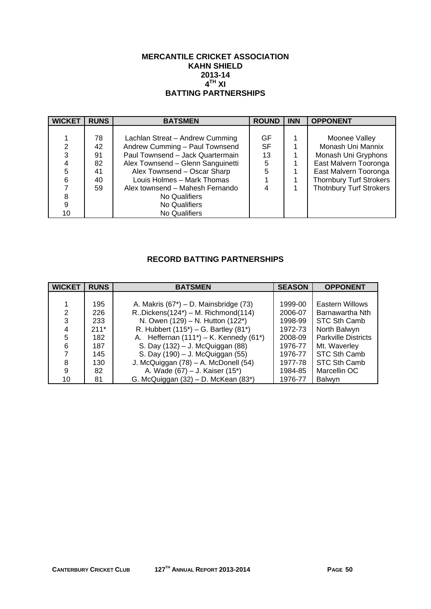#### **MERCANTILE CRICKET ASSOCIATION KAHN SHIELD 2013-14**   $4^{TH}$  XI **BATTING PARTNERSHIPS**

| <b>WICKET</b> | <b>RUNS</b> | <b>BATSMEN</b>                    | <b>ROUND</b> | <b>INN</b> | <b>OPPONENT</b>                |
|---------------|-------------|-----------------------------------|--------------|------------|--------------------------------|
|               |             |                                   |              |            |                                |
|               | 78          | Lachlan Streat - Andrew Cumming   | GF           |            | Moonee Valley                  |
| 2             | 42          | Andrew Cumming - Paul Townsend    | SF           |            | Monash Uni Mannix              |
| 3             | 91          | Paul Townsend - Jack Quartermain  | 13           |            | Monash Uni Gryphons            |
|               | 82          | Alex Townsend - Glenn Sanguinetti | 5            |            | East Malvern Tooronga          |
| 5             | 41          | Alex Townsend - Oscar Sharp       | 5            |            | East Malvern Tooronga          |
| 6             | 40          | Louis Holmes - Mark Thomas        |              |            | <b>Thornbury Turf Strokers</b> |
|               | 59          | Alex townsend - Mahesh Fernando   |              |            | <b>Thotnbury Turf Strokers</b> |
| 8             |             | No Qualifiers                     |              |            |                                |
| 9             |             | No Qualifiers                     |              |            |                                |
| 10            |             | No Qualifiers                     |              |            |                                |

# **RECORD BATTING PARTNERSHIPS**

| <b>WICKET</b> | <b>RUNS</b> | <b>BATSMEN</b>                               | <b>SEASON</b> | <b>OPPONENT</b>            |
|---------------|-------------|----------------------------------------------|---------------|----------------------------|
|               |             |                                              |               |                            |
|               | 195         | A. Makris $(67^*)$ – D. Mainsbridge $(73)$   | 1999-00       | Eastern Willows            |
| 2             | 226         | $R.Dickens(124^*) - M. Richmond(114)$        | 2006-07       | Barnawartha Nth            |
| 3             | 233         | N. Owen (129) - N. Hutton (122*)             | 1998-99       | STC Sth Camb               |
| 4             | $211*$      | R. Hubbert $(115^*)$ – G. Bartley $(81^*)$   | 1972-73       | North Balwyn               |
| 5             | 182         | A. Heffernan $(111^*)$ – K. Kennedy $(61^*)$ | 2008-09       | <b>Parkville Districts</b> |
| 6             | 187         | S. Day (132) - J. McQuiggan (88)             | 1976-77       | Mt. Waverley               |
|               | 145         | S. Day (190) - J. McQuiggan (55)             | 1976-77       | STC Sth Camb               |
| 8             | 130         | J. McQuiggan (78) - A. McDonell (54)         | 1977-78       | STC Sth Camb               |
| 9             | 82          | A. Wade (67) – J. Kaiser (15*)               | 1984-85       | Marcellin OC               |
| 10            | 81          | G. McQuiggan (32) - D. McKean (83*)          | 1976-77       | Balwyn                     |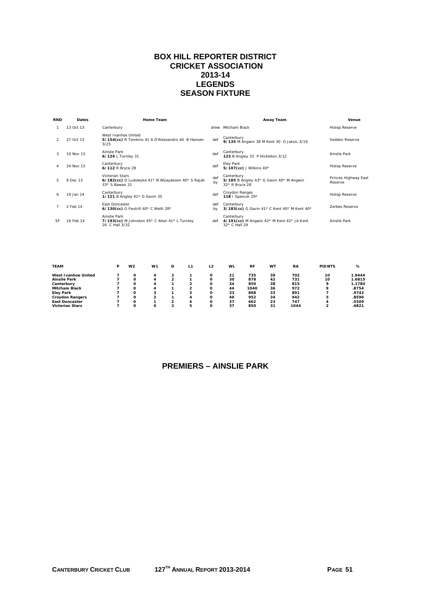## **BOX HILL REPORTER DISTRICT CRICKET ASSOCIATION 2013-14 LEGENDS SEASON FIXTURE**

| <b>RND</b> | Dates     | Home Team                                                                              |           | Away Team                                                                | Venue                           |
|------------|-----------|----------------------------------------------------------------------------------------|-----------|--------------------------------------------------------------------------|---------------------------------|
|            | 13 Oct 13 | Canterbury                                                                             |           | drew Mitcham Black                                                       | <b>Hislop Reserve</b>           |
|            | 27 Oct 13 | West Ivanhoe United<br>5/154(cc) R Tomkins 41 A D'Alessandro 40 B Hansen<br>3/25       | def       | Canterbury<br>9/135 M Angwin 38 M Kent 30 G Jaksic 3/19                  | Seddon Reserve                  |
| 3          | 10 Nov 13 | Ainslie Park<br>6/124 L Turnley 31                                                     | def       | Canterbury<br>123 B Angley 33 P Hickleton 3/12                           | Ainslie Park                    |
|            | 24 Nov 13 | Canterbury<br>6/112 R Bryce 28                                                         | def       | Eley Park<br>5/107(cc) J Wilkins 40*                                     | <b>Hislop Reserve</b>           |
| 5.         | 8 Dec 13  | Victorian Stars<br>6/182(cc) D Ludowyke 41* N Wijayakoon 40* S Rajah<br>33* S Bawan 31 | def<br>by | Canterbury<br>5/185 B Angley 43* G Gavin 40* M Angwin<br>32* R Bryce 28  | Princes Highway East<br>Reserve |
| 6          | 19 Jan 14 | Canterbury<br>1/121 B Angley 41* G Gavin 35                                            | def       | Croydon Ranges<br>118   Spencer 29*                                      | <b>Hislop Reserve</b>           |
|            | 2 Feb 14  | <b>Fast Doncaster</b><br>6/130(cc) G Feutrill 40* C Welti 28*                          | def<br>bv | Canterbury<br>3/183(cc) G Gavin 41* C Kent 40* M Kent 40*                | <b>Zerbes Reserve</b>           |
| <b>SF</b>  | 16 Feb 14 | Ainslie Park<br>7/193(cc) M Johnston $45*$ C Allan $41*$ L Turnley<br>26 C Hall 3/32   | def       | Canterbury<br>4/191(cc) M Angwin 42* M Kent 42* JA Kent<br>32* C Hall 29 | Ainslie Park                    |
|            |           |                                                                                        |           |                                                                          |                                 |

| <b>TEAM</b>            | P | W2 | W <sub>1</sub> | D | L1 | L2 | <b>WL</b> | <b>RF</b> | WT | <b>RA</b> | <b>POINTS</b> | %      |
|------------------------|---|----|----------------|---|----|----|-----------|-----------|----|-----------|---------------|--------|
| West Ivanhoe United    |   |    | 4              |   |    |    | 21        | 735       | 39 | 702       | 10            | 1.9444 |
| <b>Ainslie Park</b>    |   |    | 4              |   |    |    | 30        | 878       | 42 | 731       | 10            | 1.6815 |
| Canterbury             |   |    | 4              |   |    |    | 34        | 859       | 38 | 815       | ۰             | 1.1780 |
| <b>Mitcham Black</b>   |   | Ω  | 4              |   |    | O  | 44        | 1040      | 36 | 972       | ۰             | .8754  |
| <b>Elev Park</b>       |   |    |                |   |    |    | 33        | 868       | 33 | 891       |               | .9742  |
| <b>Crovdon Rangers</b> |   |    | <u>ົ</u>       |   | д  |    | 40        | 952       | 34 | 942       | 5             | .8590  |
| <b>East Doncaster</b>  |   |    |                |   |    | O  | 37        | 662       | 23 | 747       |               | .5509  |
| <b>Victorian Stars</b> |   |    | Ο              |   |    |    | 37        | 850       | 31 | 1044      | 2             | .6821  |

# **PREMIERS – AINSLIE PARK**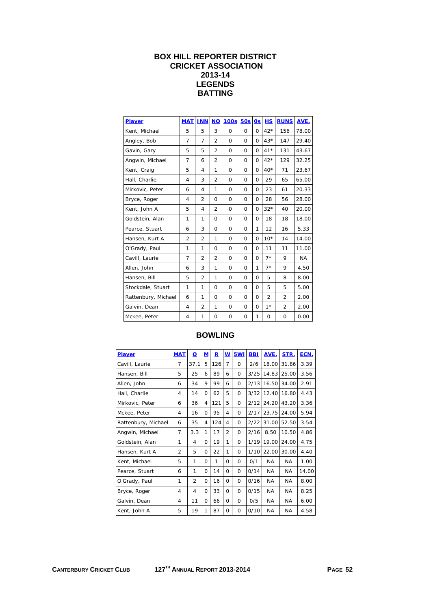# **BOX HILL REPORTER DISTRICT CRICKET ASSOCIATION 2013-14 LEGENDS BATTING**

| Player              | <b>MAT</b>     | <b>INN</b>     | <b>NO</b>      | <b>100s</b> | <b>50s</b> | 0s       | <b>HS</b>      | <b>RUNS</b>    | AVE.      |
|---------------------|----------------|----------------|----------------|-------------|------------|----------|----------------|----------------|-----------|
| Kent, Michael       | 5              | 5              | 3              | 0           | $\Omega$   | $\Omega$ | $42*$          | 156            | 78.00     |
| Angley, Bob         | 7              | 7              | $\overline{2}$ | 0           | $\Omega$   | $\Omega$ | $43*$          | 147            | 29.40     |
| Gavin, Gary         | 5              | 5              | 2              | 0           | 0          | $\Omega$ | $41*$          | 131            | 43.67     |
| Angwin, Michael     | 7              | 6              | $\overline{2}$ | $\Omega$    | $\Omega$   | $\Omega$ | $42*$          | 129            | 32.25     |
| Kent, Craig         | 5              | 4              | 1              | 0           | $\Omega$   | $\Omega$ | $40*$          | 71             | 23.67     |
| Hall, Charlie       | 4              | 3              | $\overline{2}$ | 0           | 0          | $\Omega$ | 29             | 65             | 65.00     |
| Mirkovic, Peter     | 6              | 4              | 1              | 0           | 0          | $\Omega$ | 23             | 61             | 20.33     |
| Bryce, Roger        | 4              | $\overline{2}$ | $\Omega$       | 0           | $\Omega$   | $\Omega$ | 28             | 56             | 28.00     |
| Kent, John A        | 5              | $\overline{4}$ | $\overline{2}$ | 0           | 0          | $\Omega$ | $32*$          | 40             | 20.00     |
| Goldstein, Alan     | 1              | 1              | 0              | 0           | 0          | $\Omega$ | 18             | 18             | 18.00     |
| Pearce, Stuart      | 6              | 3              | 0              | 0           | 0          | 1        | 12             | 16             | 5.33      |
| Hansen, Kurt A      | $\overline{2}$ | $\overline{2}$ | 1              | 0           | 0          | $\Omega$ | $10*$          | 14             | 14.00     |
| O'Grady, Paul       | 1              | 1              | 0              | $\mathbf 0$ | 0          | $\Omega$ | 11             | 11             | 11.00     |
| Cavill, Laurie      | $\overline{7}$ | $\overline{2}$ | $\overline{2}$ | $\Omega$    | $\Omega$   | $\Omega$ | $7*$           | 9              | <b>NA</b> |
| Allen, John         | 6              | 3              | 1              | 0           | $\Omega$   | 1        | $7*$           | 9              | 4.50      |
| Hansen, Bill        | 5              | $\overline{2}$ | 1              | 0           | 0          | $\Omega$ | 5              | 8              | 8.00      |
| Stockdale, Stuart   | 1              | 1              | 0              | 0           | 0          | $\Omega$ | 5              | 5              | 5.00      |
| Rattenbury, Michael | 6              | 1              | $\Omega$       | $\Omega$    | $\Omega$   | $\Omega$ | $\overline{2}$ | $\overline{2}$ | 2.00      |
| Galvin, Dean        | 4              | $\overline{2}$ | 1              | 0           | $\Omega$   | $\Omega$ | $1*$           | $\overline{2}$ | 2.00      |
| Mckee, Peter        | 4              | 1              | 0              | 0           | 0          | 1        | 0              | 0              | 0.00      |

| <b>Player</b>       | <b>MAT</b>     | ₫              | <u>M</u> | $\mathbf R$ | <u>w</u>       | 5Wi      | <b>BBI</b> | AVE.      | STR.      | ECN.  |
|---------------------|----------------|----------------|----------|-------------|----------------|----------|------------|-----------|-----------|-------|
| Cavill, Laurie      | 7              | 37.1           | 5        | 126         | 7              | $\Omega$ | 2/6        | 18.00     | 31.86     | 3.39  |
| Hansen, Bill        | 5              | 25             | 6        | 89          | 6              | 0        | 3/25       | 14.83     | 25.00     | 3.56  |
| Allen, John         | 6              | 34             | 9        | 99          | 6              | $\Omega$ | 2/13       | 16.50     | 34.00     | 2.91  |
| Hall, Charlie       | 4              | 14             | 0        | 62          | 5              | $\Omega$ | 3/32       | 12.40     | 16.80     | 4.43  |
| Mirkovic, Peter     | 6              | 36             | 4        | 121         | 5              | 0        | 2/12       | 24.20     | 43.20     | 3.36  |
| Mckee, Peter        | 4              | 16             | Ω        | 95          | 4              | $\Omega$ | 2/17       | 23.75     | 24.00     | 5.94  |
| Rattenbury, Michael | 6              | 35             | 4        | 124         | 4              | $\Omega$ | 2/22       | 31.00     | 52.50     | 3.54  |
| Angwin, Michael     | $\overline{7}$ | 3.3            | 1        | 17          | $\overline{2}$ | $\Omega$ | 2/16       | 8.50      | 10.50     | 4.86  |
| Goldstein, Alan     | 1              | 4              | 0        | 19          | 1              | 0        | 1/19       | 19.00     | 24.00     | 4.75  |
| Hansen, Kurt A      | $\overline{2}$ | 5              | $\Omega$ | 22          | 1              | $\Omega$ | 1/10       | 22.00     | 30.00     | 4.40  |
| Kent, Michael       | 5              | 1              | Ω        | 1           | 0              | 0        | 0/1        | NA.       | NA.       | 1.00  |
| Pearce, Stuart      | 6              | 1              | 0        | 14          | $\Omega$       | 0        | 0/14       | NA.       | <b>NA</b> | 14.00 |
| O'Grady, Paul       | 1              | $\overline{2}$ | 0        | 16          | 0              | $\Omega$ | 0/16       | NA.       | <b>NA</b> | 8.00  |
| Bryce, Roger        | 4              | 4              | Ω        | 33          | $\Omega$       | 0        | 0/15       | NA.       | <b>NA</b> | 8.25  |
| Galvin, Dean        | 4              | 11             | 0        | 66          | $\Omega$       | $\Omega$ | 0/5        | <b>NA</b> | <b>NA</b> | 6.00  |
| Kent, John A        | 5              | 19             | 1        | 87          | 0              | 0        | 0/10       | <b>NA</b> | <b>NA</b> | 4.58  |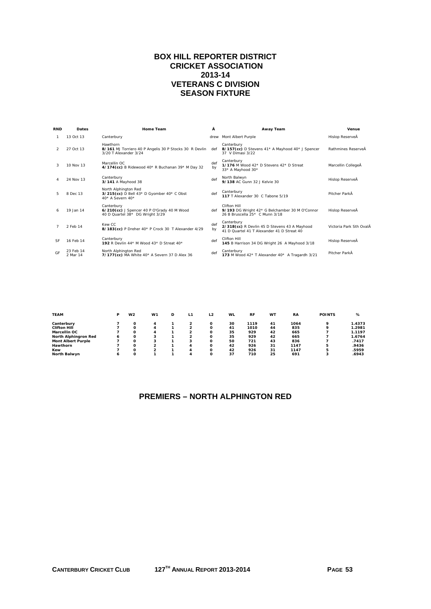#### **BOX HILL REPORTER DISTRICT CRICKET ASSOCIATION 2013-14 VETERANS C DIVISION SEASON FIXTURE**

| <b>RND</b>    | <b>Dates</b>          | <b>Home Team</b>                                                                                 | Â              | <b>Away Team</b>                                                                                         | Venue                   |
|---------------|-----------------------|--------------------------------------------------------------------------------------------------|----------------|----------------------------------------------------------------------------------------------------------|-------------------------|
|               | 13 Oct 13             | Canterbury                                                                                       |                | drew Mont Albert Purple                                                                                  | Hislop ReserveÅ         |
| $\mathcal{P}$ | 27 Oct 13             | Hawthorn<br>8/161 MJ Torriero 40 P Angelis 30 P Stocks 30 R Devlin<br>3/20 T Alexander 3/24      | def            | Canterbury<br>8/157(cc) D Stevens 41* A Mayhood 40* J Spencer<br>37 V Dimasi 3/22                        | Rathmines ReserveÂ      |
| 3             | 10 Nov 13             | Marcellin OC<br>4/174(cc) B Ridewood 40* R Buchanan 39* M Day 32                                 | def<br>bv      | Canterbury<br>1/176 M Wood 42* D Stevens 42* D Streat<br>33* A Mayhood 30*                               | Marcellin CollegeÅ      |
|               | 24 Nov 13             | Canterbury<br>3/141 A Mayhood 38                                                                 | def            | North Balwyn<br>9/138 AC Gunn 32 J Kelvie 30                                                             | Hislop ReserveÅ         |
| 5.            | 8 Dec 13              | North Alphington Red<br>$3/215$ (cc) D Bell $43*$ D Gyomber $40*$ C Obst<br>$40*$ A Severn $40*$ | $\mathsf{def}$ | Canterbury<br>117 T Alexander 30 C Tabone 5/19                                                           | Pitcher ParkÅ           |
| 6             | 19 Jan 14             | Canterbury<br>6/210(cc) J Spencer 40 P O'Grady 40 M Wood<br>40 D Quartel 38* DG Wright 3/29      | def            | Clifton Hill<br>9/193 DG Wright 42* G Belchamber 30 M O'Connor<br>26 B Bruscella 25* C Munn 3/18         | Hislop ReserveÅ         |
|               | 2 Feb 14              | Kew CC<br>8/183(cc) P Dreher 40* P Crock 30 T Alexander 4/29                                     | def<br>by      | Canterbury<br>2/318(cc) R Devlin 45 D Stevens 43 A Mayhood<br>41 D Quartel 41 T Alexander 41 D Streat 40 | Victoria Park Sth OvalÂ |
| <b>SF</b>     | 16 Feb 14             | Canterbury<br>192 R Devlin 44* M Wood 43* D Streat 40*                                           | def            | Clifton Hill<br>145 B Harrison 34 DG Wright 26 A Mayhood 3/18                                            | Hislop ReserveÅ         |
| GF            | 23 Feb 14<br>2 Mar 14 | North Alphington Red<br>7/177(cc) MA White 40* A Severn 37 D Alex 36                             | def            | Canterbury<br>173 M Wood 42* T Alexander 40* A Tragardh 3/21                                             | Pitcher ParkÅ           |
|               |                       |                                                                                                  |                |                                                                                                          |                         |

| <b>TEAM</b>               | P | W <sub>2</sub> | W <sub>1</sub> | D | L1 | L2 | WL | <b>RF</b> | WT | <b>RA</b> | <b>POINTS</b> | %      |
|---------------------------|---|----------------|----------------|---|----|----|----|-----------|----|-----------|---------------|--------|
| Canterbury                |   |                | 4              |   |    |    | 30 | 1119      | 41 | 1064      | ۰             | 1.4373 |
| <b>Clifton Hill</b>       |   |                | 4              |   | ົ  |    | 41 | 1010      | 44 | 835       | ۰             | 1.2981 |
| Marcellin OC              |   |                | 4              |   |    |    | 35 | 929       | 42 | 665       |               | 1.1197 |
| North Alphingron Red      | 6 | Ω              | 3              |   | ∽  |    | 35 | 929       | 42 | 665       |               | 1.6764 |
| <b>Mont Albert Purple</b> |   | Ω              | 3              |   |    |    | 50 | 721       | 43 | 836       |               | .7417  |
| Hawthorn                  |   |                | 2              |   | 4  |    | 42 | 926       | 31 | 1147      | 5             | .9436  |
| Kew                       |   | Ω              | ີ              |   | л  | O  | 42 | 926       | 31 | 1147      | 5             | .5959  |
| <b>North Balwyn</b>       | 6 |                |                |   |    |    | 37 | 710       | 25 | 691       | 3             | .6943  |

# **PREMIERS – NORTH ALPHINGTON RED**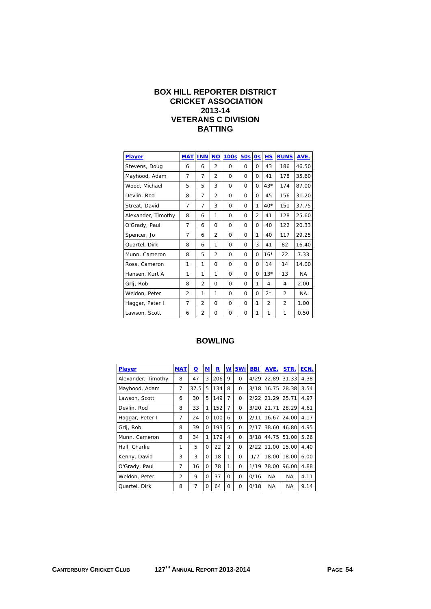## **BOX HILL REPORTER DISTRICT CRICKET ASSOCIATION 2013-14 VETERANS C DIVISION BATTING**

| <b>Player</b>      | <b>MAT</b>     | <b>INN</b>     | <b>NO</b>      | 100s     | 50s      | 0s             | HS             | <b>RUNS</b>    | AVE.  |
|--------------------|----------------|----------------|----------------|----------|----------|----------------|----------------|----------------|-------|
| Stevens, Doug      | 6              | 6              | $\overline{2}$ | $\Omega$ | 0        | $\Omega$       | 43             | 186            | 46.50 |
| Mayhood, Adam      | 7              | 7              | $\overline{2}$ | 0        | 0        | 0              | 41             | 178            | 35.60 |
| Wood, Michael      | 5              | 5              | 3              | $\Omega$ | $\Omega$ | $\Omega$       | $43*$          | 174            | 87.00 |
| Devlin, Rod        | 8              | 7              | $\overline{2}$ | $\Omega$ | 0        | $\Omega$       | 45             | 156            | 31.20 |
| Streat, David      | 7              | 7              | 3              | 0        | 0        | 1              | $40*$          | 151            | 37.75 |
| Alexander, Timothy | 8              | 6              | 1              | $\Omega$ | 0        | $\overline{2}$ | 41             | 128            | 25.60 |
| O'Grady, Paul      | 7              | 6              | $\Omega$       | $\Omega$ | 0        | 0              | 40             | 122            | 20.33 |
| Spencer, Jo        | 7              | 6              | $\overline{2}$ | $\Omega$ | 0        | 1              | 40             | 117            | 29.25 |
| Quartel, Dirk      | 8              | 6              | 1              | 0        | 0        | 3              | 41             | 82             | 16.40 |
| Munn, Cameron      | 8              | 5              | $\overline{2}$ | $\Omega$ | 0        | $\Omega$       | $16*$          | 22             | 7.33  |
| Ross, Cameron      | 1              | 1              | $\Omega$       | $\Omega$ | 0        | 0              | 14             | 14             | 14.00 |
| Hansen, Kurt A     | 1              | 1              | 1              | 0        | 0        | $\Omega$       | $13*$          | 13             | NA.   |
| Grlj, Rob          | 8              | $\overline{2}$ | $\Omega$       | $\Omega$ | 0        | 1              | 4              | 4              | 2.00  |
| Weldon, Peter      | $\overline{2}$ | 1              | 1              | 0        | 0        | $\Omega$       | $2*$           | 2              | NA.   |
| Haggar, Peter I    | 7              | $\overline{2}$ | $\Omega$       | $\Omega$ | 0        | 1              | $\overline{2}$ | $\overline{2}$ | 1.00  |
| Lawson, Scott      | 6              | 2              | $\Omega$       | 0        | 0        | 1              | 1              | 1              | 0.50  |

| <b>Player</b>      | <b>MAT</b>     | $\overline{\mathbf{o}}$ | M        | R   | $\underline{\mathsf{w}}$ | 5Wi      | <b>BBI</b> | AVE.      | STR.  | ECN. |
|--------------------|----------------|-------------------------|----------|-----|--------------------------|----------|------------|-----------|-------|------|
| Alexander, Timothy | 8              | 47                      | 3        | 206 | 9                        | $\Omega$ | 4/29       | 22.89     | 31.33 | 4.38 |
| Mayhood, Adam      | 7              | 37.5                    | 5        | 134 | 8                        | $\Omega$ | 3/18       | 16.75     | 28.38 | 3.54 |
| Lawson, Scott      | 6              | 30                      | 5        | 149 | 7                        | $\Omega$ | 2/22       | 21.29     | 25.71 | 4.97 |
| Devlin, Rod        | 8              | 33                      | 1        | 152 | 7                        | $\Omega$ | 3/20       | 21.71     | 28.29 | 4.61 |
| Haggar, Peter I    | 7              | 24                      | $\Omega$ | 100 | 6                        | $\Omega$ | 2/11       | 16.67     | 24.00 | 4.17 |
| Grlj, Rob          | 8              | 39                      | $\Omega$ | 193 | 5                        | $\Omega$ | 2/17       | 38.60     | 46.80 | 4.95 |
| Munn, Cameron      | 8              | 34                      | 1        | 179 | 4                        | $\Omega$ | 3/18       | 44.75     | 51.00 | 5.26 |
| Hall, Charlie      | 1              | 5                       | O        | 22  | $\overline{2}$           | $\Omega$ | 2/22       | 11.00     | 15.00 | 4.40 |
| Kenny, David       | 3              | 3                       | $\Omega$ | 18  | 1                        | $\Omega$ | 1/7        | 18.00     | 18.00 | 6.00 |
| O'Grady, Paul      | 7              | 16                      | $\Omega$ | 78  | 1                        | $\Omega$ | 1/19       | 78.00     | 96.00 | 4.88 |
| Weldon, Peter      | $\overline{2}$ | 9                       | $\Omega$ | 37  | $\Omega$                 | $\Omega$ | 0/16       | NA        | NA    | 4.11 |
| Quartel, Dirk      | 8              | 7                       | 0        | 64  | 0                        | $\Omega$ | 0/18       | <b>NA</b> | NA    | 9.14 |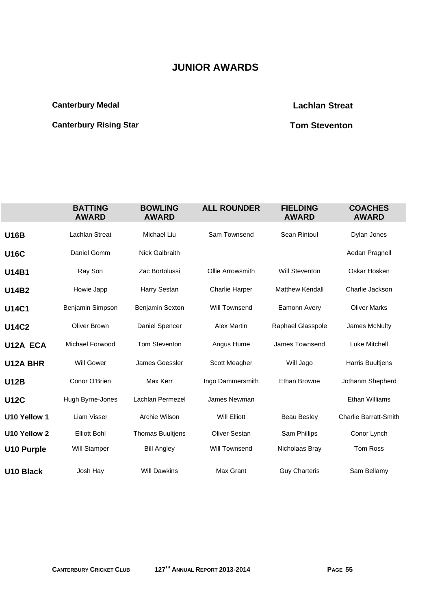# **JUNIOR AWARDS**

# **Canterbury Medal Canterbury Medal Canterbury Medal Canterbury Medal Canterbury Medal Canterbury Medal Canterbury Medal Canterbury Medal Canterbury Medal Canterbury Medal Canterbury Medal Canterbury Medal Canterbury Medal**

# **Canterbury Rising Star Canterbury Rising Star Canterbury Rising Star Canterbury Rising Star Canterbury Rising Star Canterbury Rising Star Canterbury Rising Star Canterbury Rising Star Canterbury Rising Star Canterbury Ris**

|                   | <b>BATTING</b><br><b>AWARD</b> | <b>BOWLING</b><br><b>AWARD</b> | <b>ALL ROUNDER</b>    | <b>FIELDING</b><br><b>AWARD</b> | <b>COACHES</b><br><b>AWARD</b> |
|-------------------|--------------------------------|--------------------------------|-----------------------|---------------------------------|--------------------------------|
| <b>U16B</b>       | Lachlan Streat                 | Michael Liu                    | Sam Townsend          | Sean Rintoul                    | Dylan Jones                    |
| <b>U16C</b>       | Daniel Gomm                    | <b>Nick Galbraith</b>          |                       |                                 | Aedan Pragnell                 |
| <b>U14B1</b>      | Ray Son                        | Zac Bortolussi                 | Ollie Arrowsmith      | <b>Will Steventon</b>           | Oskar Hosken                   |
| <b>U14B2</b>      | Howie Japp                     | Harry Sestan                   | <b>Charlie Harper</b> | <b>Matthew Kendall</b>          | Charlie Jackson                |
| <b>U14C1</b>      | Benjamin Simpson               | Benjamin Sexton                | <b>Will Townsend</b>  | Eamonn Avery                    | <b>Oliver Marks</b>            |
| <b>U14C2</b>      | <b>Oliver Brown</b>            | Daniel Spencer                 | <b>Alex Martin</b>    | Raphael Glasspole               | James McNulty                  |
| U12A ECA          | Michael Forwood                | <b>Tom Steventon</b>           | Angus Hume            | <b>James Townsend</b>           | Luke Mitchell                  |
| <b>U12A BHR</b>   | <b>Will Gower</b>              | James Goessler                 | Scott Meagher         | Will Jago                       | <b>Harris Buultjens</b>        |
| <b>U12B</b>       | Conor O'Brien                  | Max Kerr                       | Ingo Dammersmith      | Ethan Browne                    | Jothanm Shepherd               |
| <b>U12C</b>       | Hugh Byrne-Jones               | Lachlan Permezel               | James Newman          |                                 | <b>Ethan Williams</b>          |
| U10 Yellow 1      | Liam Visser                    | Archie Wilson                  | <b>Will Elliott</b>   | <b>Beau Besley</b>              | <b>Charlie Barratt-Smith</b>   |
| U10 Yellow 2      | <b>Elliott Bohl</b>            | <b>Thomas Buultjens</b>        | <b>Oliver Sestan</b>  | Sam Phillips                    | Conor Lynch                    |
| <b>U10 Purple</b> | Will Stamper                   | <b>Bill Angley</b>             | Will Townsend         | Nicholaas Bray                  | Tom Ross                       |
| <b>U10 Black</b>  | Josh Hay                       | <b>Will Dawkins</b>            | <b>Max Grant</b>      | <b>Guy Charteris</b>            | Sam Bellamy                    |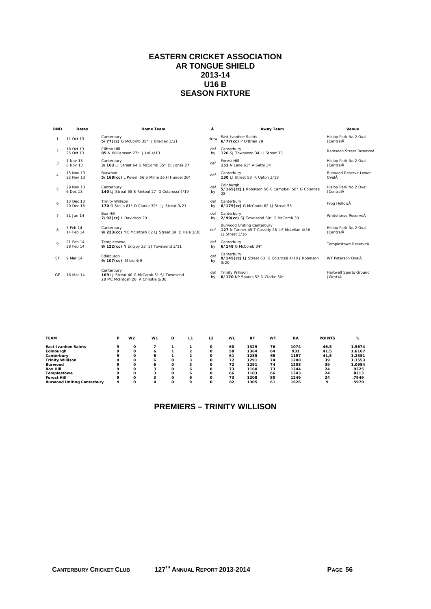## **EASTERN CRICKET ASSOCIATION AR TONGUE SHIELD 2013-14 U16 B SEASON FIXTURE**

| <b>RND</b>     | <b>Dates</b>           | Home Team                                                                                   | Â         | Away Team                                                                                                | Venue                              |
|----------------|------------------------|---------------------------------------------------------------------------------------------|-----------|----------------------------------------------------------------------------------------------------------|------------------------------------|
| $\mathbf{1}$   | 11 Oct 13              | Canterbury<br>5/77(cc) G McComb 35* J Bradley 3/21                                          | drew      | <b>Fast Ivanhoe Saints</b><br>6/77(cc) P O'Brien 29                                                      | Hislop Park No 2 Oval<br>(CentralÂ |
| $\mathcal{P}$  | 18 Oct 13<br>25 Oct 13 | Clifton Hill<br>85 N Williamson 27* J Lai 4/13                                              | def<br>bv | Canterbury<br>126 SJ Townsend 34 LJ Streat 33                                                            | Ramsden Street ReserveÅ            |
| 3              | 1 Nov 13<br>8 Nov 13   | Canterbury<br>3/163 LJ Streat 64 G McComb 35* DJ Jones 27                                   | def       | Forest Hill<br>151 N Lane 61* A Sethi 34                                                                 | Hislop Park No 2 Oval<br>(CentralÂ |
| $\overline{4}$ | 15 Nov 13<br>22 Nov 13 | Burwood<br>5/168(cc) L Powell 56 S Milne 36 H Hundel 26*                                    | def       | Canterbury<br>130 LJ Streat 58 R Upton 3/18                                                              | Burwood Reserve Lower<br>OvalÂ     |
| 5              | 29 Nov 13<br>6 Dec 13  | Canterbury<br>140 LJ Streat 55 S Rintoul 27 G Colarossi 4/19                                | def<br>by | Edinburgh<br>5/165(cc) J Robinson 56 C Campbell 50* G Colarossi<br>28                                    | Hislop Park No 2 Oval<br>(CentralÂ |
| 6              | 13 Dec 13<br>20 Dec 13 | <b>Trinity Willison</b><br>170 O Stella 81* D Clarke 32* 1J Streat 3/21                     | def<br>bv | Canterbury<br>6/179(cc) G McComb 62 LJ Streat 53                                                         | Frog HollowÅ                       |
| $\overline{7}$ | 31 Jan 14              | <b>Box Hill</b><br>7/92(cc) L Davidson 29                                                   | def<br>bv | Canterbury<br>2/99(cc) SJ Townsend 50* G McComb 30                                                       | Whitehorse ReserveÅ                |
| 8              | 7 Feb 14<br>14 Feb 14  | Canterbury<br>9/223(cc) MC McIntosh 62 LJ Streat 39 D Hale 3/30                             |           | <b>Burwood Uniting Canterbury</b><br>def 127 N Tanner 45 T Cassidy 28 LF McLellan 4/16<br>LJ Streat 3/16 | Hislop Park No 2 Oval<br>(CentralĂ |
| $\mathbf{Q}$   | 21 Feb 14<br>28 Feb 14 | Templestowe<br>8/122(cc) N Ericjoy 33 SJ Townsend 3/11                                      | def<br>bv | Canterbury<br>6/148 G McComb 34*                                                                         | Templestowe ReserveÅ               |
| <b>SF</b>      | 9 Mar 14               | Edinburgh<br>9/107(cc) M Liu 4/9                                                            | def<br>by | Canterbury<br>9/145 (cc) LJ Streat 63 G Colarossi 4/10 J Robinson<br>3/20                                | WT Peterson OvalÂ                  |
| GF             | 16 Mar 14              | Canterbury<br>169 LJ Streat 40 G McComb 31 SJ Townsend<br>28 MC McIntosh 26 A Christie 5/36 | def<br>b٧ | <b>Trinity Willison</b><br>6/170 NP Sparks 52 D Clarke 30*                                               | Hartwell Sports Ground<br>(West) Å |

| <b>TEAM</b>                       | Р | W <sub>2</sub> | W <sub>1</sub> | D | L1 | L <sub>2</sub> | <b>WL</b> | <b>RF</b> | WT | <b>RA</b> | <b>POINTS</b> | %      |
|-----------------------------------|---|----------------|----------------|---|----|----------------|-----------|-----------|----|-----------|---------------|--------|
| <b>East Ivanhoe Saints</b>        | ۰ | Ω              |                |   |    | O              | 60        | 1329      | 76 | 1074      | 46.5          | 1.5674 |
| Edinburgh                         | ۰ | Ω              | 6              |   | 2  | Ω              | 58        | 1364      | 64 | 931       | 41.5          | 1.6167 |
| Canterbury                        | ۰ | Ω              | 6              |   | ີ  | O              | 61        | 1285      | 68 | 1157      | 41.5          | 1.2381 |
| <b>Trinity Willison</b>           | ۰ | Ω              | 6              |   | 3  | $\Omega$       | 72        | 1291      | 74 | 1208      | 39            | 1.1553 |
| Burwood                           | a | $\Omega$       | 6              | Ω | 3  | $\Omega$       | 72        | 1291      | 74 | 1208      | 39            | 1.0984 |
| <b>Box Hill</b>                   | ۰ | O              | 3              | Ω | 6  | Ω              | 73        | 1160      | 73 | 1244      | 24            | .9325  |
| Templestowe                       | ۰ | Ω              | 3              | Ω | 6  | O              | 66        | 1103      | 66 | 1343      | 24            | .8213  |
| <b>Forest Hill</b>                | q | Ω              | 3              | Ω | 6  | O              | 73        | 1208      | 80 | 1249      | 24            | .7949  |
| <b>Burwood Uniting Canterbury</b> | 9 | Ω              | Ω              | Ω | ۰  | Ω              | 82        | 1305      | 61 | 1626      | ۰             | .5970  |

# **PREMIERS – TRINITY WILLISON**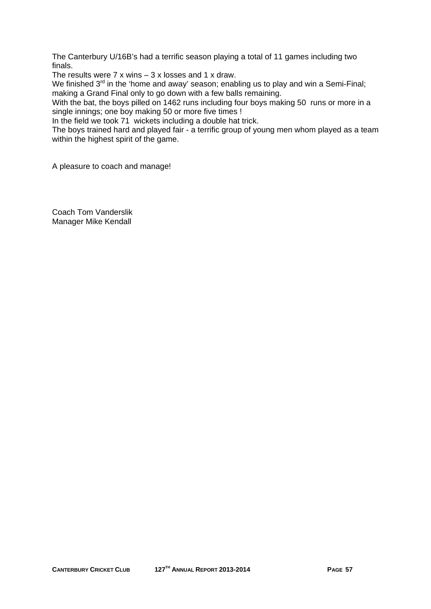The Canterbury U/16B's had a terrific season playing a total of 11 games including two finals.

The results were  $7 \times$  wins  $-3 \times$  losses and 1  $\times$  draw.

We finished  $3<sup>rd</sup>$  in the 'home and away' season; enabling us to play and win a Semi-Final; making a Grand Final only to go down with a few balls remaining.

With the bat, the boys pilled on 1462 runs including four boys making 50 runs or more in a single innings; one boy making 50 or more five times !

In the field we took 71 wickets including a double hat trick.

The boys trained hard and played fair - a terrific group of young men whom played as a team within the highest spirit of the game.

A pleasure to coach and manage!

Coach Tom Vanderslik Manager Mike Kendall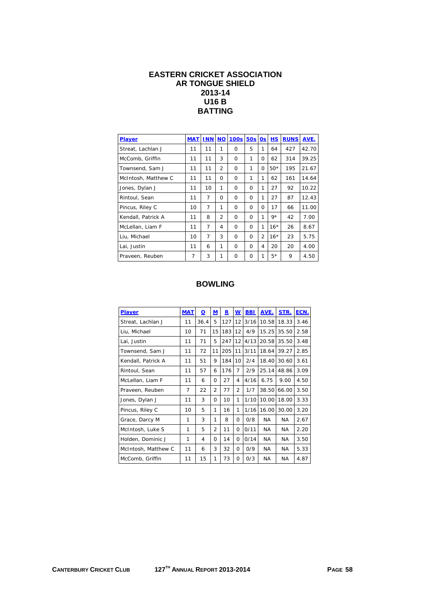### **EASTERN CRICKET ASSOCIATION AR TONGUE SHIELD 2013-14 U16 B BATTING**

| <b>Player</b>       | <b>MAT</b> | <b>INN</b>     | <b>NO</b>      | <b>100s</b> | 50s      | 0s             | HS    | <b>RUNS</b> | AVE.  |
|---------------------|------------|----------------|----------------|-------------|----------|----------------|-------|-------------|-------|
| Streat, Lachlan J   | 11         | 11             | 1              | $\Omega$    | 5        | 1              | 64    | 427         | 42.70 |
| McComb, Griffin     | 11         | 11             | 3              | $\Omega$    | 1        | 0              | 62    | 314         | 39.25 |
| Townsend, Sam J     | 11         | 11             | $\overline{2}$ | $\Omega$    | 1        | $\Omega$       | $50*$ | 195         | 21.67 |
| McIntosh, Matthew C | 11         | 11             | $\Omega$       | $\Omega$    | 1        | 1              | 62    | 161         | 14.64 |
| Jones, Dylan J      | 11         | 10             | 1              | $\Omega$    | $\Omega$ | 1              | 27    | 92          | 10.22 |
| Rintoul, Sean       | 11         | $\overline{7}$ | $\Omega$       | $\Omega$    | $\Omega$ | 1              | 27    | 87          | 12.43 |
| Pincus, Riley C     | 10         | 7              | 1              | $\Omega$    | O        | O              | 17    | 66          | 11.00 |
| Kendall, Patrick A  | 11         | 8              | $\overline{2}$ | $\Omega$    | $\Omega$ | 1              | $9*$  | 42          | 7.00  |
| McLellan, Liam F    | 11         | 7              | 4              | $\Omega$    | $\Omega$ | 1              | $16*$ | 26          | 8.67  |
| Liu, Michael        | 10         | 7              | 3              | $\Omega$    | O        | $\overline{2}$ | $16*$ | 23          | 5.75  |
| Lai, Justin         | 11         | 6              | 1              | $\Omega$    | $\Omega$ | 4              | 20    | 20          | 4.00  |
| Praveen, Reuben     | 7          | 3              | 1              | 0           | O        | 1              | $5*$  | 9           | 4.50  |

| <b>Player</b>       | <b>MAT</b> | $\Omega$ | M              | R   | $\underline{\mathsf{w}}$ | <b>BBI</b> | AVE.      | STR.  | ECN. |
|---------------------|------------|----------|----------------|-----|--------------------------|------------|-----------|-------|------|
| Streat, Lachlan J   | 11         | 36.4     | 5              | 127 | 12                       | 3/16       | 10.58     | 18.33 | 3.46 |
| Liu, Michael        | 10         | 71       | 15             | 183 | 12                       | 4/9        | 15.25     | 35.50 | 2.58 |
| Lai, Justin         | 11         | 71       | 5              | 247 | 12                       | 4/13       | 20.58     | 35.50 | 3.48 |
| Townsend, Sam J     | 11         | 72       | 11             | 205 | 11                       | 3/11       | 18.64     | 39.27 | 2.85 |
| Kendall, Patrick A  | 11         | 51       | 9              | 184 | 10                       | 2/4        | 18.40     | 30.60 | 3.61 |
| Rintoul, Sean       | 11         | 57       | 6              | 176 | 7                        | 2/9        | 25.14     | 48.86 | 3.09 |
| McLellan, Liam F    | 11         | 6        | 0              | 27  | 4                        | 4/16       | 6.75      | 9.00  | 4.50 |
| Praveen, Reuben     | 7          | 22       | $\overline{2}$ | 77  | $\overline{2}$           | 1/7        | 38.50     | 66.00 | 3.50 |
| Jones, Dylan J      | 11         | 3        | 0              | 10  | 1                        | 1/10       | 10.00     | 18.00 | 3.33 |
| Pincus, Riley C     | 10         | 5        | 1              | 16  | 1                        | 1/16       | 16.00     | 30.00 | 3.20 |
| Grace, Darcy M      | 1          | 3        | 1              | 8   | 0                        | 0/8        | NA.       | NA.   | 2.67 |
| McIntosh, Luke S    | 1          | 5        | $\overline{2}$ | 11  | O                        | 0/11       | NA.       | NA.   | 2.20 |
| Holden, Dominic J   | 1          | 4        | 0              | 14  | O                        | 0/14       | NA.       | NA.   | 3.50 |
| McIntosh, Matthew C | 11         | 6        | 3              | 32  | $\Omega$                 | 0/9        | NA.       | NA.   | 5.33 |
| McComb, Griffin     | 11         | 15       | 1              | 73  | O                        | 0/3        | <b>NA</b> | NA    | 4.87 |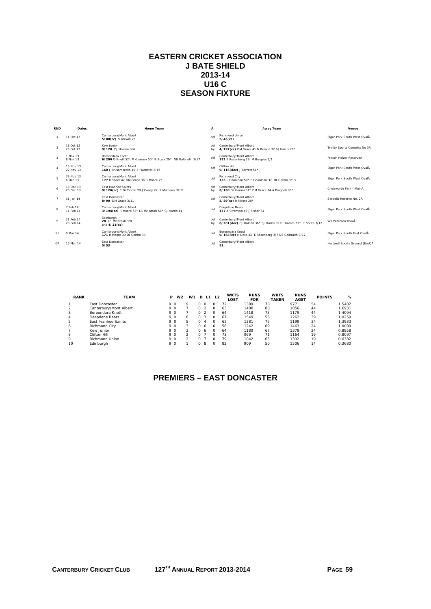# **EASTERN CRICKET ASSOCIATION J BATE SHIELD 2013-14 U16 C SEASON FIXTURE**

| <b>RND</b>     | Dates                  | <b>Home Team</b>                                                                  | Ā         | <b>Away Team</b>                                                                         | Venue                           |
|----------------|------------------------|-----------------------------------------------------------------------------------|-----------|------------------------------------------------------------------------------------------|---------------------------------|
|                | 11 Oct 13              | Canterbury/Mont Albert<br>5/80(cc) N Brewin 25                                    | def       | <b>Richmond Union</b><br>$5/45$ (cc)                                                     | Elgar Park South West OvalĂ     |
| $\overline{2}$ | 18 Oct 13<br>25 Oct 13 | Kew Junior<br>9/120 DJ Holden 3/4                                                 | def<br>bv | Canterbury/Mont Albert<br>4/197(cc) DM Grace 41 N Brewin 32 SJ Harris 28*                | Trinity Sports Complex No 3Å    |
| $\mathbf{3}$   | 1 Nov 13<br>8 Nov 13   | Boroondara Knott<br>6/200 O Knott 52* M Gleeson 50* B Scala 29* NB Galbraith 3/17 | def       | Canterbury/Mont Albert<br>122 E Rosenberg 28 M Burgess 3/1                               | Fritsch Holzer ReserveĂ         |
| $\overline{A}$ | 15 Nov 13<br>22 Nov 13 | Canterbury/Mont Albert<br>160 J Brusamarello 45 H Webster 3/15                    | def       | Clifton Hill<br>9/116(dec) J Barrett 51*                                                 | Elgar Park South West OvalĂ     |
| 5              | 29 Nov 13<br>6 Dec 13  | Canterbury/Mont Albert<br>177 D Steer 42 DM Grace 38 R Moore 25                   | def       | <b>Richmond City</b><br>133   Hounihan 50* P Hounihan 37 DJ Gomm 3/13                    | Elgar Park South West OvalĂ     |
| 6              | 13 Dec 13<br>20 Dec 13 | <b>East Ivanhoe Saints</b><br>9/126(cc) C Di Ciocco 29 J Casey 27 P Mathews 3/12  | def<br>bv | Canterbury/Mont Albert<br>8/188 DI Gomm 51* DM Grace 34 A Pragnell 30*                   | Chelsworth Park - MainĂ         |
| -7             | 31 Jan 14              | East Doncaster<br>8/90 DM Grace 3/11                                              | def       | Canterbury/Mont Albert<br>5/89(cc) R Moore 30*                                           | Serpells Reserve No. 2Å         |
| 8              | 7 Feb 14<br>14 Feb 14  | Canterbury/Mont Albert<br>3/194(cc) R Moore 53* LS McIntosh 51* SJ Harris 41      | def       | Deepdene Bears<br>177 A Strempel 43 J Fisher 34                                          | Elgar Park South West OvalĂ     |
| $\circ$        | 21 Feb 14<br>28 Feb 14 | Edinburgh<br>28 I.S. McIntosh 3/0<br>and 4/21(cc)                                 | def<br>bv | Canterbury/Mont Albert<br>8/201(dec) DJ Holden 36* SJ Harris 32 DJ Gomm 31* T Shute 3/12 | WT Peterson OvalĂ               |
| SF             | 9 Mar 14               | Canterbury/Mont Albert<br>171 R Moore 30 DJ Gomm 30                               | def       | Boroondara Knott<br>9/168(cc) H Date 33 E Rosenberg 3/7 NB Galbraith 3/12                | Elgar Park South East OvalĂ     |
| <b>GF</b>      | 16 Mar 14              | East Doncaster<br>5/53                                                            | def       | Canterbury/Mont Albert<br>51                                                             | Hartwell Sports Ground (East) A |

| <b>RANK</b> | <b>TEAM</b>            | P   | W <sub>2</sub> | W1 | D            | L1 | L <sub>2</sub> | <b>WKTS</b><br>LOST | <b>RUNS</b><br><b>FOR</b> | <b>WKTS</b><br><b>TAKEN</b> | <b>RUNS</b><br><b>AGST</b> | <b>POINTS</b> | %      |
|-------------|------------------------|-----|----------------|----|--------------|----|----------------|---------------------|---------------------------|-----------------------------|----------------------------|---------------|--------|
|             | <b>Fast Doncaster</b>  | 9 O |                |    |              |    |                | 72                  | 1389                      | 78                          | 977                        | 54            | 1.5402 |
|             | Canterbury/Mont Albert | 90  |                |    |              |    |                | 63                  | 1408                      | 80                          | 1056                       | 44            | 1.6931 |
|             | Boroondara Knott       | 9 O |                |    | O            |    |                | 64                  | 1418                      | 75                          | 1179                       | 44            | 1.4094 |
|             | Deepdene Bears         | 9 O |                | 6  | O            |    |                | 67                  | 1549                      | 56                          | 1262                       | 39            | 1.0259 |
| 5           | East Ivanhoe Saints    | 9 O |                | 5. |              | Δ  |                | 62                  | 1381                      | 75                          | 1199                       | 34            | 1.3933 |
| 6           | <b>Richmond City</b>   | 9 O |                | 3  | <sup>n</sup> | 6  |                | 58                  | 1242                      | 69                          | 1463                       | 24            | 1.0099 |
|             | Kew Junior             | 90  |                | 3  | <sup>n</sup> | 6  |                | 64                  | 1180                      | 67                          | 1379                       | 24            | 0.8958 |
| 8           | Clifton Hill           | 9 O |                |    |              |    |                | 73                  | 969                       | 71                          | 1164                       | 19            | 0.8097 |
| o           | <b>Richmond Union</b>  | 9 O |                |    |              |    |                | 79                  | 1042                      | 63                          | 1302                       | 19            | 0.6382 |
| 10          | Edinburah              | 90  |                |    | 0            | 8  |                | 82                  | 909                       | 50                          | 1506                       | 14            | 0.3680 |

# **PREMIERS – EAST DONCASTER**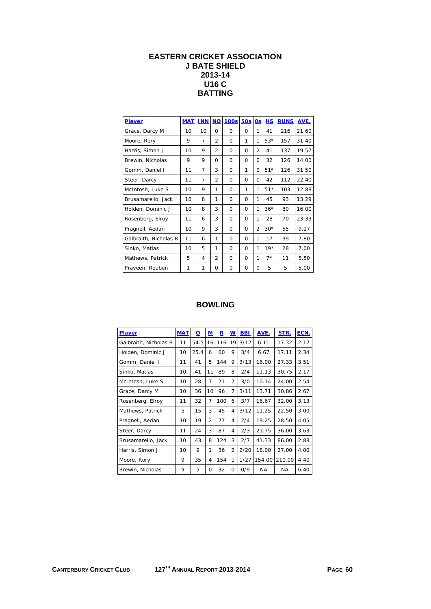# **EASTERN CRICKET ASSOCIATION J BATE SHIELD 2013-14 U16 C BATTING**

| Player                | <b>MAT</b> | <b>INN</b>     | <b>NO</b>      | <b>100s</b> | 50s      | 0s             | <b>HS</b> | <b>RUNS</b> | AVE.  |
|-----------------------|------------|----------------|----------------|-------------|----------|----------------|-----------|-------------|-------|
| Grace, Darcy M        | 10         | 10             | $\Omega$       | $\Omega$    | $\Omega$ | 1              | 41        | 216         | 21.60 |
| Moore, Rory           | 9          | 7              | $\overline{2}$ | $\Omega$    | 1        | 1              | $53*$     | 157         | 31.40 |
| Harris, Simon J       | 10         | 9              | $\overline{2}$ | $\Omega$    | 0        | $\overline{2}$ | 41        | 137         | 19.57 |
| Brewin, Nicholas      | 9          | 9              | 0              | $\Omega$    | 0        | 0              | 32        | 126         | 14.00 |
| Gomm, Daniel I        | 11         | $\overline{7}$ | 3              | $\Omega$    | 1        | $\Omega$       | $51*$     | 126         | 31.50 |
| Steer, Darcy          | 11         | $\overline{7}$ | $\overline{2}$ | $\Omega$    | 0        | 0              | 42        | 112         | 22.40 |
| McIntosh, Luke S      | 10         | 9              | 1              | $\Omega$    | 1        | 1              | $51*$     | 103         | 12.88 |
| Brusamarello, Jack    | 10         | 8              | 1              | $\Omega$    | $\Omega$ | 1              | 45        | 93          | 13.29 |
| Holden, Dominic J     | 10         | 8              | 3              | $\Omega$    | $\Omega$ | 1              | $36*$     | 80          | 16.00 |
| Rosenberg, Elroy      | 11         | 6              | 3              | $\Omega$    | 0        | 1              | 28        | 70          | 23.33 |
| Pragnell, Aedan       | 10         | 9              | 3              | $\Omega$    | 0        | $\overline{2}$ | $30*$     | 55          | 9.17  |
| Galbraith, Nicholas B | 11         | 6              | 1              | $\Omega$    | $\Omega$ | 1              | 17        | 39          | 7.80  |
| Sinko, Matias         | 10         | 5              | 1              | $\Omega$    | $\Omega$ | 1              | $19*$     | 28          | 7.00  |
| Mathews, Patrick      | 5          | 4              | $\overline{2}$ | $\Omega$    | $\Omega$ | 1              | $7*$      | 11          | 5.50  |
| Praveen, Reuben       | 1          | 1              | 0              | $\Omega$    | $\Omega$ | Ω              | 5         | 5           | 5.00  |

| Player                | <b>MAT</b> | О    | M              | R   | W              | <b>BBI</b> | AVE.      | STR.      | ECN. |
|-----------------------|------------|------|----------------|-----|----------------|------------|-----------|-----------|------|
| Galbraith, Nicholas B | 11         | 54.5 | 16             | 116 | 19             | 3/12       | 6.11      | 17.32     | 2.12 |
| Holden, Dominic J     | 10         | 25.4 | 6              | 60  | 9              | 3/4        | 6.67      | 17.11     | 2.34 |
| Gomm, Daniel I        | 11         | 41   | 5              | 144 | 9              | 3/13       | 16.00     | 27.33     | 3.51 |
| Sinko, Matias         | 10         | 41   | 11             | 89  | 8              | 2/4        | 11.13     | 30.75     | 2.17 |
| McIntosh, Luke S      | 10         | 28   | 7              | 71  | 7              | 3/0        | 10.14     | 24.00     | 2.54 |
| Grace, Darcy M        | 10         | 36   | 10             | 96  | 7              | 3/11       | 13.71     | 30.86     | 2.67 |
| Rosenberg, Elroy      | 11         | 32   | 7              | 100 | 6              | 3/7        | 16.67     | 32.00     | 3.13 |
| Mathews, Patrick      | 5          | 15   | 3              | 45  | 4              | 3/12       | 11.25     | 22.50     | 3.00 |
| Pragnell, Aedan       | 10         | 19   | $\overline{2}$ | 77  | 4              | 2/4        | 19.25     | 28.50     | 4.05 |
| Steer, Darcy          | 11         | 24   | 3              | 87  | 4              | 2/3        | 21.75     | 36.00     | 3.63 |
| Brusamarello, Jack    | 10         | 43   | 8              | 124 | 3              | 2/7        | 41.33     | 86.00     | 2.88 |
| Harris, Simon J       | 10         | 9    | 1              | 36  | $\overline{2}$ | 2/20       | 18.00     | 27.00     | 4.00 |
| Moore, Rory           | 9          | 35   | 4              | 154 | 1              | 1/27       | 154.00    | 210.00    | 4.40 |
| Brewin, Nicholas      | 9          | 5    | 0              | 32  | $\Omega$       | 0/9        | <b>NA</b> | <b>NA</b> | 6.40 |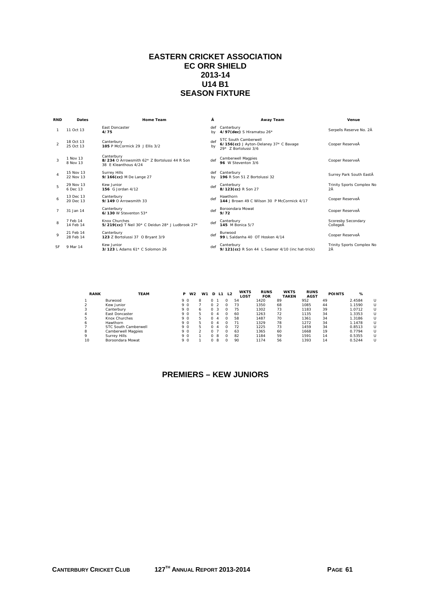### **EASTERN CRICKET ASSOCIATION EC ORR SHIELD 2013-14 U14 B1 SEASON FIXTURE**

| <b>RND</b>     | <b>Dates</b>           | <b>Home Team</b>                                                                   | Â         | Away Team                                                                                     | Venue                           |
|----------------|------------------------|------------------------------------------------------------------------------------|-----------|-----------------------------------------------------------------------------------------------|---------------------------------|
|                | 11 Oct 13              | <b>Fast Doncaster</b><br>4/75                                                      | def<br>bv | Canterbury<br>4/97(dec) S Hiramatsu 26*                                                       | Serpells Reserve No. 2Å         |
| $\mathcal{P}$  | 18 Oct 13<br>25 Oct 13 | Canterbury<br>105 P McCormick 29 J Filis 3/2                                       | def<br>by | <b>STC South Camberwell</b><br>6/156(cc) J Ayton-Delaney 37* C Bavage<br>29* 7 Bortolussi 3/6 | Cooper ReserveÅ                 |
| 3              | 1 Nov 13<br>8 Nov 13   | Canterbury<br>8/234 O Arrowsmith 62* 7 Bortolussi 44 R Son<br>38 F Kleanthous 4/24 | def       | Camberwell Magpies<br>96 W Steventon 3/6                                                      | Cooper ReserveÅ                 |
| 4              | 15 Nov 13<br>22 Nov 13 | <b>Surrey Hills</b><br>9/166(cc) M De Lange 27                                     | bv        | def Canterbury<br>196 R Son 51 Z Bortolussi 32                                                | Surrey Park South EastÅ         |
| 5              | 29 Nov 13<br>6 Dec 13  | Kew Junior<br>156 G Jordan 4/12                                                    | def       | Canterbury<br>8/123(cc) R Son 27                                                              | Trinity Sports Complex No<br>2Ā |
| 6              | 13 Dec 13<br>20 Dec 13 | Canterbury<br>9/149 O Arrowsmith 33                                                | def       | Hawthorn<br>144 J Brown 49 C Wilson 30 P McCormick 4/17                                       | Cooper ReserveÅ                 |
| $\overline{7}$ | 31 Jan 14              | Canterbury<br>6/130 W Steventon 53*                                                | def       | Boroondara Mowat<br>9/72                                                                      | Cooper ReserveÅ                 |
| 8              | 7 Feb 14<br>14 Feb 14  | Knox Churches<br>5/219(cc) T Neil 30* C Deidun 28* J Ludbrook 27*                  | def       | Canterbury<br>145 M Bonica 5/7                                                                | Scoresby Secondary<br>CollegeÅ  |
| $\mathsf Q$    | 21 Feb 14<br>28 Feb 14 | Canterbury<br>123 Z Bortolussi 37 O Bryant 3/9                                     | def       | Burwood<br>99   Saldanha 40 OT Hosken 4/14                                                    | Cooper ReserveÅ                 |
| SF             | 9 Mar 14               | Kew Junior<br>$3/123$   Adams 61* C Solomon 26                                     | def       | Canterbury<br>9/121 (cc) R Son 44 L Seamer 4/10 (inc hat-trick)                               | Trinity Sports Complex No<br>2Ā |

| <b>RANK</b> | TEAM                 |     | <b>P</b> W <sub>2</sub> | W <sub>1</sub> | D              | L1           | <b>L2</b> | <b>WKTS</b><br>LOST | <b>RUNS</b><br><b>FOR</b> | <b>WKTS</b><br><b>TAKEN</b> | <b>RUNS</b><br><b>AGST</b> | <b>POINTS</b> | %      |   |
|-------------|----------------------|-----|-------------------------|----------------|----------------|--------------|-----------|---------------------|---------------------------|-----------------------------|----------------------------|---------------|--------|---|
|             | <b>Burwood</b>       | 9 O |                         | 8              |                |              | O         | 54                  | 1420                      | 89                          | 952                        | 49            | 2.4584 | U |
|             | Kew Junior           | 9 O |                         |                |                |              | $\Omega$  | 73                  | 1350                      | 68                          | 1085                       | 44            | 1.1590 | U |
|             | Canterbury           | 9 O |                         | 6              | 0 <sub>3</sub> |              | $\Omega$  | 75                  | 1302                      | 73                          | 1183                       | 39            | 1.0712 | U |
| 4           | East Doncaster       | 9 O |                         | 5              |                | $\mathbf{A}$ | O         | 60                  | 1263                      | 72                          | 1135                       | 34            | 1.3353 | U |
| h           | Knox Churches        | 9 O |                         | 5              |                | $\mathbf{A}$ | O         | 58                  | 1487                      | 70                          | 1361                       | 34            | 1.3186 | U |
| ь           | Hawthorn             | 9 O |                         | 5              |                | $\mathbf{A}$ | O         |                     | 1329                      | 78                          | 1272                       | 34            | 1.1478 | U |
|             | STC South Camberwell | 9 O |                         | 5              |                | -4           | $\Omega$  | 72                  | 1225                      | 73                          | 1459                       | 34            | 0.8513 | U |
| 8           | Camberwell Magpies   | 9 O |                         |                |                |              | $\Omega$  | 63                  | 1365                      | 60                          | 1668                       | 19            | 0.7794 | U |
| 9           | Surrey Hills         | 9 O |                         |                | n.             | -8           | $\Omega$  | 82                  | 1184                      | 59                          | 1591                       | 14            | 0.5355 | U |
| 10          | Boroondara Mowat     | 9 O |                         |                |                | -8           | $\Omega$  | 90                  | 1174                      | 56                          | 1393                       | 14            | 0.5244 | U |

# **PREMIERS – KEW JUNIORS**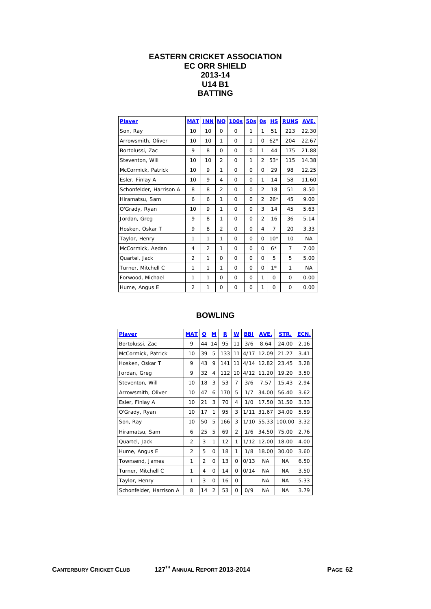## **EASTERN CRICKET ASSOCIATION EC ORR SHIELD 2013-14 U14 B1 BATTING**

| Player                  | <b>MAT</b>     | <b>INN</b>     | $NO$           | <b>100s</b> | 50s      | <b>Os</b>      | HS             | <b>RUNS</b>    | AVE.      |
|-------------------------|----------------|----------------|----------------|-------------|----------|----------------|----------------|----------------|-----------|
| Son, Ray                | 10             | 10             | $\Omega$       | $\Omega$    | 1        | 1              | 51             | 223            | 22.30     |
| Arrowsmith, Oliver      | 10             | 10             | 1              | $\Omega$    | 1        | $\Omega$       | $62*$          | 204            | 22.67     |
| Bortolussi, Zac         | 9              | 8              | $\Omega$       | $\Omega$    | $\Omega$ | $\mathbf{1}$   | 44             | 175            | 21.88     |
| Steventon, Will         | 10             | 10             | $\overline{2}$ | $\Omega$    | 1        | $\overline{2}$ | $53*$          | 115            | 14.38     |
| McCormick, Patrick      | 10             | 9              | 1              | $\Omega$    | $\Omega$ | $\Omega$       | 29             | 98             | 12.25     |
| Esler, Finlay A         | 10             | 9              | 4              | $\Omega$    | $\Omega$ | 1              | 14             | 58             | 11.60     |
| Schonfelder, Harrison A | 8              | 8              | 2              | $\Omega$    | $\Omega$ | $\overline{2}$ | 18             | 51             | 8.50      |
| Hiramatsu, Sam          | 6              | 6              | 1              | $\Omega$    | $\Omega$ | $\overline{2}$ | $26*$          | 45             | 9.00      |
| O'Grady, Ryan           | 10             | 9              | 1              | $\Omega$    | $\Omega$ | 3              | 14             | 45             | 5.63      |
| Jordan, Greg            | 9              | 8              | 1              | 0           | 0        | $\overline{2}$ | 16             | 36             | 5.14      |
| Hosken, Oskar T         | 9              | 8              | $\overline{2}$ | 0           | 0        | 4              | $\overline{7}$ | 20             | 3.33      |
| Taylor, Henry           | 1              | 1              | 1              | $\Omega$    | $\Omega$ | $\Omega$       | $10*$          | 10             | <b>NA</b> |
| McCormick, Aedan        | 4              | $\overline{2}$ | 1              | $\Omega$    | $\Omega$ | $\Omega$       | $6*$           | $\overline{7}$ | 7.00      |
| Quartel, Jack           | $\overline{2}$ | 1              | $\Omega$       | 0           | $\Omega$ | $\Omega$       | 5              | 5              | 5.00      |
| Turner, Mitchell C      | 1              | 1              | 1              | 0           | $\Omega$ | $\Omega$       | $1*$           | 1              | <b>NA</b> |
| Forwood, Michael        | 1              | $\mathbf{1}$   | $\Omega$       | $\Omega$    | $\Omega$ | 1              | 0              | O              | 0.00      |
| Hume, Angus E           | $\overline{2}$ | 1              | $\Omega$       | $\Omega$    | $\Omega$ | 1              | 0              | O              | 0.00      |

| <b>Player</b>           | <b>MAT</b>     | $\overline{\mathbf{o}}$ | M              | R   | $\underline{\mathsf{w}}$ | <b>BBI</b> | AVE.      | STR.      | ECN. |
|-------------------------|----------------|-------------------------|----------------|-----|--------------------------|------------|-----------|-----------|------|
| Bortolussi, Zac         | 9              | 44                      | 14             | 95  | 11                       | 3/6        | 8.64      | 24.00     | 2.16 |
| McCormick, Patrick      | 10             | 39                      | 5              | 133 | 11                       | 4/17       | 12.09     | 21.27     | 3.41 |
| Hosken, Oskar T         | 9              | 43                      | 9              | 141 | 11                       | 4/14       | 12.82     | 23.45     | 3.28 |
| Jordan, Greg            | 9              | 32                      | 4              | 112 | 10                       | 4/12       | 11.20     | 19.20     | 3.50 |
| Steventon, Will         | 10             | 18                      | 3              | 53  | 7                        | 3/6        | 7.57      | 15.43     | 2.94 |
| Arrowsmith, Oliver      | 10             | 47                      | 6              | 170 | 5                        | 1/7        | 34.00     | 56.40     | 3.62 |
| Esler, Finlay A         | 10             | 21                      | 3              | 70  | 4                        | 1/0        | 17.50     | 31.50     | 3.33 |
| O'Grady, Ryan           | 10             | 17                      | 1              | 95  | 3                        | 1/11       | 31.67     | 34.00     | 5.59 |
| Son, Ray                | 10             | 50                      | 5              | 166 | 3                        | 1/10       | 55.33     | 100.00    | 3.32 |
| Hiramatsu, Sam          | 6              | 25                      | 5              | 69  | $\overline{2}$           | 1/6        | 34.50     | 75.00     | 2.76 |
| Quartel, Jack           | $\overline{2}$ | 3                       | 1              | 12  | 1                        | 1/12       | 12.00     | 18.00     | 4.00 |
| Hume, Angus E           | 2              | 5                       | O              | 18  | 1                        | 1/8        | 18.00     | 30.00     | 3.60 |
| Townsend, James         | 1              | $\overline{2}$          | $\Omega$       | 13  | $\Omega$                 | 0/13       | <b>NA</b> | <b>NA</b> | 6.50 |
| Turner, Mitchell C      | 1              | 4                       | 0              | 14  | 0                        | 0/14       | <b>NA</b> | ΝA        | 3.50 |
| Taylor, Henry           | 1              | 3                       | 0              | 16  | 0                        |            | <b>NA</b> | ΝA        | 5.33 |
| Schonfelder, Harrison A | 8              | 14                      | $\overline{2}$ | 53  | $\Omega$                 | 0/9        | <b>NA</b> | <b>NA</b> | 3.79 |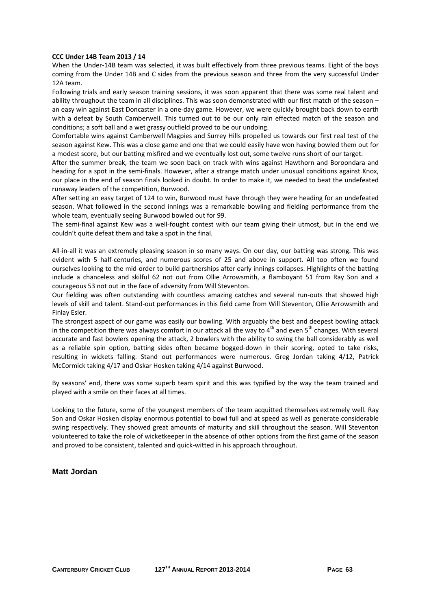#### **CCC Under 14B Team 2013 / 14**

When the Under-14B team was selected, it was built effectively from three previous teams. Eight of the boys coming from the Under 14B and C sides from the previous season and three from the very successful Under 12A team.

Following trials and early season training sessions, it was soon apparent that there was some real talent and ability throughout the team in all disciplines. This was soon demonstrated with our first match of the season – an easy win against East Doncaster in a one‐day game. However, we were quickly brought back down to earth with a defeat by South Camberwell. This turned out to be our only rain effected match of the season and conditions; a soft ball and a wet grassy outfield proved to be our undoing.

Comfortable wins against Camberwell Magpies and Surrey Hills propelled us towards our first real test of the season against Kew. This was a close game and one that we could easily have won having bowled them out for a modest score, but our batting misfired and we eventually lost out, some twelve runs short of our target.

After the summer break, the team we soon back on track with wins against Hawthorn and Boroondara and heading for a spot in the semi-finals. However, after a strange match under unusual conditions against Knox, our place in the end of season finals looked in doubt. In order to make it, we needed to beat the undefeated runaway leaders of the competition, Burwood.

After setting an easy target of 124 to win, Burwood must have through they were heading for an undefeated season. What followed in the second innings was a remarkable bowling and fielding performance from the whole team, eventually seeing Burwood bowled out for 99.

The semi-final against Kew was a well-fought contest with our team giving their utmost, but in the end we couldn't quite defeat them and take a spot in the final.

All-in-all it was an extremely pleasing season in so many ways. On our day, our batting was strong. This was evident with 5 half-centuries, and numerous scores of 25 and above in support. All too often we found ourselves looking to the mid‐order to build partnerships after early innings collapses. Highlights of the batting include a chanceless and skilful 62 not out from Ollie Arrowsmith, a flamboyant 51 from Ray Son and a courageous 53 not out in the face of adversity from Will Steventon.

Our fielding was often outstanding with countless amazing catches and several run-outs that showed high levels of skill and talent. Stand‐out performances in this field came from Will Steventon, Ollie Arrowsmith and Finlay Esler.

The strongest aspect of our game was easily our bowling. With arguably the best and deepest bowling attack in the competition there was always comfort in our attack all the way to  $4<sup>th</sup>$  and even  $5<sup>th</sup>$  changes. With several accurate and fast bowlers opening the attack, 2 bowlers with the ability to swing the ball considerably as well as a reliable spin option, batting sides often became bogged-down in their scoring, opted to take risks, resulting in wickets falling. Stand out performances were numerous. Greg Jordan taking 4/12, Patrick McCormick taking 4/17 and Oskar Hosken taking 4/14 against Burwood.

By seasons' end, there was some superb team spirit and this was typified by the way the team trained and played with a smile on their faces at all times.

Looking to the future, some of the youngest members of the team acquitted themselves extremely well. Ray Son and Oskar Hosken display enormous potential to bowl full and at speed as well as generate considerable swing respectively. They showed great amounts of maturity and skill throughout the season. Will Steventon volunteered to take the role of wicketkeeper in the absence of other options from the first game of the season and proved to be consistent, talented and quick-witted in his approach throughout.

#### **Matt Jordan**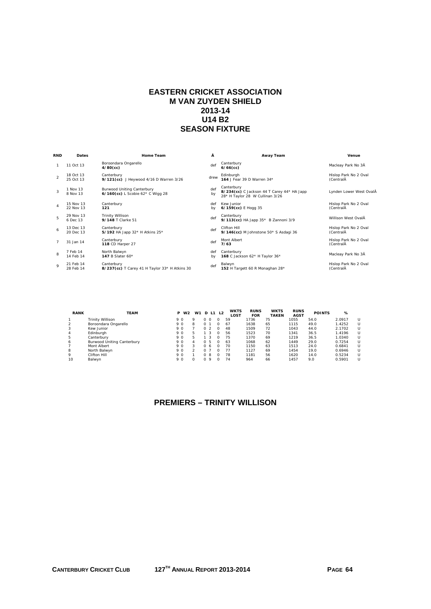## **EASTERN CRICKET ASSOCIATION M VAN ZUYDEN SHIELD 2013-14 U14 B2 SEASON FIXTURE**

| <b>RND</b>     | <b>Dates</b>           | <b>Home Team</b>                                                      | Â         | Away Team                                                                                   | Venue                              |
|----------------|------------------------|-----------------------------------------------------------------------|-----------|---------------------------------------------------------------------------------------------|------------------------------------|
|                | 11 Oct 13              | Boroondara Ongarello<br>$4/80$ (cc)                                   | def       | Canterbury<br>$6/66$ (cc)                                                                   | Macleay Park No 3Å                 |
| $\mathfrak{D}$ | 18 Oct 13<br>25 Oct 13 | Canterbury<br>9/121(cc) J Hevwood 4/16 D Warren 3/26                  | drew      | Edinburgh<br>164 J Fear 39 D Warren 34*                                                     | Hislop Park No 2 Oval<br>(CentralA |
| $\mathbf{z}$   | 1 Nov 13<br>8 Nov 13   | <b>Burwood Uniting Canterbury</b><br>6/160(cc) L Scobie 62* C Wigg 28 | def<br>by | Canterbury<br>8/234(cc) C Jackson 44 T Carey 44* HA Japp<br>28* H Taylor 28 W Cullinan 3/26 | Lynden Lower West OvalA            |
| $\overline{4}$ | 15 Nov 13<br>22 Nov 13 | Canterbury<br>121                                                     | def<br>bv | Kew Junior<br>6/159(cc) E Hogg 35                                                           | Hislop Park No 2 Oval<br>(CentralĂ |
| 5              | 29 Nov 13<br>6 Dec 13  | <b>Trinity Willison</b><br>9/148 T Clarke 51                          | def       | Canterbury<br>9/113(cc) HA Japp 35* B Zannoni 3/9                                           | Willison West OvalÂ                |
| 6              | 13 Dec 13<br>20 Dec 13 | Canterbury<br>5/192 HA Japp 32* H Atkins 25*                          | def       | Clifton Hill<br>9/146(cc) M Johnstone 50* S Asdaqi 36                                       | Hislop Park No 2 Oval<br>(CentralĂ |
| $\overline{7}$ | 31 Jan 14              | Canterbury<br><b>118 CD Harper 27</b>                                 | def       | Mont Albert<br>7/63                                                                         | Hislop Park No 2 Oval<br>(CentralĂ |
| 8              | 7 Feb 14<br>14 Feb 14  | North Balwyn<br>147 B Slater 60*                                      | def<br>bv | Canterbury<br>168 C Jackson 62* H Taylor 36*                                                | Macleay Park No 3Å                 |
| $\circ$        | 21 Feb 14<br>28 Feb 14 | Canterbury<br>8/237(cc) T Carey 41 H Taylor 33* H Atkins 30           | def       | Balwyn<br>152 H Targett 60 R Monaghan 28*                                                   | Hislop Park No 2 Oval<br>(CentralĂ |

| <b>RANK</b> | <b>TEAM</b>                       | <b>P</b> W <sub>2</sub> |   | W1       |            | <b>D</b> L1 | L2       | <b>WKTS</b><br>LOST | <b>RUNS</b><br><b>FOR</b> | <b>WKTS</b><br><b>TAKEN</b> | <b>RUNS</b><br><b>AGST</b> | <b>POINTS</b> | %      |        |
|-------------|-----------------------------------|-------------------------|---|----------|------------|-------------|----------|---------------------|---------------------------|-----------------------------|----------------------------|---------------|--------|--------|
|             | <b>Trinity Willison</b>           | 9 O                     | Q |          | $\Omega$   |             | $\Omega$ | 59                  | 1736                      | 75                          | 1055                       | 54.0          | 2.0917 | U      |
|             | Boroondara Ongarello              | 9 O                     | 8 |          |            |             |          | 67                  | 1638                      | 65                          | 1115                       | 49.0          | 1.4252 | U      |
|             | Kew Junior                        | 9 O                     |   | $\Omega$ |            |             |          | 48                  | 1509                      | 72                          | 1043                       | 44.0          | 2.1702 | U      |
| 4           | Edinburgh                         | 9 O                     | 5 |          | 3          |             |          | 56                  | 1523                      | 70                          | 1341                       | 36.5          | 1.4196 | U      |
| 5           | Canterbury                        | 9 O                     | 5 |          |            |             |          | 75                  | 1370                      | 69                          | 1219                       | 36.5          | 1.0340 | U      |
| 6           | <b>Burwood Uniting Canterbury</b> | 9 O                     | 4 | $\Omega$ | -5         |             |          | 63                  | 1068                      | 62                          | 1449                       | 29.0          | 0.7254 | U      |
|             | Mont Albert                       | 9 O                     | 3 | $\Omega$ | 6          |             | $\Omega$ | 70                  | 1150                      | 63                          | 1513                       | 24.0          | 0.6841 | U      |
| 8           | North Balwyn                      | 9 O                     |   |          |            |             |          | 77                  | 1127                      | 69                          | 1454                       | 19.0          | 0.6946 | U      |
| 9           | Clifton Hill                      | 9 O                     |   | $\Omega$ | 8          |             | $\Omega$ | 78                  | 1181                      | 56                          | 1620                       | 14.0          | 0.5234 | $\cup$ |
| 10          | Balwyn                            | 9 O                     |   |          | $^{\circ}$ |             |          | 74                  | 964                       | 66                          | 1457                       | 9.0           | 0.5901 | U      |

# **PREMIERS – TRINITY WILLISON**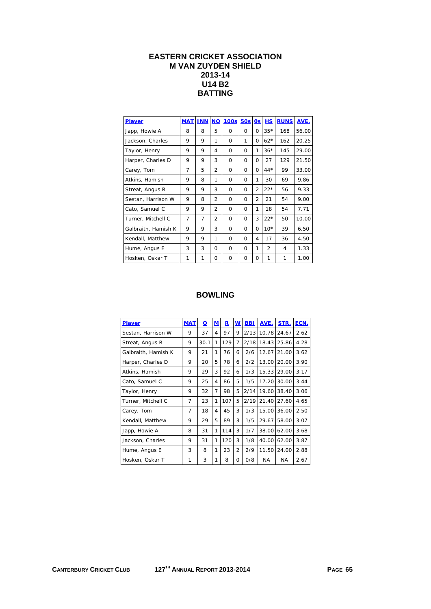## **EASTERN CRICKET ASSOCIATION M VAN ZUYDEN SHIELD 2013-14 U14 B2 BATTING**

| <b>Player</b>       | <b>MAT</b>     | <b>INN</b> | <b>NO</b>      | 100s     | 50s      | 0s             | H.S            | <b>RUNS</b> | AVE.  |
|---------------------|----------------|------------|----------------|----------|----------|----------------|----------------|-------------|-------|
| Japp, Howie A       | 8              | 8          | 5              | $\Omega$ | 0        | 0              | $35*$          | 168         | 56.00 |
| Jackson, Charles    | 9              | 9          | 1              | $\Omega$ | 1        | O              | $62*$          | 162         | 20.25 |
| Taylor, Henry       | 9              | 9          | 4              | $\Omega$ | 0        | 1              | $36*$          | 145         | 29.00 |
| Harper, Charles D   | 9              | 9          | 3              | $\Omega$ | O        | O              | 27             | 129         | 21.50 |
| Carey, Tom          | $\overline{7}$ | 5          | $\overline{2}$ | $\Omega$ | 0        | 0              | $44*$          | 99          | 33.00 |
| Atkins, Hamish      | 9              | 8          | 1              | 0        | $\Omega$ | 1              | 30             | 69          | 9.86  |
| Streat, Angus R     | 9              | 9          | 3              | $\Omega$ | 0        | $\mathcal{P}$  | $22*$          | 56          | 9.33  |
| Sestan, Harrison W  | 9              | 8          | $\overline{2}$ | $\Omega$ | 0        | $\overline{2}$ | 21             | 54          | 9.00  |
| Cato, Samuel C      | 9              | 9          | $\overline{2}$ | $\Omega$ | $\Omega$ | 1              | 18             | 54          | 7.71  |
| Turner, Mitchell C  | 7              | 7          | $\overline{2}$ | $\Omega$ | 0        | 3              | $22*$          | 50          | 10.00 |
| Galbraith, Hamish K | 9              | 9          | 3              | $\Omega$ | $\Omega$ | O              | $10*$          | 39          | 6.50  |
| Kendall, Matthew    | 9              | 9          | 1              | $\Omega$ | 0        | 4              | 17             | 36          | 4.50  |
| Hume, Angus E       | 3              | 3          | O              | $\Omega$ | 0        | 1              | $\overline{2}$ | 4           | 1.33  |
| Hosken, Oskar T     | 1              | 1          | 0              | $\Omega$ | $\Omega$ | 0              | 1              | 1           | 1.00  |

| Player              | <b>MAT</b> | О    | M | R   | w              | <b>BBI</b> | AVE.  | STR.      | ECN. |
|---------------------|------------|------|---|-----|----------------|------------|-------|-----------|------|
| Sestan, Harrison W  | 9          | 37   | 4 | 97  | 9              | 2/13       | 10.78 | 24.67     | 2.62 |
| Streat, Angus R     | 9          | 30.1 | 1 | 129 | 7              | 2/18       | 18.43 | 25.86     | 4.28 |
| Galbraith, Hamish K | 9          | 21   | 1 | 76  | 6              | 2/6        | 12.67 | 21.00     | 3.62 |
| Harper, Charles D   | 9          | 20   | 5 | 78  | 6              | 2/2        | 13.00 | 20.00     | 3.90 |
| Atkins, Hamish      | 9          | 29   | 3 | 92  | 6              | 1/3        | 15.33 | 29.00     | 3.17 |
| Cato, Samuel C      | 9          | 25   | 4 | 86  | 5              | 1/5        | 17.20 | 30.00     | 3.44 |
| Taylor, Henry       | 9          | 32   | 7 | 98  | 5              | 2/14       | 19.60 | 38.40     | 3.06 |
| Turner, Mitchell C  | 7          | 23   | 1 | 107 | 5              | 2/19       | 21.40 | 27.60     | 4.65 |
| Carey, Tom          | 7          | 18   | 4 | 45  | 3              | 1/3        | 15.00 | 36.00     | 2.50 |
| Kendall, Matthew    | 9          | 29   | 5 | 89  | 3              | 1/5        | 29.67 | 58.00     | 3.07 |
| Japp, Howie A       | 8          | 31   | 1 | 114 | 3              | 1/7        | 38.00 | 62.00     | 3.68 |
| Jackson, Charles    | 9          | 31   | 1 | 120 | 3              | 1/8        | 40.00 | 62.00     | 3.87 |
| Hume, Angus E       | 3          | 8    | 1 | 23  | $\overline{2}$ | 2/9        | 11.50 | 24.00     | 2.88 |
| Hosken, Oskar T     | 1          | 3    | 1 | 8   | 0              | 0/8        | NA.   | <b>NA</b> | 2.67 |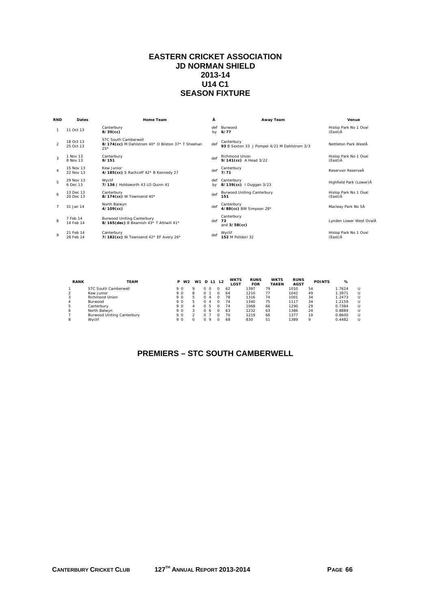## **EASTERN CRICKET ASSOCIATION JD NORMAN SHIELD 2013-14 U14 C1 SEASON FIXTURE**

| <b>RND</b>     | <b>Dates</b>           | Home Team                                                                          | Â         | Away Team                                                  | Venue                            |
|----------------|------------------------|------------------------------------------------------------------------------------|-----------|------------------------------------------------------------|----------------------------------|
|                | 11 Oct 13              | Canterbury<br>$8/39$ (cc)                                                          | def<br>bv | Burwood<br>6/77                                            | Hislop Park No 1 Oval<br>(East)Å |
| $\mathfrak{D}$ | 18 Oct 13<br>25 Oct 13 | STC South Camberwell<br>8/174(cc) M Dahlstrom 40* O Bilston 37* T Sheehan<br>$25*$ | def       | Canterbury<br>93 B Sexton 33 J Pompei 4/21 M Dahlstrom 3/3 | Nettleton Park WestÄ             |
| 3              | 1 Nov 13<br>8 Nov 13   | Canterbury<br>9/151                                                                | def       | <b>Richmond Union</b><br>9/141(cc) A Head 3/22             | Hislop Park No 1 Oval<br>(East)Å |
| 4              | 15 Nov 13<br>22 Nov 13 | Kew Junior<br>4/185(cc) S Rachcoff 42* B Kennedy 27                                | def       | Canterbury<br>7/71                                         | Reservoir ReserveÅ               |
| 5              | 29 Nov 13<br>6 Dec 13  | Wyclif<br>7/136 J Holdsworth 43 LO Ouinn 41                                        | def<br>bv | Canterbury<br>8/139(cc)   Duggan 3/23                      | Highfield Park (Lower) A         |
| 6              | 13 Dec 13<br>20 Dec 13 | Canterbury<br>8/174(cc) W Townsend 40*                                             | def       | <b>Burwood Uniting Canterbury</b><br>151                   | Hislop Park No 1 Oval<br>(East)Å |
| $\overline{7}$ | 31 Jan 14              | North Balwyn<br>$4/109$ (cc)                                                       | def       | Canterbury<br>4/88(cc) BW Simpson 28*                      | Macleay Park No 5Å               |
| 8              | 7 Feb 14<br>14 Feb 14  | <b>Burwood Uniting Canterbury</b><br>8/165 (dec) B Beamish 43* T Attiwill 41*      | def       | Canterbury<br>73<br>and $3/58$ (cc)                        | Lynden Lower West OvalÂ          |
| $\circ$        | 21 Feb 14<br>28 Feb 14 | Canterbury<br>7/182(cc) W Townsend 42* EF Avery 26*                                | def       | Wyclif<br>152 M Polidori 32                                | Hislop Park No 1 Oval<br>(East)Å |

| <b>RANK</b> | <b>TEAM</b>                       | P   | W <sub>2</sub> | W1 |              | D L1    | L2 | <b>WKTS</b><br><b>LOST</b> | <b>RUNS</b><br><b>FOR</b> | <b>WKTS</b><br><b>TAKEN</b> | <b>RUNS</b><br><b>AGST</b> | <b>POINTS</b> | %      |  |
|-------------|-----------------------------------|-----|----------------|----|--------------|---------|----|----------------------------|---------------------------|-----------------------------|----------------------------|---------------|--------|--|
|             | STC South Camberwell              | 9 O |                | o  |              |         |    | 62                         | 1397                      | 79                          | 1010                       | 54            | 1.7624 |  |
|             | Kew Junior                        | 9 O |                | 8  |              |         |    | 64                         | 1210                      |                             | 1042                       | 49            | .3971  |  |
|             | <b>Richmond Union</b>             | 9 O |                | 5  |              |         |    | 78                         | 1316                      | 74                          | 1001                       | 34            | .2473  |  |
| 4           | Burwood                           | 9 O |                | 5  |              |         |    | 74                         | 1340                      | 75                          | 1117                       | 34            | .2159  |  |
| ь           | Canterburv                        | 9 O |                |    | <sup>n</sup> | -5      |    | 74                         | 1068                      | 66                          | 1290                       | 29            | 0.7384 |  |
| 6           | North Balwyn                      | 9 O |                |    |              | 6       |    | 63                         | 1232                      | 63                          | 1386                       | 24            | 0.8889 |  |
|             | <b>Burwood Uniting Canterbury</b> | 9 O |                |    |              |         |    | 70                         | 1219                      | 68                          | 1377                       | 19            | 0.8600 |  |
|             | Wyclif                            | 9 O |                |    |              | $\circ$ |    | 68                         | 830                       | 51                          | 1389                       |               | 0.4482 |  |

# **PREMIERS – STC SOUTH CAMBERWELL**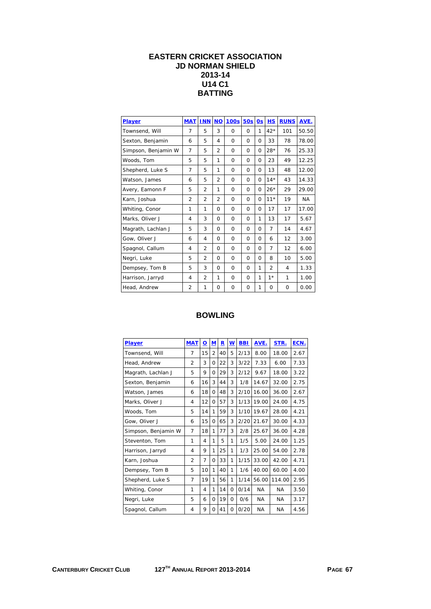# **EASTERN CRICKET ASSOCIATION JD NORMAN SHIELD 2013-14 U14 C1 BATTING**

| Player              | <b>MAT</b>     | <b>INN</b>     | $NO$           | <b>100s</b> | 50s      | 0s       | HS             | <b>RUNS</b> | AVE.  |
|---------------------|----------------|----------------|----------------|-------------|----------|----------|----------------|-------------|-------|
| Townsend, Will      | $\overline{7}$ | 5              | 3              | $\Omega$    | $\Omega$ | 1        | $42*$          | 101         | 50.50 |
| Sexton, Benjamin    | 6              | 5              | 4              | $\Omega$    | $\Omega$ | $\Omega$ | 33             | 78          | 78.00 |
| Simpson, Benjamin W | 7              | 5              | $\overline{2}$ | $\Omega$    | $\Omega$ | $\Omega$ | $28*$          | 76          | 25.33 |
| Woods, Tom          | 5              | 5              | 1              | $\Omega$    | $\Omega$ | $\Omega$ | 23             | 49          | 12.25 |
| Shepherd, Luke S    | 7              | 5              | 1              | $\Omega$    | $\Omega$ | $\Omega$ | 13             | 48          | 12.00 |
| Watson, James       | 6              | 5              | $\overline{2}$ | $\Omega$    | $\Omega$ | $\Omega$ | $14*$          | 43          | 14.33 |
| Avery, Eamonn F     | 5              | $\overline{2}$ | 1              | $\Omega$    | $\Omega$ | $\Omega$ | $26*$          | 29          | 29.00 |
| Karn, Joshua        | 2              | 2              | $\overline{2}$ | $\Omega$    | $\Omega$ | $\Omega$ | $11*$          | 19          | NA.   |
| Whiting, Conor      | 1              | 1              | $\Omega$       | $\Omega$    | $\Omega$ | O        | 17             | 17          | 17.00 |
| Marks, Oliver J     | 4              | 3              | $\Omega$       | $\Omega$    | 0        | 1        | 13             | 17          | 5.67  |
| Magrath, Lachlan J  | 5              | 3              | $\Omega$       | $\Omega$    | $\Omega$ | $\Omega$ | 7              | 14          | 4.67  |
| Gow. Oliver J       | 6              | 4              | $\Omega$       | $\Omega$    | $\Omega$ | $\Omega$ | 6              | 12          | 3.00  |
| Spagnol, Callum     | $\overline{4}$ | $\overline{2}$ | $\Omega$       | $\Omega$    | $\Omega$ | $\Omega$ | $\overline{7}$ | 12          | 6.00  |
| Negri, Luke         | 5              | 2              | $\Omega$       | $\Omega$    | $\Omega$ | $\Omega$ | 8              | 10          | 5.00  |
| Dempsey, Tom B      | 5              | 3              | $\Omega$       | $\Omega$    | $\Omega$ | 1        | $\overline{2}$ | 4           | 1.33  |
| Harrison, Jarryd    | 4              | $\overline{2}$ | 1              | $\Omega$    | $\Omega$ | 1        | $1*$           | 1           | 1.00  |
| Head, Andrew        | $\overline{2}$ | 1              | $\Omega$       | $\Omega$    | $\Omega$ | 1        | $\Omega$       | $\Omega$    | 0.00  |

| <b>Player</b>       | <b>MAT</b>     | $\bf{Q}$ | M              | $\overline{\mathbf{R}}$ | W | <b>BBI</b> | AVE.      | STR.      | ECN. |
|---------------------|----------------|----------|----------------|-------------------------|---|------------|-----------|-----------|------|
| Townsend, Will      | 7              | 15       | $\overline{2}$ | 40                      | 5 | 2/13       | 8.00      | 18.00     | 2.67 |
| Head, Andrew        | 2              | 3        | $\Omega$       | 22                      | 3 | 3/22       | 7.33      | 6.00      | 7.33 |
| Magrath, Lachlan J  | 5              | 9        | $\Omega$       | 29                      | 3 | 2/12       | 9.67      | 18.00     | 3.22 |
| Sexton, Benjamin    | 6              | 16       | 3              | 44                      | 3 | 1/8        | 14.67     | 32.00     | 2.75 |
| Watson, James       | 6              | 18       | 0              | 48                      | 3 | 2/10       | 16.00     | 36.00     | 2.67 |
| Marks, Oliver J     | 4              | 12       | $\Omega$       | 57                      | 3 | 1/13       | 19.00     | 24.00     | 4.75 |
| Woods, Tom          | 5              | 14       | 1              | 59                      | 3 | 1/10       | 19.67     | 28.00     | 4.21 |
| Gow, Oliver J       | 6              | 15       | $\Omega$       | 65                      | 3 | 2/20       | 21.67     | 30.00     | 4.33 |
| Simpson, Benjamin W | 7              | 18       | 1              | 77                      | 3 | 2/8        | 25.67     | 36.00     | 4.28 |
| Steventon, Tom      | 1              | 4        | 1              | 5                       | 1 | 1/5        | 5.00      | 24.00     | 1.25 |
| Harrison, Jarryd    | 4              | 9        | 1              | 25                      | 1 | 1/3        | 25.00     | 54.00     | 2.78 |
| Karn, Joshua        | $\overline{2}$ | 7        | 0              | 33                      | 1 | 1/15       | 33.00     | 42.00     | 4.71 |
| Dempsey, Tom B      | 5              | 10       | 1              | 40                      | 1 | 1/6        | 40.00     | 60.00     | 4.00 |
| Shepherd, Luke S    | 7              | 19       | 1              | 56                      | 1 | 1/14       | 56.00     | 114.00    | 2.95 |
| Whiting, Conor      | 1              | 4        | 1              | 14                      | 0 | 0/14       | <b>NA</b> | <b>NA</b> | 3.50 |
| Negri, Luke         | 5              | 6        | $\Omega$       | 19                      | 0 | 0/6        | NA.       | <b>NA</b> | 3.17 |
| Spagnol, Callum     | 4              | 9        | 0              | 41                      | 0 | 0/20       | ΝA        | <b>NA</b> | 4.56 |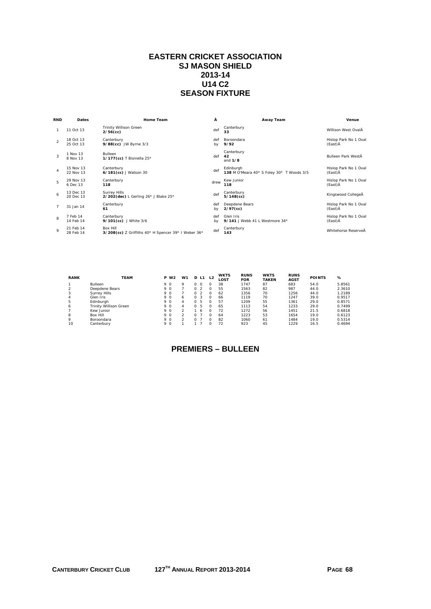## **EASTERN CRICKET ASSOCIATION SJ MASON SHIELD 2013-14 U14 C2 SEASON FIXTURE**

| <b>RND</b>     | <b>Dates</b>           | Home Team                                                              | Â         | Away Team                                              | Venue                            |
|----------------|------------------------|------------------------------------------------------------------------|-----------|--------------------------------------------------------|----------------------------------|
|                | 11 Oct 13              | <b>Trinity Willison Green</b><br>$2/56$ (cc)                           | def       | Canterbury<br>33                                       | Willison West OvalÂ              |
| $\mathcal{P}$  | 18 Oct 13<br>25 Oct 13 | Canterbury<br>9/88(cc) JW Byrne 3/3                                    | def<br>by | Boroondara<br>9/92                                     | Hislop Park No 1 Oval<br>(East)Ā |
| 3              | 1 Nov 13<br>8 Nov 13   | <b>Bulleen</b><br>1/177(cc) T Bisinella 25*                            | def       | Canterbury<br>42<br>and $1/8$                          | Bulleen Park WestÄ               |
| $\overline{4}$ | 15 Nov 13<br>22 Nov 13 | Canterbury<br>6/181(cc) J Watson 30                                    | def       | Edinburgh<br>138 M O'Meara 40* S Foley 30* T Woods 3/5 | Hislop Park No 1 Oval<br>(East)Ā |
| 5              | 29 Nov 13<br>6 Dec 13  | Canterbury<br>118                                                      | drew      | Kew Junior<br>118                                      | Hislop Park No 1 Oval<br>(East)Ā |
| 6              | 13 Dec 13<br>20 Dec 13 | <b>Surrey Hills</b><br>2/202(dec) L Gerling 26* J Blake 25*            | def       | Canterbury<br>$5/148$ (cc)                             | Kingswood CollegeÂ               |
| $\overline{7}$ | 31 Jan 14              | Canterbury<br>61                                                       | def<br>by | Deepdene Bears<br>$2/97$ (cc)                          | Hislop Park No 1 Oval<br>(East)Ā |
| 8              | 7 Feb 14<br>14 Feb 14  | Canterbury<br>9/101(cc) J White 3/6                                    | def<br>bv | Glen Iris<br>9/141 J Webb 41 L Westmore 34*            | Hislop Park No 1 Oval<br>(East)Ā |
| $\mathsf Q$    | 21 Feb 14<br>28 Feb 14 | <b>Box Hill</b><br>3/208(cc) Z Griffiths 40* H Spencer 39* I Weber 36* | def       | Canterbury<br>143                                      | Whitehorse ReserveÅ              |

| <b>RANK</b> | <b>TEAM</b>            | W <sub>2</sub><br>P | W1         |          | D L1           | L <sub>2</sub> | <b>WKTS</b><br>LOST | <b>RUNS</b><br><b>FOR</b> | <b>WKTS</b><br><b>TAKEN</b> | <b>RUNS</b><br><b>AGST</b> | <b>POINTS</b> | ℅      |
|-------------|------------------------|---------------------|------------|----------|----------------|----------------|---------------------|---------------------------|-----------------------------|----------------------------|---------------|--------|
|             | <b>Bulleen</b>         | 9 O                 | $^{\circ}$ |          |                |                | 38                  | 1747                      | 87                          | 683                        | 54.0          | 5.8561 |
|             | Deepdene Bears         | 9 O                 |            |          |                |                | 55                  | 1563                      | 82                          | 987                        | 44.0          | 2.3610 |
|             | Surrey Hills           | 9 O                 |            |          |                |                | 62                  | 1356                      | 70                          | 1256                       | 44.0          | 1.2189 |
| 4           | Glen Iris              | 9 O                 | 6          | $\Omega$ |                |                | 66                  | 1119                      | 70                          | 1247                       | 39.0          | 0.9517 |
| 5           | Edinburgh              | 9 O                 | Δ          |          | 0 <sub>5</sub> |                | 57                  | 1209                      | 55                          | 1361                       | 29.0          | 0.8571 |
| 6           | Trinity Willison Green | 9 O                 | 4          | $\Omega$ | -5             | O              | 65                  | 1113                      | 54                          | 1233                       | 29.0          | 0.7499 |
|             | Kew Junior             | 9 O                 |            |          |                |                | 72                  | 1272                      | 56                          | 1451                       | 21.5          | 0.6818 |
| 8           | Box Hill               | 9 O                 |            |          |                |                | 64                  | 1223                      | 53                          | 1654                       | 19.0          | 0.6123 |
| Q           | Boroondara             | 9 O                 |            |          |                |                | 82                  | 1060                      | 61                          | 1484                       | 19.0          | 0.5314 |
| 10          | Canterbury             | 9 O                 |            |          |                |                |                     | 923                       | 45                          | 1229                       | 16.5          | 0.4694 |

# **PREMIERS – BULLEEN**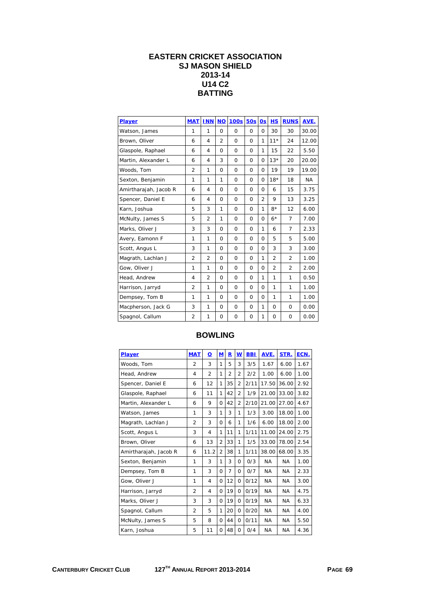## **EASTERN CRICKET ASSOCIATION SJ MASON SHIELD 2013-14 U14 C2 BATTING**

| Player                | <b>MAT</b>     | <b>INN</b>     | <b>NO</b>      | <b>100s</b> | <b>50s</b>  | 0s             | <b>HS</b>      | <b>RUNS</b>    | AVE.      |
|-----------------------|----------------|----------------|----------------|-------------|-------------|----------------|----------------|----------------|-----------|
| Watson, James         | 1              | 1              | $\Omega$       | $\Omega$    | 0           | 0              | 30             | 30             | 30.00     |
| Brown, Oliver         | 6              | $\overline{4}$ | $\overline{2}$ | $\Omega$    | $\Omega$    | 1              | $11*$          | 24             | 12.00     |
| Glaspole, Raphael     | 6              | $\overline{4}$ | $\Omega$       | $\Omega$    | $\Omega$    | 1              | 15             | 22             | 5.50      |
| Martin, Alexander L   | 6              | $\overline{4}$ | 3              | $\Omega$    | $\Omega$    | $\Omega$       | $13*$          | 20             | 20.00     |
| Woods, Tom            | $\overline{2}$ | 1              | 0              | $\Omega$    | $\Omega$    | $\Omega$       | 19             | 19             | 19.00     |
| Sexton, Benjamin      | 1              | 1              | 1              | $\mathbf 0$ | $\mathbf 0$ | $\mathbf 0$    | $18*$          | 18             | <b>NA</b> |
| Amirtharajah, Jacob R | 6              | $\overline{4}$ | 0              | $\mathbf 0$ | $\Omega$    | $\Omega$       | 6              | 15             | 3.75      |
| Spencer, Daniel E     | 6              | $\overline{4}$ | $\Omega$       | $\Omega$    | $\Omega$    | $\overline{2}$ | 9              | 13             | 3.25      |
| Karn, Joshua          | 5              | 3              | 1              | $\Omega$    | $\Omega$    | 1              | $8*$           | 12             | 6.00      |
| McNulty, James S      | 5              | $\overline{2}$ | 1              | $\Omega$    | $\Omega$    | $\Omega$       | $6*$           | $\overline{7}$ | 7.00      |
| Marks, Oliver J       | 3              | 3              | $\Omega$       | $\Omega$    | $\Omega$    | 1              | 6              | 7              | 2.33      |
| Avery, Eamonn F       | 1              | 1              | $\Omega$       | $\Omega$    | $\Omega$    | $\Omega$       | 5              | 5              | 5.00      |
| Scott, Angus L        | 3              | 1              | $\Omega$       | $\Omega$    | $\Omega$    | $\Omega$       | 3              | 3              | 3.00      |
| Magrath, Lachlan J    | $\overline{2}$ | $\overline{2}$ | $\Omega$       | $\Omega$    | $\Omega$    | 1              | $\overline{2}$ | $\overline{2}$ | 1.00      |
| Gow, Oliver J         | 1              | 1              | 0              | 0           | $\Omega$    | 0              | 2              | 2              | 2.00      |
| Head, Andrew          | 4              | $\overline{2}$ | $\Omega$       | $\Omega$    | $\Omega$    | 1              | 1              | 1              | 0.50      |
| Harrison, Jarryd      | $\overline{2}$ | 1              | $\Omega$       | $\Omega$    | $\Omega$    | $\Omega$       | 1              | 1              | 1.00      |
| Dempsey, Tom B        | 1              | 1              | $\Omega$       | $\Omega$    | $\Omega$    | $\Omega$       | 1              | 1              | 1.00      |
| Macpherson, Jack G    | 3              | 1              | 0              | $\mathbf 0$ | $\mathbf 0$ | 1              | 0              | 0              | 0.00      |
| Spagnol, Callum       | $\overline{2}$ | 1              | 0              | 0           | 0           | 1              | 0              | 0              | 0.00      |

| <b>Player</b>         | <b>MAT</b>     | $\overline{\mathbf{o}}$ | $M$            | $\mathbf R$    | W              | <b>BBI</b> | AVE.      | STR.      | ECN. |
|-----------------------|----------------|-------------------------|----------------|----------------|----------------|------------|-----------|-----------|------|
| Woods, Tom            | $\overline{2}$ | 3                       | 1              | 5              | 3              | 3/5        | 1.67      | 6.00      | 1.67 |
| Head, Andrew          | 4              | $\overline{2}$          | 1              | $\overline{2}$ | $\overline{2}$ | 2/2        | 1.00      | 6.00      | 1.00 |
| Spencer, Daniel E     | 6              | 12                      | 1              | 35             | $\overline{2}$ | 2/11       | 17.50     | 36.00     | 2.92 |
| Glaspole, Raphael     | 6              | 11                      | 1              | 42             | $\overline{2}$ | 1/9        | 21.00     | 33.00     | 3.82 |
| Martin, Alexander L   | 6              | 9                       | $\Omega$       | 42             | $\overline{2}$ | 2/10       | 21.00     | 27.00     | 4.67 |
| Watson, James         | 1              | 3                       | 1              | 3              | 1              | 1/3        | 3.00      | 18.00     | 1.00 |
| Magrath, Lachlan J    | $\overline{2}$ | 3                       | $\Omega$       | 6              | 1              | 1/6        | 6.00      | 18.00     | 2.00 |
| Scott, Angus L        | 3              | 4                       | 1              | 11             | 1              | 1/11       | 11.00     | 24.00     | 2.75 |
| Brown, Oliver         | 6              | 13                      | $\overline{2}$ | 33             | 1              | 1/5        | 33.00     | 78.00     | 2.54 |
| Amirtharajah, Jacob R | 6              | 11.2                    | $\overline{2}$ | 38             | 1              | 1/11       | 38.00     | 68.00     | 3.35 |
| Sexton, Benjamin      | 1              | 3                       | 1              | 3              | 0              | 0/3        | <b>NA</b> | <b>NA</b> | 1.00 |
| Dempsey, Tom B        | 1              | 3                       | $\Omega$       | 7              | 0              | 0/7        | <b>NA</b> | <b>NA</b> | 2.33 |
| Gow, Oliver J         | 1              | 4                       | $\Omega$       | 12             | $\Omega$       | 0/12       | <b>NA</b> | <b>NA</b> | 3.00 |
| Harrison, Jarryd      | $\overline{2}$ | 4                       | $\Omega$       | 19             | $\Omega$       | 0/19       | <b>NA</b> | <b>NA</b> | 4.75 |
| Marks, Oliver J       | 3              | 3                       | $\Omega$       | 19             | 0              | 0/19       | <b>NA</b> | <b>NA</b> | 6.33 |
| Spagnol, Callum       | $\overline{2}$ | 5                       | 1              | 20             | $\Omega$       | 0/20       | <b>NA</b> | <b>NA</b> | 4.00 |
| McNulty, James S      | 5              | 8                       | $\Omega$       | 44             | $\Omega$       | 0/11       | <b>NA</b> | <b>NA</b> | 5.50 |
| Karn, Joshua          | 5              | 11                      | $\Omega$       | 48             | $\Omega$       | 0/4        | <b>NA</b> | <b>NA</b> | 4.36 |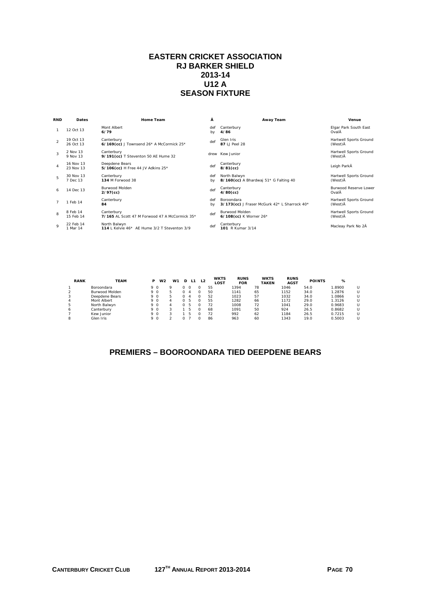## **EASTERN CRICKET ASSOCIATION RJ BARKER SHIELD 2013-14 U12 A SEASON FIXTURE**

| <b>RND</b>     | Dates                  | <b>Home Team</b>                                             | Â         | Away Team                                                  | Venue                                 |
|----------------|------------------------|--------------------------------------------------------------|-----------|------------------------------------------------------------|---------------------------------------|
|                | 12 Oct 13              | Mont Albert<br>6/79                                          | def<br>by | Canterbury<br>4/86                                         | Elgar Park South East<br>OvalÂ        |
| $\mathfrak{D}$ | 19 Oct 13<br>26 Oct 13 | Canterbury<br>6/169(cc) J Townsend 26* A McCormick 25*       | def       | Glen Iris<br>87 LJ Peel 28                                 | Hartwell Sports Ground<br>(West) Å    |
| 3              | 2 Nov 13<br>9 Nov 13   | Canterbury<br>9/191(cc) T Steventon 50 AE Hume 32            |           | drew Kew Junior                                            | Hartwell Sports Ground<br>(West) Å    |
| 4              | 16 Nov 13<br>23 Nov 13 | Deepdene Bears<br>5/106(cc) H Free 44 JV Adkins 25*          | def       | Canterbury<br>$8/81$ (cc)                                  | Leigh ParkÅ                           |
| 5              | 30 Nov 13<br>7 Dec 13  | Canterbury<br><b>134 M Forwood 38</b>                        | def<br>bv | North Balwyn<br>8/160(cc) A Bhardwaj 51* G Falting 40      | Hartwell Sports Ground<br>(West) Å    |
| 6              | 14 Dec 13              | <b>Burwood Molden</b><br>$2/97$ (cc)                         | def       | Canterbury<br>$4/80$ (cc)                                  | <b>Burwood Reserve Lower</b><br>OvalÂ |
|                | 1 Feb 14               | Canterbury<br>84                                             | def<br>bv | Boroondara<br>3/173(cc) J Fraser McGurk 42* L Sharrock 40* | Hartwell Sports Ground<br>(West) Å    |
| 8              | 8 Feb 14<br>15 Feb 14  | Canterbury<br>7/165 AL Scott 47 M Forwood 47 A McCormick 35* | def       | Burwood Molden<br>6/108(cc) K Worner 26*                   | Hartwell Sports Ground<br>(West) Å    |
| $\circ$        | 22 Feb 14<br>1 Mar 14  | North Balwyn<br>114   Kelvie 46* AF Hume 3/2 T Steventon 3/9 | def       | Canterbury<br>101 R Kumar 3/14                             | Macleay Park No 2Å                    |
|                |                        |                                                              |           |                                                            |                                       |

| <b>RANK</b> | <b>TEAM</b>    | Р   | W <sub>2</sub> | W <sub>1</sub> |   |    | <b>WKTS</b><br>LOST | <b>RUNS</b><br><b>FOR</b> | <b>WKTS</b><br><b>TAKEN</b> | <b>RUNS</b><br><b>AGST</b> | <b>POINTS</b> | %      |  |
|-------------|----------------|-----|----------------|----------------|---|----|---------------------|---------------------------|-----------------------------|----------------------------|---------------|--------|--|
|             | Boroondara     | 9 O |                | o              |   |    | 55                  | 1394                      | 78                          | 1046                       | 54.0          | .8900  |  |
|             | Burwood Molden | 9 O |                |                |   |    | 50                  | 1141                      | 65                          | 1152                       | 34.0          | .2876  |  |
|             | Deepdene Bears | 9 O |                | 5              |   |    | 52                  | 1023                      | 57                          | 1032                       | 34.0          | .0866  |  |
|             | Mont Albert    | 9 O |                | $\Delta$       | n | ъ. | 55                  | 1282                      | 66                          | 1172                       | 29.0          | 1.3126 |  |
| 5           | North Balwyn   | 9 O |                | Δ              | n |    | 72                  | 1008                      | 72                          | 1041                       | 29.0          | 0.9683 |  |
| 6           | Canterbury     | 9 O |                |                |   | b. | 68                  | 1091                      | 50                          | 924                        | 26.5          | 0.8682 |  |
|             | Kew Junior     | 9 O |                |                |   | ъ  | 72                  | 992                       | 62                          | 1184                       | 26.5          | 0.7215 |  |
|             | Glen Iris      | 9 O |                |                |   |    | 86                  | 963                       | 60                          | 1343                       | 19.0          | 0.5003 |  |

# **PREMIERS – BOOROONDARA TIED DEEPDENE BEARS**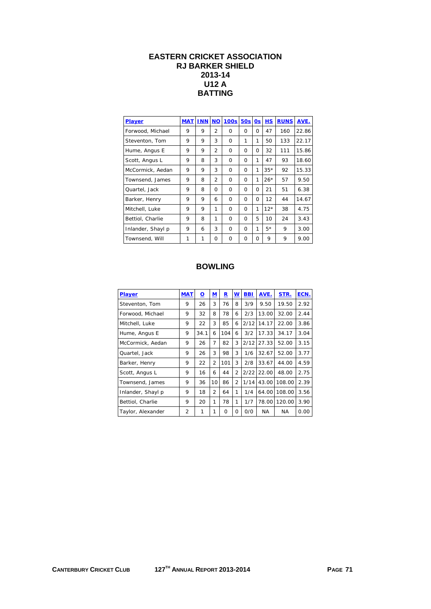## **EASTERN CRICKET ASSOCIATION RJ BARKER SHIELD 2013-14 U12 A BATTING**

| <b>Player</b>     |   | <b>MAT INN NO</b> |                | <b>100s</b> | 50s          | 0s           | <b>HS</b> | <b>RUNS</b> | AVE.  |
|-------------------|---|-------------------|----------------|-------------|--------------|--------------|-----------|-------------|-------|
| Forwood, Michael  | 9 | 9                 | $\overline{2}$ | $\Omega$    | O            | <sup>0</sup> | 47        | 160         | 22.86 |
| Steventon, Tom    | 9 | 9                 | 3              | $\Omega$    | 1            | 1            | 50        | 133         | 22.17 |
| Hume, Angus E     | 9 | 9                 | $\overline{2}$ | $\Omega$    | 0            | O            | 32        | 111         | 15.86 |
| Scott, Angus L    | 9 | 8                 | 3              | $\Omega$    | 0            | 1            | 47        | 93          | 18.60 |
| McCormick, Aedan  | 9 | 9                 | 3              | $\Omega$    | <sup>0</sup> | 1            | $35*$     | 92          | 15.33 |
| Townsend, James   | 9 | 8                 | $\overline{2}$ | $\Omega$    | $\Omega$     | 1            | $26*$     | 57          | 9.50  |
| Quartel, Jack     | 9 | 8                 | 0              | $\Omega$    | 0            | O            | 21        | 51          | 6.38  |
| Barker, Henry     | 9 | 9                 | 6              | $\Omega$    | 0            | O            | 12        | 44          | 14.67 |
| Mitchell, Luke    | 9 | 9                 | 1              | 0           | 0            | 1            | $12*$     | 38          | 4.75  |
| Bettiol, Charlie  | 9 | 8                 | 1              | $\Omega$    | O            | 5            | 10        | 24          | 3.43  |
| Inlander, Shayl p | 9 | 6                 | 3              | $\Omega$    | <sup>0</sup> | 1            | $5*$      | 9           | 3.00  |
| Townsend, Will    | 1 | 1                 | Ω              | 0           | Ω            | Ω            | 9         | 9           | 9.00  |

| <b>Player</b>     | <b>MAT</b>     | <u>0</u> | M              | R        | $\underline{\mathsf{w}}$ | <b>BBI</b> | AVE.  | STR.      | ECN. |
|-------------------|----------------|----------|----------------|----------|--------------------------|------------|-------|-----------|------|
| Steventon, Tom    | 9              | 26       | 3              | 76       | 8                        | 3/9        | 9.50  | 19.50     | 2.92 |
| Forwood, Michael  | 9              | 32       | 8              | 78       | 6                        | 2/3        | 13.00 | 32.00     | 2.44 |
| Mitchell, Luke    | 9              | 22       | 3              | 85       | 6                        | 2/12       | 14.17 | 22.00     | 3.86 |
| Hume, Angus E     | 9              | 34.1     | 6              | 104      | 6                        | 3/2        | 17.33 | 34.17     | 3.04 |
| McCormick, Aedan  | 9              | 26       | 7              | 82       | 3                        | 2/12       | 27.33 | 52.00     | 3.15 |
| Quartel, Jack     | 9              | 26       | 3              | 98       | 3                        | 1/6        | 32.67 | 52.00     | 3.77 |
| Barker, Henry     | 9              | 22       | $\overline{2}$ | 101      | 3                        | 2/8        | 33.67 | 44.00     | 4.59 |
| Scott, Angus L    | 9              | 16       | 6              | 44       | $\overline{2}$           | 2/22       | 22.00 | 48.00     | 2.75 |
| Townsend, James   | 9              | 36       | 10             | 86       | $\overline{2}$           | 1/14       | 43.00 | 108.00    | 2.39 |
| Inlander, Shayl p | 9              | 18       | $\overline{2}$ | 64       | 1                        | 1/4        | 64.00 | 108.00    | 3.56 |
| Bettiol, Charlie  | 9              | 20       | 1              | 78       | 1                        | 1/7        | 78.00 | 120.00    | 3.90 |
| Taylor, Alexander | $\overline{2}$ | 1        | 1              | $\Omega$ | 0                        | 0/0        | NA.   | <b>NA</b> | 0.00 |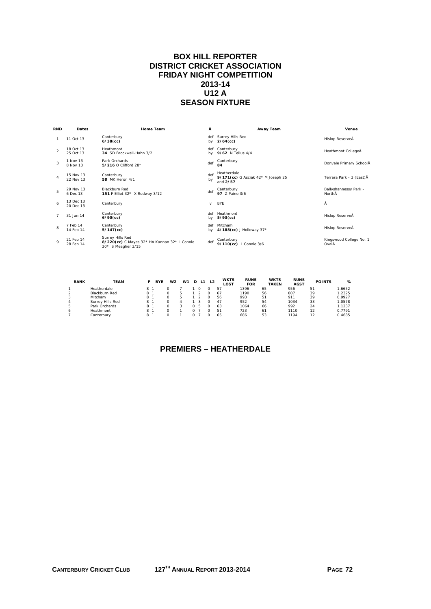#### **BOX HILL REPORTER DISTRICT CRICKET ASSOCIATION FRIDAY NIGHT COMPETITION 2013-14 U12 A SEASON FIXTURE**

| <b>RND</b>     | Dates                  | Home Team                                                                              | Â         | Away Team                                                     | Venue                            |
|----------------|------------------------|----------------------------------------------------------------------------------------|-----------|---------------------------------------------------------------|----------------------------------|
| $\mathbf{1}$   | 11 Oct 13              | Canterbury<br>$6/38$ (cc)                                                              | def<br>bv | Surrey Hills Red<br>$2/64$ (cc)                               | Hislop ReserveÅ                  |
| $\mathfrak{D}$ | 18 Oct 13<br>25 Oct 13 | Heathmont<br>34 SD Brockwell-Hahn 3/2                                                  | def<br>bv | Canterbury<br>9/62 N Tellus 4/4                               | Heathmont CollegeÅ               |
| 3              | 1 Nov 13<br>8 Nov 13   | Park Orchards<br>5/216 O Clifford 28*                                                  | def       | Canterbury<br>84                                              | Donvale Primary SchoolÂ          |
| $\overline{a}$ | 15 Nov 13<br>22 Nov 13 | Canterbury<br><b>58</b> MK Heron 4/1                                                   | def<br>by | Heatherdale<br>9/171(cc) G Asciak 42* M Joseph 25<br>and 2/57 | Terrara Park - 3 (East)Å         |
| 5              | 29 Nov 13<br>6 Dec 13  | Blackburn Red<br>151 F Elliot 32* X Rodway 3/12                                        | def       | Canterbury<br>97 7 Paino 3/6                                  | Ballyshannessy Park -<br>NorthÂ  |
| 6              | 13 Dec 13<br>20 Dec 13 | Canterbury                                                                             | $\vee$    | <b>BYE</b>                                                    | Ā                                |
| $\overline{7}$ | 31 Jan 14              | Canterbury<br>$6/90$ (cc)                                                              | def<br>bv | Heathmont<br>$5/93$ (cc)                                      | Hislop ReserveÅ                  |
| 8              | 7 Feb 14<br>14 Feb 14  | Canterbury<br>$5/147$ (cc)                                                             | def<br>bv | Mitcham<br>4/188(cc) J Holloway 37*                           | Hislop ReserveÅ                  |
| $\mathsf Q$    | 21 Feb 14<br>28 Feb 14 | Surrey Hills Red<br>8/220(cc) C Mayes 32* HA Kannan 32* L Conole<br>30* S Meagher 3/15 | def       | Canterbury<br>9/110(cc) L Conole 3/6                          | Kingswood College No. 1<br>OvalÂ |

| <b>RANK</b>  | <b>TEAM</b>      | D   | <b>BYE</b> | W <sub>2</sub> | W <sub>1</sub> | L1 | L <sub>2</sub> | <b>WKTS</b><br>LOST | <b>RUNS</b><br><b>FOR</b> | <b>WKTS</b><br><b>TAKEN</b> | <b>RUNS</b><br><b>AGST</b> | <b>POINTS</b> | ℅      |
|--------------|------------------|-----|------------|----------------|----------------|----|----------------|---------------------|---------------------------|-----------------------------|----------------------------|---------------|--------|
|              | Heatherdale      | 8   |            |                |                |    |                | 57                  | 1396                      | 65                          | 956                        | 51            | 1.6652 |
|              | Blackburn Red    | 8 - |            |                |                |    |                | 67                  | 1190                      | 56                          | 807                        | 39            | 1.2325 |
|              | Mitcham          | 8.  |            |                |                |    |                | 56                  | 993                       | 51                          | 911                        | 39            | 0.9927 |
|              | Surrey Hills Red | 8 - |            |                |                |    |                | 47                  | 952                       | 54                          | 1034                       | 33            | 1.0578 |
|              | Park Orchards    | 81  |            |                |                | ъ. |                | 63                  | 1064                      | 66                          | 992                        | 24            | 1.1237 |
| <sub>n</sub> | Heathmont        | 8   |            |                |                |    |                | 51                  | 723                       | 61                          | 1110                       | 12            | 0.7791 |
|              | Canterbury       | 8   |            |                |                |    |                | 65                  | 686                       | 53                          | 1194                       | 12            | 0.4685 |

# **PREMIERS – HEATHERDALE**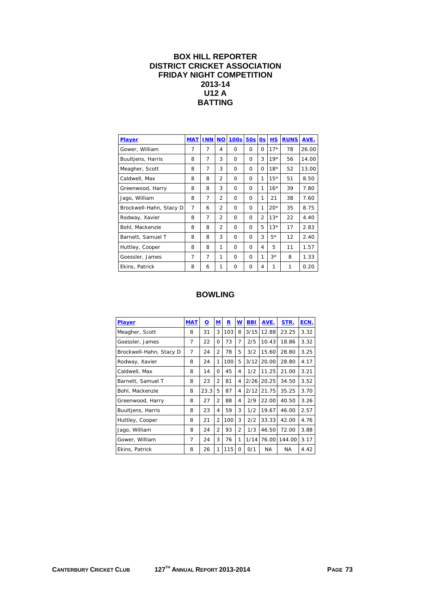#### **BOX HILL REPORTER DISTRICT CRICKET ASSOCIATION FRIDAY NIGHT COMPETITION 2013-14 U12 A BATTING**

| Player                  | <b>MAT</b>     | <b>INN</b> | <b>NO</b>      | <b>100s</b> | <b>50s</b> | 0s       | <b>HS</b> | <b>RUNS</b> | AVE.  |
|-------------------------|----------------|------------|----------------|-------------|------------|----------|-----------|-------------|-------|
| Gower, William          | 7              | 7          | $\overline{4}$ | $\Omega$    | $\Omega$   | Ω        | $17*$     | 78          | 26.00 |
| Buultjens, Harris       | 8              | 7          | 3              | $\Omega$    | $\Omega$   | 3        | $19*$     | 56          | 14.00 |
| Meagher, Scott          | 8              | 7          | 3              | $\Omega$    | $\Omega$   | $\Omega$ | $18*$     | 52          | 13.00 |
| Caldwell, Max           | 8              | 8          | $\overline{2}$ | $\Omega$    | 0          | 1        | $15*$     | 51          | 8.50  |
| Greenwood, Harry        | 8              | 8          | 3              | $\Omega$    | $\Omega$   | 1        | $16*$     | 39          | 7.80  |
| Jago, William           | 8              | 7          | $\overline{2}$ | $\Omega$    | $\Omega$   | 1        | 21        | 38          | 7.60  |
| Brockwell-Hahn, Stacy D | 7              | 6          | $\overline{2}$ | $\Omega$    | $\Omega$   | 1        | $20*$     | 35          | 8.75  |
| Rodway, Xavier          | 8              | 7          | $\overline{2}$ | $\Omega$    | $\Omega$   | 2        | $13*$     | 22          | 4.40  |
| Bohl, Mackenzie         | 8              | 8          | $\overline{2}$ | $\Omega$    | $\Omega$   | 5        | $13*$     | 17          | 2.83  |
| Barnett, Samuel T       | 8              | 8          | 3              | $\Omega$    | $\Omega$   | 3        | $5*$      | 12          | 2.40  |
| Huttley, Cooper         | 8              | 8          | 1              | $\Omega$    | $\Omega$   | 4        | 5         | 11          | 1.57  |
| Goessler, James         | $\overline{7}$ | 7          | 1              | $\Omega$    | $\Omega$   | 1        | $3*$      | 8           | 1.33  |
| Ekins, Patrick          | 8              | 6          | 1              | 0           | 0          | 4        | 1         | 1           | 0.20  |

| Player                  | <b>MAT</b> | <u>o</u> | $\mathbf M$    | R   | W              | <b>BBI</b> | AVE.      | STR.      | ECN. |
|-------------------------|------------|----------|----------------|-----|----------------|------------|-----------|-----------|------|
| Meagher, Scott          | 8          | 31       | 3              | 103 | 8              | 3/15       | 12.88     | 23.25     | 3.32 |
| Goessler, James         | 7          | 22       | $\Omega$       | 73  | 7              | 2/5        | 10.43     | 18.86     | 3.32 |
| Brockwell-Hahn, Stacy D | 7          | 24       | 2              | 78  | 5              | 3/2        | 15.60     | 28.80     | 3.25 |
| Rodway, Xavier          | 8          | 24       | 1              | 100 | 5              | 3/12       | 20.00     | 28.80     | 4.17 |
| Caldwell, Max           | 8          | 14       | $\Omega$       | 45  | 4              | 1/2        | 11.25     | 21.00     | 3.21 |
| Barnett, Samuel T       | 8          | 23       | $\overline{2}$ | 81  | 4              | 2/26       | 20.25     | 34.50     | 3.52 |
| Bohl, Mackenzie         | 8          | 23.3     | 5              | 87  | 4              | 2/12       | 21.75     | 35.25     | 3.70 |
| Greenwood, Harry        | 8          | 27       | $\overline{2}$ | 88  | 4              | 2/9        | 22.00     | 40.50     | 3.26 |
| Buultjens, Harris       | 8          | 23       | 4              | 59  | 3              | 1/2        | 19.67     | 46.00     | 2.57 |
| Huttley, Cooper         | 8          | 21       | $\overline{2}$ | 100 | 3              | 2/2        | 33.33     | 42.00     | 4.76 |
| Jago, William           | 8          | 24       | $\overline{2}$ | 93  | $\overline{2}$ | 1/3        | 46.50     | 72.00     | 3.88 |
| Gower, William          | 7          | 24       | 3              | 76  | 1              | 1/14       | 76.00     | 144.00    | 3.17 |
| Ekins, Patrick          | 8          | 26       | 1              | 115 | $\Omega$       | 0/1        | <b>NA</b> | <b>NA</b> | 4.42 |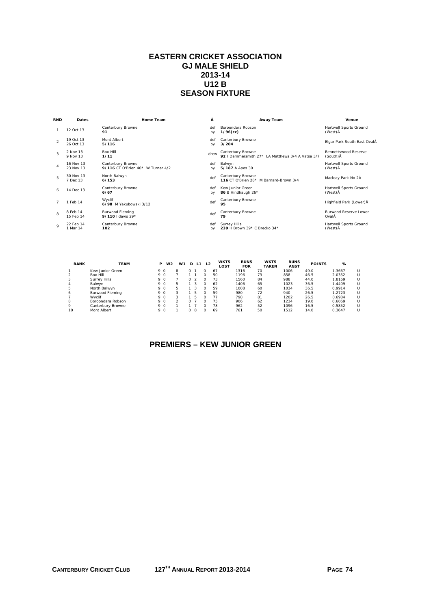#### **EASTERN CRICKET ASSOCIATION GJ MALE SHIELD 2013-14 U12 B SEASON FIXTURE**

| <b>RND</b>     | Dates                  | <b>Home Team</b>                                       | Â         | Away Team                                                             | Venue                              |
|----------------|------------------------|--------------------------------------------------------|-----------|-----------------------------------------------------------------------|------------------------------------|
|                | 12 Oct 13              | Canterbury Browne<br>91                                | def<br>bv | Boroondara Robson<br>$1/96$ (cc)                                      | Hartwell Sports Ground<br>(West) Å |
| $\mathfrak{D}$ | 19 Oct 13<br>26 Oct 13 | Mont Albert<br>5/116                                   | def<br>bv | Canterbury Browne<br>3/204                                            | Elgar Park South East OvalÂ        |
| 3              | 2 Nov 13<br>9 Nov 13   | <b>Box Hill</b><br>1/11                                | drew      | Canterbury Browne<br>92   Dammersmith 27* LA Matthews 3/4 A Vatsa 3/7 | Bennettswood Reserve<br>(South) Å  |
| 4              | 16 Nov 13<br>23 Nov 13 | Canterbury Browne<br>9/116 CT O'Brien 40* W Turner 4/2 | def<br>bv | Balwyn<br>5/187 A Apos 30                                             | Hartwell Sports Ground<br>(West) Å |
| 5              | 30 Nov 13<br>7 Dec 13  | North Balwyn<br>6/153                                  | def       | Canterbury Browne<br>116 CT O'Brien 28* M Barnard-Brown 3/4           | Macleay Park No 2Å                 |
| 6              | 14 Dec 13              | Canterbury Browne<br>6/67                              | def<br>bv | Kew Junior Green<br>86 B Hindhaugh 26*                                | Hartwell Sports Ground<br>(West) Å |
|                | 1 Feb 14               | Wyclif<br>6/98 M Yakubowski 3/12                       | def       | Canterbury Browne<br>95                                               | Highfield Park (Lower) Å           |
| 8              | 8 Feb 14<br>15 Feb 14  | <b>Burwood Fleming</b><br>9/110   davis $29*$          | def       | Canterbury Browne<br>79                                               | Burwood Reserve Lower<br>OvalĀ     |
| $\mathsf o$    | 22 Feb 14<br>1 Mar 14  | Canterbury Browne<br>102                               | def<br>bv | Surrey Hills<br>239 H Brown 39* C Brecko 34*                          | Hartwell Sports Ground<br>(West) A |
|                |                        |                                                        |           |                                                                       |                                    |

| <b>RANK</b> | <b>TEAM</b>       | Р   | W <sub>2</sub> | W <sub>1</sub> | D        | L1 | L2       | <b>WKTS</b><br>LOST | <b>RUNS</b><br><b>FOR</b> | <b>WKTS</b><br><b>TAKEN</b> | <b>RUNS</b><br><b>AGST</b> | <b>POINTS</b> | %      |  |
|-------------|-------------------|-----|----------------|----------------|----------|----|----------|---------------------|---------------------------|-----------------------------|----------------------------|---------------|--------|--|
|             | Kew Junior Green  | 9 O |                | 8              |          |    | O        | 67                  | 1316                      | 70                          | 1006                       | 49.0          | 1.3667 |  |
|             | Box Hill          | 9 O |                |                |          |    | $\Omega$ | 50                  | 1196                      | 73                          | 858                        | 46.5          | 2.0352 |  |
|             | Surrey Hills      | 9 O |                |                | 0        |    | $\Omega$ | 73                  | 1560                      | 84                          | 988                        | 44.0          | 1.8169 |  |
|             | Balwyn            | 9 O |                | 5              |          |    | O        | 62                  | 1406                      | 65                          | 1023                       | 36.5          | 1.4409 |  |
|             | North Balwyn      | 9 O |                | 5              |          |    | $\Omega$ | 59                  | 1008                      | 60                          | 1034                       | 36.5          | 0.9914 |  |
| 6           | Burwood Fleming   | 9 0 |                | 3              |          | 5  | $\Omega$ | 59                  | 980                       | 72                          | 940                        | 26.5          | 1.2723 |  |
|             | Wyclif            | 9 O |                | 3              |          | 5  | $\Omega$ | 77                  | 798                       | 81                          | 1202                       | 26.5          | 0.6984 |  |
| 8           | Boroondara Robson | 9 O |                | $\mathcal{P}$  |          |    | $\Omega$ | 75                  | 906                       | 62                          | 1234                       | 19.0          | 0.6069 |  |
| Q           | Canterbury Browne | 9 O |                |                |          |    | $\Omega$ | 78                  | 962                       | 52                          | 1096                       | 16.5          | 0.5852 |  |
| 10          | Mont Albert       | 9 0 |                |                | $\Omega$ | 8  | O        | 69                  | 761                       | 50                          | 1512                       | 14.0          | 0.3647 |  |

## **PREMIERS – KEW JUNIOR GREEN**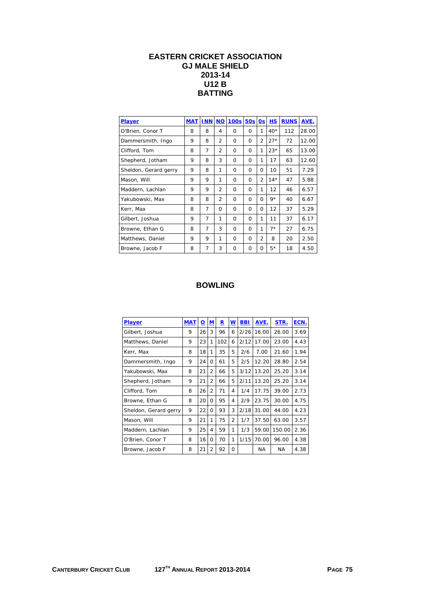#### **EASTERN CRICKET ASSOCIATION GJ MALE SHIELD 2013-14 U12 B BATTING**

| <b>Player</b>         | <b>MAT</b> | <b>INN</b> | <b>NO</b>      | <b>100s</b> | 50s      | <b>Os</b>      | НS    | <b>RUNS</b> | AVE.  |
|-----------------------|------------|------------|----------------|-------------|----------|----------------|-------|-------------|-------|
| O'Brien, Conor T      | 8          | 8          | 4              | $\Omega$    | $\Omega$ | 1              | $40*$ | 112         | 28.00 |
| Dammersmith, Ingo     | 9          | 8          | 2              | $\Omega$    | $\Omega$ | $\overline{2}$ | $27*$ | 72          | 12.00 |
| Clifford, Tom         | 8          | 7          | $\overline{2}$ | $\Omega$    | $\Omega$ | 1              | $23*$ | 65          | 13.00 |
| Shepherd, Jotham      | 9          | 8          | 3              | $\Omega$    | $\Omega$ | 1              | 17    | 63          | 12.60 |
| Sheldon, Gerard gerry | 9          | 8          | 1              | $\Omega$    | $\Omega$ | $\Omega$       | 10    | 51          | 7.29  |
| Mason, Will           | 9          | 9          | 1              | $\Omega$    | $\Omega$ | $\overline{2}$ | $14*$ | 47          | 5.88  |
| Maddern, Lachlan      | 9          | 9          | $\overline{2}$ | $\Omega$    | $\Omega$ | 1              | 12    | 46          | 6.57  |
| Yakubowski, Max       | 8          | 8          | $\overline{2}$ | $\Omega$    | $\Omega$ | $\Omega$       | $9*$  | 40          | 6.67  |
| Kerr, Max             | 8          | 7          | $\Omega$       | $\Omega$    | O        | O              | 12    | 37          | 5.29  |
| Gilbert, Joshua       | 9          | 7          | 1              | $\Omega$    | $\Omega$ | 1              | 11    | 37          | 6.17  |
| Browne, Ethan G       | 8          | 7          | 3              | $\Omega$    | $\Omega$ | 1              | $7*$  | 27          | 6.75  |
| Matthews, Daniel      | 9          | 9          | 1              | $\Omega$    | 0        | $\overline{2}$ | 8     | 20          | 2.50  |
| Browne, Jacob F       | 8          | 7          | 3              | $\Omega$    | $\Omega$ | 0              | $5*$  | 18          | 4.50  |

| Player                | <b>MAT</b> | <u>୦</u> | ${\bf M}$      | R   | $\underline{\mathsf{w}}$ | <b>BBI</b> | AVE.  | STR.      | ECN. |
|-----------------------|------------|----------|----------------|-----|--------------------------|------------|-------|-----------|------|
| Gilbert, Joshua       | 9          | 26       | 3              | 96  | 6                        | 2/26       | 16.00 | 26.00     | 3.69 |
| Matthews, Daniel      | 9          | 23       | 1              | 102 | 6                        | 2/12       | 17.00 | 23.00     | 4.43 |
| Kerr, Max             | 8          | 18       | 1              | 35  | 5                        | 2/6        | 7.00  | 21.60     | 1.94 |
| Dammersmith, Ingo     | 9          | 24       | 0              | 61  | 5                        | 2/5        | 12.20 | 28.80     | 2.54 |
| Yakubowski, Max       | 8          | 21       | $\overline{2}$ | 66  | 5                        | 3/12       | 13.20 | 25.20     | 3.14 |
| Shepherd, Jotham      | 9          | 21       | $\overline{2}$ | 66  | 5                        | 2/11       | 13.20 | 25.20     | 3.14 |
| Clifford, Tom         | 8          | 26       | $\overline{2}$ | 71  | 4                        | 1/4        | 17.75 | 39.00     | 2.73 |
| Browne, Ethan G       | 8          | 20       | 0              | 95  | 4                        | 2/9        | 23.75 | 30.00     | 4.75 |
| Sheldon, Gerard gerry | 9          | 22       | 0              | 93  | 3                        | 2/18       | 31.00 | 44.00     | 4.23 |
| Mason, Will           | 9          | 21       | 1              | 75  | $\overline{2}$           | 1/7        | 37.50 | 63.00     | 3.57 |
| Maddern, Lachlan      | 9          | 25       | 4              | 59  | 1                        | 1/3        | 59.00 | 150.00    | 2.36 |
| O'Brien, Conor T      | 8          | 16       | 0              | 70  | 1                        | 1/15       | 70.00 | 96.00     | 4.38 |
| Browne, Jacob F       | 8          | 21       | $\overline{2}$ | 92  | $\Omega$                 |            | ΝA    | <b>NA</b> | 4.38 |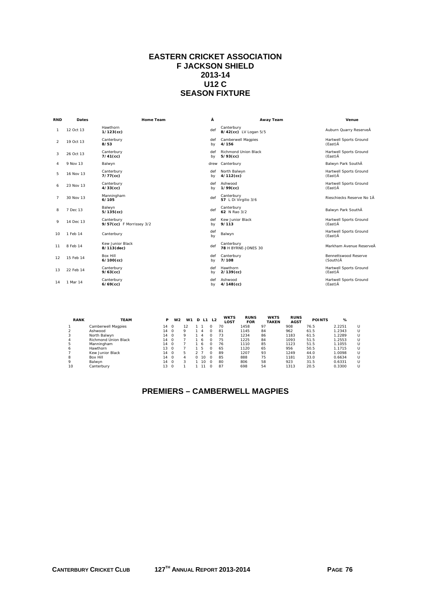#### **EASTERN CRICKET ASSOCIATION F JACKSON SHIELD 2013-14 U12 C SEASON FIXTURE**

| <b>RND</b>     | <b>Dates</b> | <b>Home Team</b>                       | Â         | Away Team                           | Venue                             |
|----------------|--------------|----------------------------------------|-----------|-------------------------------------|-----------------------------------|
| 1              | 12 Oct 13    | Hawthorn<br>$1/123$ (cc)               | def       | Canterbury<br>8/42(cc) LV Logan 5/5 | Auburn Quarry ReserveÂ            |
| 2              | 19 Oct 13    | Canterbury<br>8/53                     | def<br>by | Camberwell Magpies<br>4/156         | Hartwell Sports Ground<br>(East)Å |
| 3              | 26 Oct 13    | Canterbury<br>$7/41$ (cc)              | def<br>by | Richmond Union Black<br>$5/93$ (cc) | Hartwell Sports Ground<br>(East)Å |
| 4              | 9 Nov 13     | Balwyn                                 | drew      | Canterbury                          | Balwyn Park SouthÂ                |
| 5              | 16 Nov 13    | Canterbury<br>$7/77$ (cc)              | def<br>by | North Balwyn<br>$4/112$ (cc)        | Hartwell Sports Ground<br>(East)Å |
| 6              | 23 Nov 13    | Canterbury<br>$4/33$ (cc)              | def<br>by | Ashwood<br>$1/99$ (cc)              | Hartwell Sports Ground<br>(East)Å |
| $\overline{7}$ | 30 Nov 13    | Manningham<br>6/105                    | def       | Canterbury<br>57 L Di Virgilio 3/6  | Rieschiecks Reserve No 1Å         |
| 8              | 7 Dec 13     | Balwyn<br>$5/135$ (cc)                 | def       | Canterbury<br>62 N Rao 3/2          | Balwyn Park SouthÅ                |
| 9              | 14 Dec 13    | Canterbury<br>9/57(cc) F Morrissey 3/2 | def<br>by | Kew Junior Black<br>9/113           | Hartwell Sports Ground<br>(East)Å |
| 10             | 1 Feb 14     | Canterbury                             | def<br>by | Balwyn                              | Hartwell Sports Ground<br>(East)Å |
| 11             | 8 Feb 14     | Kew Junior Black<br>8/113(dec)         | def       | Canterbury<br>78 H BYRNE-JONES 30   | Markham Avenue ReserveÅ           |
| 12             | 15 Feb 14    | <b>Box Hill</b><br>$6/100$ (cc)        | def<br>by | Canterbury<br>7/108                 | Bennettswood Reserve<br>(South) Å |
| 13             | 22 Feb 14    | Canterbury<br>$9/63$ (cc)              | def<br>by | Hawthorn<br>$2/139$ (cc)            | Hartwell Sports Ground<br>(East)Å |
| 14             | 1 Mar 14     | Canterbury<br>$6/69$ (cc)              | def<br>by | Ashwood<br>$4/148$ (cc)             | Hartwell Sports Ground<br>(East)Å |

| <b>RANK</b> | <b>TEAM</b>          | P               | W <sub>2</sub> | W1 |              | D L1 L2  | <b>WKTS</b><br>LOST | <b>RUNS</b><br><b>FOR</b> | <b>WKTS</b><br><b>TAKEN</b> | <b>RUNS</b><br><b>AGST</b> | <b>POINTS</b> | %      |   |
|-------------|----------------------|-----------------|----------------|----|--------------|----------|---------------------|---------------------------|-----------------------------|----------------------------|---------------|--------|---|
|             | Camberwell Magpies   | 14              | $\Omega$       | 12 |              |          | 70                  | 1458                      | 97                          | 908                        | 76.5          | 2.2251 | U |
|             | Ashwood              | 14              | $\Omega$       | Q  | $\mathbf{A}$ |          | 81                  | 1145                      | 84                          | 962                        | 61.5          | 1.2343 | U |
|             | North Balwyn         | 14              | $\Omega$       | Q  | $\mathbf{A}$ |          | 73                  | 1234                      | 86                          | 1183                       | 61.5          | 1.2289 | U |
| 4           | Richmond Union Black | 14              | $\Omega$       |    | -6           |          | 75                  | 1225                      | 84                          | 1093                       | 51.5          | 1.2553 | U |
| 5           | Manningham           | 14              | - 0            |    | -6           |          | 76                  | 1110                      | 85                          | 1123                       | 51.5          | 1.1055 | U |
| 6           | Hawthorn             | 130             |                |    | 5            |          | 65                  | 1120                      | 65                          | 956                        | 50.5          | 1.1715 | U |
|             | Kew Junior Black     | 14              | $\Omega$       | 5  |              |          | 89                  | 1207                      | 93                          | 1249                       | 44.0          | 1.0098 | U |
| 8           | Box Hill             | 14 <sub>0</sub> |                | 4  | 10           | $\Omega$ | 85                  | 888                       | 75                          | 1181                       | 33.0          | 0.6634 | U |
| 9           | Balwyn               | 14 <sub>0</sub> |                | 3  |              | $\Omega$ | 80                  | 806                       | 58                          | 923                        | 31.5          | 0.6331 | U |
| 10          | Canterbury           | 13              | - 0            |    |              |          | 87                  | 698                       | 54                          | 1313                       | 20.5          | 0.3300 | U |

## **PREMIERS – CAMBERWELL MAGPIES**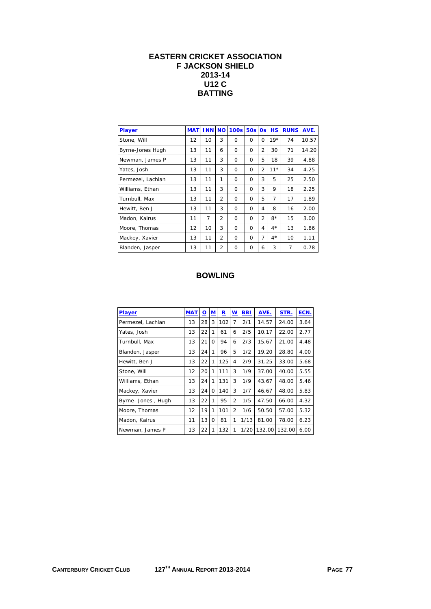#### **EASTERN CRICKET ASSOCIATION F JACKSON SHIELD 2013-14 U12 C BATTING**

| Player            | <b>MAT</b> | <b>INN NO</b> |                | <b>100s</b> | 50s      | 0s             | <b>HS</b> | <b>RUNS</b> | AVE.  |
|-------------------|------------|---------------|----------------|-------------|----------|----------------|-----------|-------------|-------|
| Stone, Will       | 12         | 10            | 3              | $\Omega$    | $\Omega$ | $\Omega$       | $19*$     | 74          | 10.57 |
| Byrne-Jones Hugh  | 13         | 11            | 6              | $\Omega$    | $\Omega$ | $\overline{2}$ | 30        | 71          | 14.20 |
| Newman, James P   | 13         | 11            | 3              | 0           | $\Omega$ | 5              | 18        | 39          | 4.88  |
| Yates, Josh       | 13         | 11            | 3              | $\Omega$    | $\Omega$ | $\overline{2}$ | $11*$     | 34          | 4.25  |
| Permezel, Lachlan | 13         | 11            | 1              | $\Omega$    | $\Omega$ | 3              | 5         | 25          | 2.50  |
| Williams, Ethan   | 13         | 11            | 3              | $\Omega$    | $\Omega$ | 3              | 9         | 18          | 2.25  |
| Turnbull, Max     | 13         | 11            | $\overline{2}$ | $\Omega$    | $\Omega$ | 5              | 7         | 17          | 1.89  |
| Hewitt, Ben J     | 13         | 11            | 3              | $\Omega$    | $\Omega$ | 4              | 8         | 16          | 2.00  |
| Madon, Kairus     | 11         | 7             | $\overline{2}$ | $\Omega$    | $\Omega$ | $\overline{2}$ | $8*$      | 15          | 3.00  |
| Moore, Thomas     | 12         | 10            | 3              | 0           | $\Omega$ | 4              | $4*$      | 13          | 1.86  |
| Mackey, Xavier    | 13         | 11            | $\overline{2}$ | $\Omega$    | $\Omega$ | 7              | $4*$      | 10          | 1.11  |
| Blanden, Jasper   | 13         | 11            | $\overline{2}$ | $\Omega$    | $\Omega$ | 6              | 3         | 7           | 0.78  |

| <b>MAT</b> | $\Omega$ | M        | $\mathbf R$ | w              | <b>BBI</b> | AVE.   | STR.   | ECN. |
|------------|----------|----------|-------------|----------------|------------|--------|--------|------|
| 13         | 28       | 3        | 102         | 7              | 2/1        | 14.57  | 24.00  | 3.64 |
| 13         | 22       | 1        | 61          | 6              | 2/5        | 10.17  | 22.00  | 2.77 |
| 13         | 21       | 0        | 94          | 6              | 2/3        | 15.67  | 21.00  | 4.48 |
| 13         | 24       | 1        | 96          | 5              | 1/2        | 19.20  | 28.80  | 4.00 |
| 13         | 22       | 1        | 125         | 4              | 2/9        | 31.25  | 33.00  | 5.68 |
| 12         | 20       | 1        | 111         | 3              | 1/9        | 37.00  | 40.00  | 5.55 |
| 13         | 24       | 1        | 131         | 3              | 1/9        | 43.67  | 48.00  | 5.46 |
| 13         | 24       | $\Omega$ | 140         | 3              | 1/7        | 46.67  | 48.00  | 5.83 |
| 13         | 22       | 1        | 95          | $\overline{2}$ | 1/5        | 47.50  | 66.00  | 4.32 |
| 12         | 19       | 1        | 101         | $\overline{2}$ | 1/6        | 50.50  | 57.00  | 5.32 |
| 11         | 13       | $\Omega$ | 81          | 1              | 1/13       | 81.00  | 78.00  | 6.23 |
| 13         | 22       | 1        | 132         | 1              | 1/20       | 132.00 | 132.00 | 6.00 |
|            |          |          |             |                |            |        |        |      |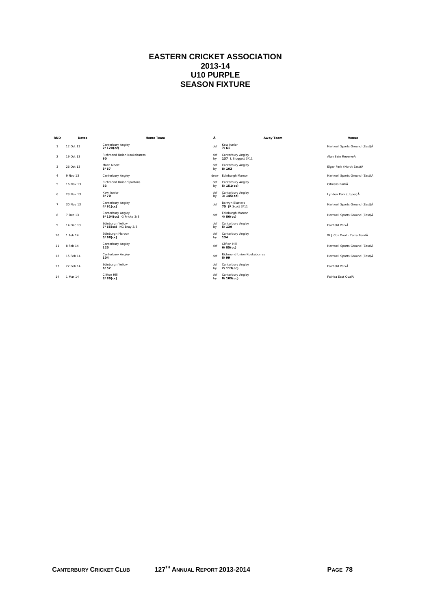## **EASTERN CRICKET ASSOCIATION 2013-14 U10 PURPLE SEASON FIXTURE**

| <b>RND</b>     | Dates     | <b>Home Team</b>                            | Ā         | Away Team                                  | Venue                           |
|----------------|-----------|---------------------------------------------|-----------|--------------------------------------------|---------------------------------|
| $\overline{1}$ | 12 Oct 13 | Canterbury Angley<br>$2/120$ (cc)           | def       | Kew Junior<br>7/61                         | Hartwell Sports Ground (East)Å  |
| $\overline{2}$ | 19 Oct 13 | Richmond Union Kookaburras<br>90            | def<br>by | Canterbury Angley<br>137 L Sloggett 3/11   | Alan Bain ReserveĂ              |
| $\mathbf{3}$   | 26 Oct 13 | Mont Albert<br>3/67                         | def<br>by | Canterbury Angley<br>8/103                 | Elgar Park (North East) Å       |
| $\overline{4}$ | 9 Nov 13  | Canterbury Angley                           | drew      | Edinburgh Maroon                           | Hartwell Sports Ground (East)Å  |
| 5              | 16 Nov 13 | Richmond Union Spartans<br>33               | def<br>by | Canterbury Angley<br>$5/151$ (cc)          | Citizens ParkĂ                  |
| 6              | 23 Nov 13 | Kew Junior<br>8/70                          | def<br>by | Canterbury Angley<br>$3/145$ (cc)          | Lynden Park (Upper)Å            |
| $\overline{7}$ | 30 Nov 13 | Canterbury Angley<br>$4/91$ (cc)            | def       | <b>Balwyn Blasters</b><br>75 JR Scott 3/11 | Hartwell Sports Ground (East)Å  |
| 8              | 7 Dec 13  | Canterbury Angley<br>9/104(cc) G Fricke 3/3 | def       | Edinburgh Maroon<br>$4/86$ (cc)            | Hartwell Sports Ground (East) Å |
| 9              | 14 Dec 13 | Edinburgh Yellow<br>7/65(cc) NG Bray 3/5    | def<br>by | Canterbury Angley<br>5/139                 | Fairfield ParkA                 |
| 10             | 1 Feb 14  | Edinburgh Maroon<br>$5/68$ (cc)             | def<br>by | Canterbury Angley<br>134                   | W J Cox Oval - Yarra BendĂ      |
| 11             | 8 Feb 14  | Canterbury Angley<br>125                    | def       | Clifton Hill<br>$6/85$ (cc)                | Hartwell Sports Ground (East)Å  |
| 12             | 15 Feb 14 | Canterbury Angley<br>104                    | def       | Richmond Union Kookaburras<br>8/99         | Hartwell Sports Ground (East)Å  |
| 13             | 22 Feb 14 | Edinburgh Yellow<br>6/52                    | def<br>by | Canterbury Angley<br>$2/113$ (cc)          | Fairfield ParkÅ                 |
| 14             | 1 Mar 14  | Clifton Hill<br>$3/89$ (cc)                 | def<br>by | Canterbury Angley<br>$8/105$ (cc)          | Fairlea Fast OvalĂ              |
|                |           |                                             |           |                                            |                                 |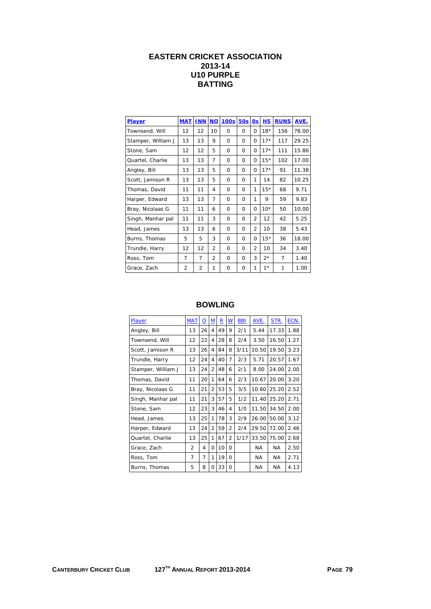## **EASTERN CRICKET ASSOCIATION 2013-14 U10 PURPLE BATTING**

| Player             | <b>MAT</b> | <b>INN</b>     | <b>NO</b>      | <b>100s</b> | 50s      | 0s             | <b>HS</b> | <b>RUNS</b>    | AVE.  |
|--------------------|------------|----------------|----------------|-------------|----------|----------------|-----------|----------------|-------|
| Townsend, Will     | 12         | 12             | 10             | $\Omega$    | $\Omega$ | 0              | $18*$     | 156            | 78.00 |
| Stamper, William J | 13         | 13             | 9              | $\Omega$    | $\Omega$ | O              | $17*$     | 117            | 29.25 |
| Stone, Sam         | 12         | 12             | 5              | $\Omega$    | $\Omega$ | 0              | $17*$     | 111            | 15.86 |
| Quartel, Charlie   | 13         | 13             | 7              | $\Omega$    | $\Omega$ | 0              | $15*$     | 102            | 17.00 |
| Angley, Bill       | 13         | 13             | 5              | $\Omega$    | $\Omega$ | O              | $17*$     | 91             | 11.38 |
| Scott, Jamison R   | 13         | 13             | 5              | $\Omega$    | 0        | 1              | 14        | 82             | 10.25 |
| Thomas, David      | 11         | 11             | 4              | $\Omega$    | $\Omega$ | 1              | $15*$     | 68             | 9.71  |
| Harper, Edward     | 13         | 13             | $\overline{7}$ | $\Omega$    | $\Omega$ | 1              | 9         | 59             | 9.83  |
| Bray, Nicolaas G   | 11         | 11             | 6              | $\Omega$    | $\Omega$ | 0              | $10*$     | 50             | 10.00 |
| Singh, Manhar pal  | 11         | 11             | 3              | $\Omega$    | $\Omega$ | $\overline{2}$ | 12        | 42             | 5.25  |
| Head, James        | 13         | 13             | 6              | $\Omega$    | $\Omega$ | $\overline{2}$ | 10        | 38             | 5.43  |
| Burns, Thomas      | 5          | 5              | 3              | $\Omega$    | $\Omega$ | O              | $15*$     | 36             | 18.00 |
| Trundle, Harry     | 12         | 12             | $\overline{2}$ | $\Omega$    | $\Omega$ | $\overline{2}$ | 10        | 34             | 3.40  |
| Ross, Tom          | 7          | 7              | $\overline{2}$ | $\Omega$    | $\Omega$ | 3              | $2^*$     | $\overline{7}$ | 1.40  |
| Grace, Zach        | 2          | $\overline{2}$ | 1              | $\Omega$    | 0        | 1              | $1*$      | 1              | 1.00  |

| Player             | <b>MAT</b>     | $\Omega$ | $\underline{\mathsf{M}}$ | $\overline{\mathbf{R}}$ | $\underline{\mathsf{W}}$ | <b>BBI</b> | AVE.      | STR.      | ECN. |
|--------------------|----------------|----------|--------------------------|-------------------------|--------------------------|------------|-----------|-----------|------|
| Angley, Bill       | 13             | 26       | 4                        | 49                      | 9                        | 2/1        | 5.44      | 17.33     | 1.88 |
| Townsend, Will     | 12             | 22       | 4                        | 28                      | 8                        | 2/4        | 3.50      | 16.50     | 1.27 |
| Scott, Jamison R   | 13             | 26       | 4                        | 84                      | 8                        | 3/11       | 10.50     | 19.50     | 3.23 |
| Trundle, Harry     | 12             | 24       | 4                        | 40                      | 7                        | 2/3        | 5.71      | 20.57     | 1.67 |
| Stamper, William J | 13             | 24       | $\overline{2}$           | 48                      | 6                        | 2/1        | 8.00      | 24.00     | 2.00 |
| Thomas, David      | 11             | 20       | 1                        | 64                      | 6                        | 2/3        | 10.67     | 20.00     | 3.20 |
| Bray, Nicolaas G   | 11             | 21       | $\overline{2}$           | 53                      | 5                        | 3/5        | 10.60     | 25.20     | 2.52 |
| Singh, Manhar pal  | 11             | 21       | 3                        | 57                      | 5                        | 1/2        | 11.40     | 25.20     | 2.71 |
| Stone, Sam         | 12             | 23       | 3                        | 46                      | 4                        | 1/0        | 11.50     | 34.50     | 2.00 |
| Head, James        | 13             | 25       | 1                        | 78                      | 3                        | 2/9        | 26.00     | 50.00     | 3.12 |
| Harper, Edward     | 13             | 24       | 2                        | 59                      | $\overline{2}$           | 2/4        | 29.50     | 72.00     | 2.46 |
| Quartel, Charlie   | 13             | 25       | 1                        | 67                      | $\overline{2}$           | 1/17       | 33.50     | 75.00     | 2.68 |
| Grace, Zach        | $\overline{2}$ | 4        | Ω                        | 10                      | $\Omega$                 |            | <b>NA</b> | <b>NA</b> | 2.50 |
| Ross, Tom          | 7              | 7        | 1                        | 19                      | $\Omega$                 |            | NA.       | NA.       | 2.71 |
| Burns, Thomas      | 5              | 8        | 0                        | 33                      | 0                        |            | <b>NA</b> | NA.       | 4.13 |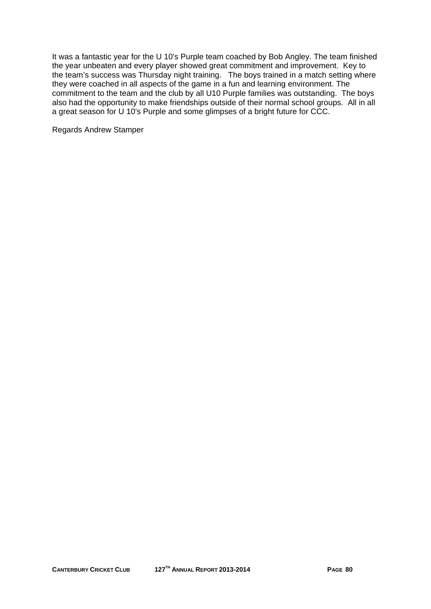It was a fantastic year for the U 10's Purple team coached by Bob Angley. The team finished the year unbeaten and every player showed great commitment and improvement. Key to the team's success was Thursday night training. The boys trained in a match setting where they were coached in all aspects of the game in a fun and learning environment. The commitment to the team and the club by all U10 Purple families was outstanding. The boys also had the opportunity to make friendships outside of their normal school groups. All in all a great season for U 10's Purple and some glimpses of a bright future for CCC.

Regards Andrew Stamper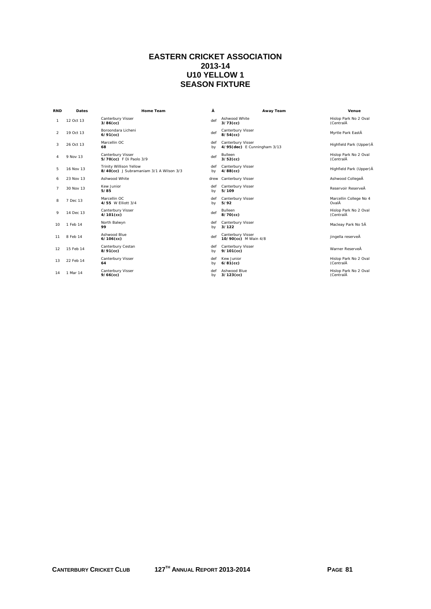### **EASTERN CRICKET ASSOCIATION 2013-14 U10 YELLOW 1 SEASON FIXTURE**

| <b>RND</b>     | Dates     | <b>Home Team</b>                                                          | Â         | Away Team                                        | Venue                              |
|----------------|-----------|---------------------------------------------------------------------------|-----------|--------------------------------------------------|------------------------------------|
| -1             | 12 Oct 13 | Canterbury Visser<br>$3/86$ (cc)                                          | def       | Ashwood White<br>$3/73$ (cc)                     | Hislop Park No 2 Oval<br>(CentralÂ |
| $\overline{2}$ | 19 Oct 13 | Boroondara Licheni<br>$6/91$ (cc)                                         | def       | Canterbury Visser<br>$8/54$ (cc)                 | Myrtle Park EastÂ                  |
| 3              | 26 Oct 13 | Marcellin OC<br>68                                                        | def<br>by | Canterbury Visser<br>4/95(dec) E Cunningham 3/13 | Highfield Park (Upper) Å           |
| 4              | 9 Nov 13  | Canterbury Visser<br>5/70(cc) F Di Paolo 3/9                              | def       | <b>Bulleen</b><br>$3/52$ (cc)                    | Hislop Park No 2 Oval<br>(CentralA |
| 5              | 16 Nov 13 | <b>Trinity Willison Yellow</b><br>8/40(cc) J Subramaniam 3/1 A Wilson 3/3 | def<br>by | Canterbury Visser<br>$4/88$ (cc)                 | Highfield Park (Upper) Å           |
| 6              | 23 Nov 13 | Ashwood White                                                             | drew      | Canterbury Visser                                | Ashwood CollegeÅ                   |
| $\overline{7}$ | 30 Nov 13 | Kew Junior<br>5/85                                                        | def<br>by | Canterbury Visser<br>5/109                       | Reservoir ReserveÅ                 |
| 8              | 7 Dec 13  | Marcellin OC<br>4/55 W Filiott 3/4                                        | def<br>by | Canterbury Visser<br>5/92                        | Marcellin College No 4<br>OvalÂ    |
| 9              | 14 Dec 13 | Canterbury Visser<br>$4/101$ (cc)                                         | def       | <b>Bulleen</b><br>$8/70$ (cc)                    | Hislop Park No 2 Oval<br>(CentralA |
| 10             | 1 Feb 14  | North Balwyn<br>99                                                        | def<br>bv | Canterbury Visser<br>3/122                       | Macleay Park No 5Å                 |
| 11             | 8 Feb 14  | Ashwood Blue<br>$6/106$ (cc)                                              | def       | Canterbury Visser<br>10/90(cc) M Wain 4/8        | jingella reserveÂ                  |
| 12             | 15 Feb 14 | Canterbury Cestan<br>$8/91$ (cc)                                          | def<br>by | Canterbury Visser<br>$9/101$ (cc)                | Warner ReserveÅ                    |
| 13             | 22 Feb 14 | Canterbury Visser<br>64                                                   | def<br>by | Kew Junior<br>$6/81$ (cc)                        | Hislop Park No 2 Oval<br>(CentralĂ |
| 14             | 1 Mar 14  | Canterbury Visser<br>$9/66$ (cc)                                          | def<br>by | Ashwood Blue<br>$3/123$ (cc)                     | Hislop Park No 2 Oval<br>(CentralA |
|                |           |                                                                           |           |                                                  |                                    |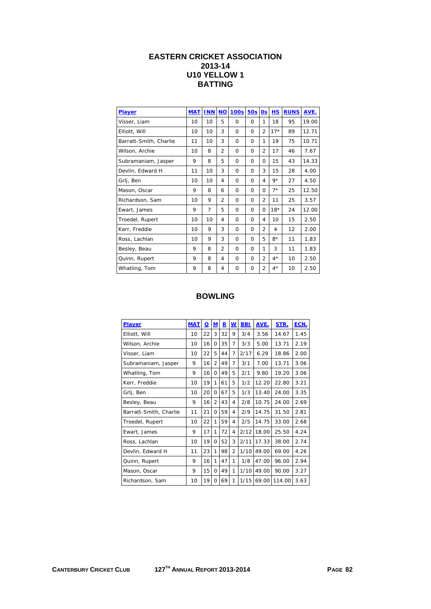## **EASTERN CRICKET ASSOCIATION 2013-14 U10 YELLOW 1 BATTING**

| Player                 | <b>MAT</b> | <b>INN</b> | <b>NO</b>      | 100s     | <b>50s</b> | 0s             | <b>HS</b> | <b>RUNS</b> | AVE.  |
|------------------------|------------|------------|----------------|----------|------------|----------------|-----------|-------------|-------|
| Visser, Liam           | 10         | 10         | 5              | $\Omega$ | $\Omega$   | 1              | 18        | 95          | 19.00 |
| Elliott, Will          | 10         | 10         | 3              | 0        | $\Omega$   | $\overline{2}$ | $17*$     | 89          | 12.71 |
| Barratt-Smith, Charlie | 11         | 10         | 3              | $\Omega$ | $\Omega$   | 1              | 19        | 75          | 10.71 |
| Wilson, Archie         | 10         | 8          | $\overline{2}$ | $\Omega$ | $\Omega$   | $\overline{2}$ | 17        | 46          | 7.67  |
| Subramaniam, Jasper    | 9          | 8          | 5              | $\Omega$ | $\Omega$   | $\Omega$       | 15        | 43          | 14.33 |
| Devlin, Edward H       | 11         | 10         | 3              | $\Omega$ | $\Omega$   | 3              | 15        | 28          | 4.00  |
| Grlj, Ben              | 10         | 10         | 4              | $\Omega$ | $\Omega$   | 4              | $9*$      | 27          | 4.50  |
| Mason, Oscar           | 9          | 8          | 6              | 0        | $\Omega$   | $\Omega$       | $7*$      | 25          | 12.50 |
| Richardson, Sam        | 10         | 9          | $\overline{2}$ | $\Omega$ | $\Omega$   | $\overline{2}$ | 11        | 25          | 3.57  |
| Ewart, James           | 9          | 7          | 5              | $\Omega$ | $\Omega$   | $\Omega$       | $18*$     | 24          | 12.00 |
| Troedel, Rupert        | 10         | 10         | 4              | $\Omega$ | $\Omega$   | 4              | 10        | 15          | 2.50  |
| Kerr, Freddie          | 10         | 9          | 3              | $\Omega$ | $\Omega$   | $\overline{2}$ | 4         | 12          | 2.00  |
| Ross, Lachlan          | 10         | 9          | 3              | $\Omega$ | $\Omega$   | 5              | $8*$      | 11          | 1.83  |
| Besley, Beau           | 9          | 8          | $\overline{2}$ | 0        | $\Omega$   | 1              | 3         | 11          | 1.83  |
| Quinn, Rupert          | 9          | 8          | 4              | $\Omega$ | $\Omega$   | $\overline{2}$ | $4*$      | 10          | 2.50  |
| Whatling, Tom          | 9          | 8          | 4              | 0        | $\Omega$   | 2              | $4*$      | 10          | 2.50  |

| <b>Player</b>          | <b>MAT</b> | $\Omega$ | <u>M</u>       | $\mathbf R$ | <u>w</u>       | <b>BBI</b> | AVE.  | STR.   | ECN. |
|------------------------|------------|----------|----------------|-------------|----------------|------------|-------|--------|------|
| Elliott, Will          | 10         | 22       | 3              | 32          | 9              | 3/4        | 3.56  | 14.67  | 1.45 |
| Wilson, Archie         | 10         | 16       | 0              | 35          | 7              | 3/3        | 5.00  | 13.71  | 2.19 |
| Visser, Liam           | 10         | 22       | 5              | 44          | $\overline{7}$ | 2/17       | 6.29  | 18.86  | 2.00 |
| Subramaniam, Jasper    | 9          | 16       | $\overline{2}$ | 49          | $\overline{7}$ | 3/1        | 7.00  | 13.71  | 3.06 |
| Whatling, Tom          | 9          | 16       | <sup>0</sup>   | 49          | 5              | 2/1        | 9.80  | 19.20  | 3.06 |
| Kerr, Freddie          | 10         | 19       | 1              | 61          | 5              | 1/2        | 12.20 | 22.80  | 3.21 |
| Grlj, Ben              | 10         | 20       | $\Omega$       | 67          | 5              | 1/3        | 13.40 | 24.00  | 3.35 |
| Besley, Beau           | 9          | 16       | $\overline{2}$ | 43          | 4              | 2/8        | 10.75 | 24.00  | 2.69 |
| Barratt-Smith, Charlie | 11         | 21       | 0              | 59          | 4              | 2/9        | 14.75 | 31.50  | 2.81 |
| Troedel, Rupert        | 10         | 22       | 1              | 59          | 4              | 2/5        | 14.75 | 33.00  | 2.68 |
| Ewart, James           | 9          | 17       | 1              | 72          | 4              | 2/12       | 18.00 | 25.50  | 4.24 |
| Ross, Lachlan          | 10         | 19       | $\Omega$       | 52          | 3              | 2/11       | 17.33 | 38.00  | 2.74 |
| Devlin, Edward H       | 11         | 23       | 1              | 98          | $\overline{2}$ | 1/10       | 49.00 | 69.00  | 4.26 |
| Quinn, Rupert          | 9          | 16       | 1              | 47          | 1              | 1/8        | 47.00 | 96.00  | 2.94 |
| Mason, Oscar           | 9          | 15       | $\Omega$       | 49          | 1              | 1/10       | 49.00 | 90.00  | 3.27 |
| Richardson, Sam        | 10         | 19       | $\Omega$       | 69          | 1              | 1/15       | 69.00 | 114.00 | 3.63 |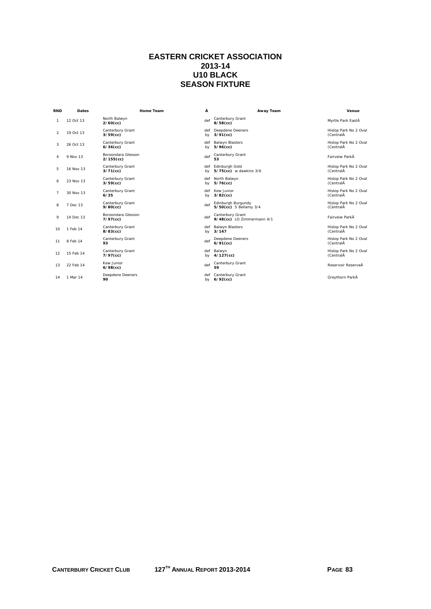### **EASTERN CRICKET ASSOCIATION 2013-14 U10 BLACK SEASON FIXTURE**

| <b>RND</b>     | Dates     | <b>Home Team</b>                   | Â         | Away Team                                      | Venue                              |
|----------------|-----------|------------------------------------|-----------|------------------------------------------------|------------------------------------|
| 1.             | 12 Oct 13 | North Balwyn<br>$2/60$ (cc)        | def       | Canterbury Grant<br>$8/58$ (cc)                | Myrtle Park EastÂ                  |
| $\mathcal{P}$  | 19 Oct 13 | Canterbury Grant<br>$3/59$ (cc)    | bv        | def Deepdene Deeners<br>$3/91$ (cc)            | Hislop Park No 2 Oval<br>(CentralA |
| 3              | 26 Oct 13 | Canterbury Grant<br>$6/36$ (cc)    | def<br>bv | <b>Balwyn Blasters</b><br>$5/96$ (cc)          | Hislop Park No 2 Oval<br>(CentralA |
| 4              | 9 Nov 13  | Boroondara Glesson<br>$2/155$ (cc) | def       | Canterbury Grant                               | Fairveiw ParkÂ                     |
| 5              | 16 Nov 13 | Canterbury Grant<br>$3/71$ (cc)    | def<br>by | Edinburgh Gold<br>5/75(cc) w dawkins 3/6       | Hislop Park No 2 Oval<br>(CentralA |
| 6              | 23 Nov 13 | Canterbury Grant<br>$3/59$ (cc)    | by        | def North Balwyn<br>$5/76$ (cc)                | Hislop Park No 2 Oval<br>(CentralA |
| $\overline{7}$ | 30 Nov 13 | Canterbury Grant<br>6/35           | by        | def Kew Junior<br>$3/82$ (cc)                  | Hislop Park No 2 Oval<br>(CentralA |
| 8              | 7 Dec 13  | Canterbury Grant<br>$9/80$ (cc)    | def       | Edinburgh Burgundy<br>5/50(cc) S Bellamy 3/4   | Hislop Park No 2 Oval<br>(CentralA |
| 9              | 14 Dec 13 | Boroondara Glesson<br>$7/97$ (cc)  | def       | Canterbury Grant<br>9/48(cc) LO Zimmermann 4/1 | Fairveiw ParkÂ                     |
| 10             | 1 Feb 14  | Canterbury Grant<br>$8/83$ (cc)    | bv        | def Balwyn Blasters<br>3/147                   | Hislop Park No 2 Oval<br>(CentralA |
| 11             | 8 Feb 14  | Canterbury Grant<br>93             | def       | Deepdene Deeners<br>$6/91$ (cc)                | Hislop Park No 2 Oval<br>(CentralÂ |
| 12             | 15 Feb 14 | Canterbury Grant<br>$7/97$ (cc)    | by        | def Balwyn<br>$4/127$ (cc)                     | Hislop Park No 2 Oval<br>(CentralA |
| 13             | 22 Feb 14 | Kew Junior<br>$6/98$ (cc)          | def       | Canterbury Grant<br>59                         | Reservoir ReserveÂ                 |
| 14             | 1 Mar 14  | Deepdene Deeners<br>90             | by        | def Canterbury Grant<br>$6/92$ (cc)            | Greythorn ParkÂ                    |
|                |           |                                    |           |                                                |                                    |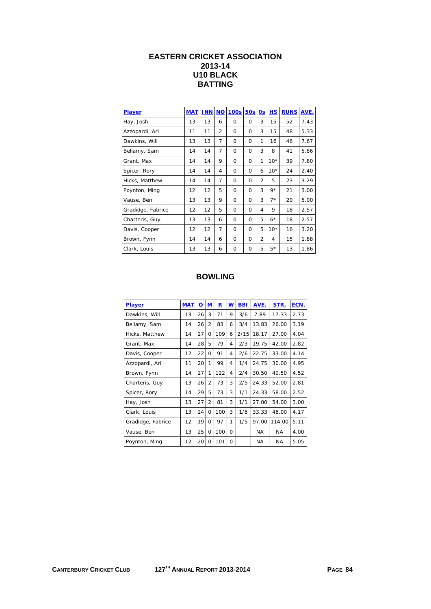## **EASTERN CRICKET ASSOCIATION 2013-14 U10 BLACK BATTING**

| <b>Player</b>     | <b>MAT</b> | <b>INN</b> | <b>NO</b>      | <b>100s</b> | <b>50s</b> | 0s             | <b>HS</b> | <b>RUNS</b> | AVE. |
|-------------------|------------|------------|----------------|-------------|------------|----------------|-----------|-------------|------|
| Hay, Josh         | 13         | 13         | 6              | $\Omega$    | $\Omega$   | 3              | 15        | 52          | 7.43 |
| Azzopardi, Ari    | 11         | 11         | $\overline{2}$ | $\Omega$    | $\Omega$   | 3              | 15        | 48          | 5.33 |
| Dawkins, Will     | 13         | 13         | $\overline{7}$ | 0           | 0          | 1              | 16        | 46          | 7.67 |
| Bellamy, Sam      | 14         | 14         | 7              | $\Omega$    | $\Omega$   | 3              | 8         | 41          | 5.86 |
| Grant, Max        | 14         | 14         | 9              | $\Omega$    | $\Omega$   | 1              | $10*$     | 39          | 7.80 |
| Spicer, Rory      | 14         | 14         | 4              | $\Omega$    | $\Omega$   | 6              | $10*$     | 24          | 2.40 |
| Hicks, Matthew    | 14         | 14         | $\overline{7}$ | $\Omega$    | 0          | $\overline{2}$ | 5         | 23          | 3.29 |
| Poynton, Ming     | 12         | 12         | 5              | $\Omega$    | $\Omega$   | 3              | $9*$      | 21          | 3.00 |
| Vause, Ben        | 13         | 13         | 9              | $\Omega$    | $\Omega$   | 3              | $7*$      | 20          | 5.00 |
| Gradidge, Fabrice | 12         | 12         | 5              | $\Omega$    | $\Omega$   | 4              | 9         | 18          | 2.57 |
| Charteris, Guy    | 13         | 13         | 6              | $\Omega$    | $\Omega$   | 5              | $6*$      | 18          | 2.57 |
| Davis, Cooper     | 12         | 12         | $\overline{7}$ | $\Omega$    | $\Omega$   | 5              | $10*$     | 16          | 3.20 |
| Brown, Fynn       | 14         | 14         | 6              | 0           | $\Omega$   | $\overline{2}$ | 4         | 15          | 1.88 |
| Clark, Louis      | 13         | 13         | 6              | $\Omega$    | $\Omega$   | 5              | $5*$      | 13          | 1.86 |

| Player            | <b>MAT</b> | <u>o</u> | M              | R   | W        | BBI  | AVE.  | STR.      | ECN. |
|-------------------|------------|----------|----------------|-----|----------|------|-------|-----------|------|
| Dawkins, Will     | 13         | 26       | 3              | 71  | 9        | 3/6  | 7.89  | 17.33     | 2.73 |
| Bellamy, Sam      | 14         | 26       | $\overline{2}$ | 83  | 6        | 3/4  | 13.83 | 26.00     | 3.19 |
| Hicks, Matthew    | 14         | 27       | 0              | 109 | 6        | 2/15 | 18.17 | 27.00     | 4.04 |
| Grant, Max        | 14         | 28       | 5              | 79  | 4        | 2/3  | 19.75 | 42.00     | 2.82 |
| Davis, Cooper     | 12         | 22       | 0              | 91  | 4        | 2/6  | 22.75 | 33.00     | 4.14 |
| Azzopardi, Ari    | 11         | 20       | 1              | 99  | 4        | 1/4  | 24.75 | 30.00     | 4.95 |
| Brown, Fynn       | 14         | 27       | 1              | 122 | 4        | 2/4  | 30.50 | 40.50     | 4.52 |
| Charteris, Guy    | 13         | 26       | $\overline{2}$ | 73  | 3        | 2/5  | 24.33 | 52.00     | 2.81 |
| Spicer, Rory      | 14         | 29       | 5              | 73  | 3        | 1/1  | 24.33 | 58.00     | 2.52 |
| Hay, Josh         | 13         | 27       | $\overline{2}$ | 81  | 3        | 1/1  | 27.00 | 54.00     | 3.00 |
| Clark, Louis      | 13         | 24       | 0              | 100 | 3        | 1/6  | 33.33 | 48.00     | 4.17 |
| Gradidge, Fabrice | 12         | 19       | 0              | 97  | 1        | 1/5  | 97.00 | 114.00    | 5.11 |
| Vause, Ben        | 13         | 25       | 0              | 100 | 0        |      | NA.   | NA.       | 4.00 |
| Poynton, Ming     | 12         | 20       | 0              | 101 | $\Omega$ |      | NA    | <b>NA</b> | 5.05 |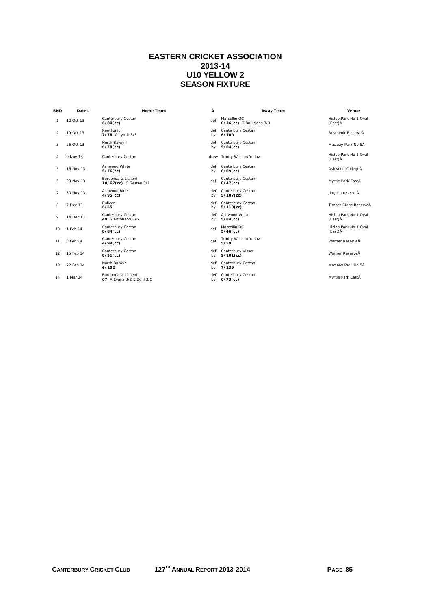## **EASTERN CRICKET ASSOCIATION 2013-14 U10 YELLOW 2 SEASON FIXTURE**

| <b>RND</b>     | <b>Dates</b> | Home Team                                       | Â         | Away Team                                | Venue                            |
|----------------|--------------|-------------------------------------------------|-----------|------------------------------------------|----------------------------------|
| 1              | 12 Oct 13    | Canterbury Cestan<br>$6/80$ (cc)                | def       | Marcellin OC<br>8/36(cc) T Buultjens 3/3 | Hislop Park No 1 Oval<br>(East)Å |
| 2              | 19 Oct 13    | Kew Junior<br>7/78 C Lynch 3/3                  | def<br>bv | Canterbury Cestan<br>6/100               | Reservoir ReserveÅ               |
| 3              | 26 Oct 13    | North Balwyn<br>$6/78$ (cc)                     | def<br>by | Canterbury Cestan<br>$5/84$ (cc)         | Macleay Park No 5Å               |
| 4              | 9 Nov 13     | Canterbury Cestan                               |           | drew Trinity Willison Yellow             | Hislop Park No 1 Oval<br>(East)Å |
| 5              | 16 Nov 13    | Ashwood White<br>$5/76$ (cc)                    | def<br>by | Canterbury Cestan<br>$6/89$ (cc)         | Ashwood CollegeÂ                 |
| 6              | 23 Nov 13    | Boroondara Licheni<br>10/67(cc) O Sestan 3/1    | def       | Canterbury Cestan<br>$8/47$ (cc)         | Myrtle Park EastÂ                |
| $\overline{7}$ | 30 Nov 13    | Ashwood Blue<br>$4/95$ (cc)                     | def<br>by | Canterbury Cestan<br>$5/107$ (cc)        | jingella reserveÂ                |
| 8              | 7 Dec 13     | Bulleen<br>6/55                                 | def<br>by | Canterbury Cestan<br>$5/110$ (cc)        | Timber Ridge ReserveÅ            |
| 9              | 14 Dec 13    | Canterbury Cestan<br>49 S Antonacci 3/6         | def<br>by | Ashwood White<br>$5/84$ (cc)             | Hislop Park No 1 Oval<br>(East)Å |
| 10             | 1 Feb 14     | Canterbury Cestan<br>$8/84$ (cc)                | def       | Marcellin OC<br>$5/46$ (cc)              | Hislop Park No 1 Oval<br>(East)Å |
| 11             | 8 Feb 14     | Canterbury Cestan<br>$4/99$ (cc)                | def       | <b>Trinity Willison Yellow</b><br>5/59   | Warner ReserveÅ                  |
| 12             | 15 Feb 14    | Canterbury Cestan<br>$8/91$ (cc)                | def<br>by | Canterbury Visser<br>$9/101$ (cc)        | Warner ReserveÅ                  |
| 13             | 22 Feb 14    | North Balwyn<br>6/102                           | def<br>by | Canterbury Cestan<br>7/139               | Macleay Park No 5Å               |
| 14             | 1 Mar 14     | Boroondara Licheni<br>67 A Evans 3/2 E Bohl 3/5 | def<br>by | Canterbury Cestan<br>$6/73$ (cc)         | Myrtle Park EastÅ                |
|                |              |                                                 |           |                                          |                                  |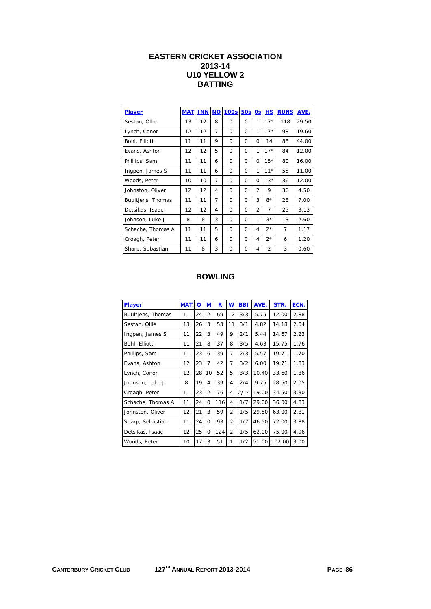### **EASTERN CRICKET ASSOCIATION 2013-14 U10 YELLOW 2 BATTING**

| <b>Player</b>     | <b>MAT</b> | <b>INN</b> | <b>NO</b> | 100s     | 50s      | 0s             | H S            | <b>RUNS</b>    | AVE.  |
|-------------------|------------|------------|-----------|----------|----------|----------------|----------------|----------------|-------|
| Sestan, Ollie     | 13         | 12         | 8         | $\Omega$ | 0        | 1              | $17*$          | 118            | 29.50 |
| Lynch, Conor      | 12         | 12         | 7         | $\Omega$ | 0        | 1              | $17*$          | 98             | 19.60 |
| Bohl, Elliott     | 11         | 11         | 9         | $\Omega$ | 0        | 0              | 14             | 88             | 44.00 |
| Evans, Ashton     | 12         | 12         | 5         | $\Omega$ | 0        | 1              | $17*$          | 84             | 12.00 |
| Phillips, Sam     | 11         | 11         | 6         | $\Omega$ | 0        | $\Omega$       | $15*$          | 80             | 16.00 |
| Ingpen, James S   | 11         | 11         | 6         | 0        | 0        | 1              | $11*$          | 55             | 11.00 |
| Woods, Peter      | 10         | 10         | 7         | $\Omega$ | 0        | O              | $13*$          | 36             | 12.00 |
| Johnston, Oliver  | 12         | 12         | 4         | $\Omega$ | 0        | $\overline{2}$ | 9              | 36             | 4.50  |
| Buultjens, Thomas | 11         | 11         | 7         | $\Omega$ | 0        | 3              | $8*$           | 28             | 7.00  |
| Detsikas, Isaac   | 12         | 12         | 4         | $\Omega$ | 0        | $\overline{2}$ | 7              | 25             | 3.13  |
| Johnson, Luke J   | 8          | 8          | 3         | $\Omega$ | $\Omega$ | 1              | $3*$           | 13             | 2.60  |
| Schache, Thomas A | 11         | 11         | 5         | 0        | 0        | 4              | $2*$           | $\overline{7}$ | 1.17  |
| Croagh, Peter     | 11         | 11         | 6         | $\Omega$ | 0        | 4              | $2*$           | 6              | 1.20  |
| Sharp, Sebastian  | 11         | 8          | 3         | $\Omega$ | Ω        | 4              | $\overline{2}$ | 3              | 0.60  |

| <b>Player</b>     | <b>MAT</b> | <u>0</u> | M              | R   | W              | <b>BBI</b> | AVE.  | STR.   | ECN. |
|-------------------|------------|----------|----------------|-----|----------------|------------|-------|--------|------|
| Buultjens, Thomas | 11         | 24       | $\overline{2}$ | 69  | 12             | 3/3        | 5.75  | 12.00  | 2.88 |
| Sestan, Ollie     | 13         | 26       | 3              | 53  | 11             | 3/1        | 4.82  | 14.18  | 2.04 |
| Ingpen, James S   | 11         | 22       | 3              | 49  | 9              | 2/1        | 5.44  | 14.67  | 2.23 |
| Bohl, Elliott     | 11         | 21       | 8              | 37  | 8              | 3/5        | 4.63  | 15.75  | 1.76 |
| Phillips, Sam     | 11         | 23       | 6              | 39  | 7              | 2/3        | 5.57  | 19.71  | 1.70 |
| Evans, Ashton     | 12         | 23       | 7              | 42  | 7              | 3/2        | 6.00  | 19.71  | 1.83 |
| Lynch, Conor      | 12         | 28       | 10             | 52  | 5              | 3/3        | 10.40 | 33.60  | 1.86 |
| Johnson, Luke J   | 8          | 19       | 4              | 39  | 4              | 2/4        | 9.75  | 28.50  | 2.05 |
| Croagh, Peter     | 11         | 23       | $\overline{2}$ | 76  | 4              | 2/14       | 19.00 | 34.50  | 3.30 |
| Schache, Thomas A | 11         | 24       | $\Omega$       | 116 | 4              | 1/7        | 29.00 | 36.00  | 4.83 |
| Johnston, Oliver  | 12         | 21       | 3              | 59  | $\overline{2}$ | 1/5        | 29.50 | 63.00  | 2.81 |
| Sharp, Sebastian  | 11         | 24       | $\Omega$       | 93  | $\overline{2}$ | 1/7        | 46.50 | 72.00  | 3.88 |
| Detsikas, Isaac   | 12         | 25       | $\Omega$       | 124 | $\overline{2}$ | 1/5        | 62.00 | 75.00  | 4.96 |
| Woods, Peter      | 10         | 17       | 3              | 51  | 1              | 1/2        | 51.00 | 102.00 | 3.00 |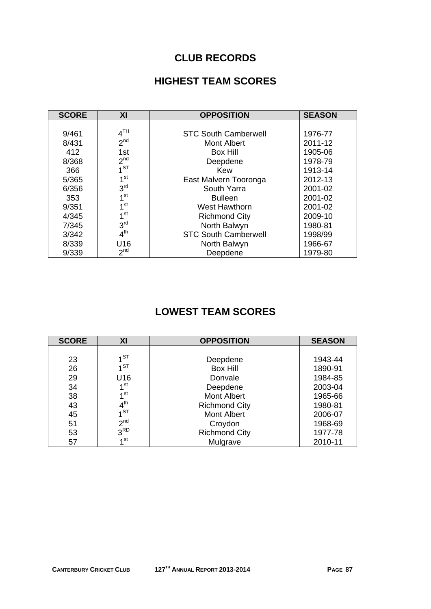## **CLUB RECORDS**

## **HIGHEST TEAM SCORES**

| <b>SCORE</b> | ΧI              | <b>OPPOSITION</b>           | <b>SEASON</b> |
|--------------|-----------------|-----------------------------|---------------|
|              |                 |                             |               |
| 9/461        | 4 <sup>TH</sup> | <b>STC South Camberwell</b> | 1976-77       |
| 8/431        | 2 <sup>nd</sup> | Mont Albert                 | 2011-12       |
| 412          | 1st             | <b>Box Hill</b>             | 1905-06       |
| 8/368        | 2 <sup>nd</sup> | Deepdene                    | 1978-79       |
| 366          | 1 <sub>ST</sub> | Kew                         | 1913-14       |
| 5/365        | 1 <sup>st</sup> | East Malvern Tooronga       | 2012-13       |
| 6/356        | 3 <sup>rd</sup> | South Yarra                 | 2001-02       |
| 353          | 1 <sup>st</sup> | <b>Bulleen</b>              | 2001-02       |
| 9/351        | 1 <sup>st</sup> | West Hawthorn               | 2001-02       |
| 4/345        | 1 <sup>st</sup> | <b>Richmond City</b>        | 2009-10       |
| 7/345        | 3 <sup>rd</sup> | North Balwyn                | 1980-81       |
| 3/342        | 4 <sup>th</sup> | <b>STC South Camberwell</b> | 1998/99       |
| 8/339        | U16             | North Balwyn                | 1966-67       |
| 9/339        | 2 <sup>nd</sup> | Deepdene                    | 1979-80       |

# **LOWEST TEAM SCORES**

| <b>SCORE</b> | XI              | <b>OPPOSITION</b>    | <b>SEASON</b> |
|--------------|-----------------|----------------------|---------------|
|              |                 |                      |               |
| 23           | $1^{ST}$        | Deepdene             | 1943-44       |
| 26           | 1 <sup>ST</sup> | <b>Box Hill</b>      | 1890-91       |
| 29           | U16             | Donvale              | 1984-85       |
| 34           | 1 <sup>st</sup> | Deepdene             | 2003-04       |
| 38           | 1 <sup>st</sup> | <b>Mont Albert</b>   | 1965-66       |
| 43           | $4^{\text{th}}$ | <b>Richmond City</b> | 1980-81       |
| 45           | $1^{ST}$        | <b>Mont Albert</b>   | 2006-07       |
| 51           | 2 <sup>nd</sup> | Croydon              | 1968-69       |
| 53           | 3 <sup>RD</sup> | <b>Richmond City</b> | 1977-78       |
| 57           | 1 <sup>st</sup> | Mulgrave             | 2010-11       |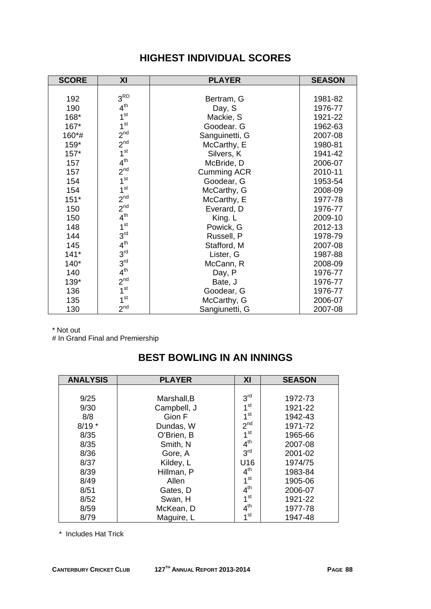| <b>SCORE</b> | XI              | <b>PLAYER</b>      | <b>SEASON</b> |
|--------------|-----------------|--------------------|---------------|
|              |                 |                    |               |
| 192          | 3 <sup>RD</sup> | Bertram, G         | 1981-82       |
| 190          | 4 <sup>th</sup> | Day, S             | 1976-77       |
| 168*         | 1 <sup>st</sup> | Mackie, S          | 1921-22       |
| 167*         | 1 <sup>st</sup> | Goodear. G         | 1962-63       |
| 160*#        | 2 <sup>nd</sup> | Sanguinetti, G     | 2007-08       |
| 159*         | 2 <sup>nd</sup> | McCarthy, E        | 1980-81       |
| $157*$       | 1 <sup>st</sup> | Silvers, K         | 1941-42       |
| 157          | 4 <sup>th</sup> | McBride, D         | 2006-07       |
| 157          | 2 <sup>nd</sup> | <b>Cumming ACR</b> | 2010-11       |
| 154          | 1 <sup>st</sup> | Goodear, G         | 1953-54       |
| 154          | 1 <sup>st</sup> | McCarthy, G        | 2008-09       |
| $151*$       | 2 <sup>nd</sup> | McCarthy, E        | 1977-78       |
| 150          | 2 <sup>nd</sup> | Everard, D         | 1976-77       |
| 150          | 4 <sup>th</sup> | King. L            | 2009-10       |
| 148          | 1 <sup>st</sup> | Powick, G          | 2012-13       |
| 144          | 3 <sup>rd</sup> | Russell, P         | 1978-79       |
| 145          | 4 <sup>th</sup> | Stafford, M        | 2007-08       |
| $141*$       | 3 <sup>rd</sup> | Lister, G          | 1987-88       |
| $140*$       | 3 <sup>rd</sup> | McCann, R          | 2008-09       |
| 140          | 4 <sup>th</sup> | Day, P             | 1976-77       |
| 139*         | 2 <sup>nd</sup> | Bate, J            | 1976-77       |
| 136          | 1 <sup>st</sup> | Goodear, G         | 1976-77       |
| 135          | 1 <sup>st</sup> | McCarthy, G        | 2006-07       |
| 130          | 2 <sup>nd</sup> | Sangiunetti, G     | 2007-08       |

## **HIGHEST INDIVIDUAL SCORES**

\* Not out

# In Grand Final and Premiership

## **BEST BOWLING IN AN INNINGS**

| <b>ANALYSIS</b> | <b>PLAYER</b> | XI              | <b>SEASON</b> |
|-----------------|---------------|-----------------|---------------|
|                 |               |                 |               |
| 9/25            | Marshall, B   | 3 <sup>rd</sup> | 1972-73       |
| 9/30            | Campbell, J   | 1 <sup>st</sup> | 1921-22       |
| 8/8             | Gion F        | 1 <sub>st</sub> | 1942-43       |
| $8/19*$         | Dundas, W     | 2 <sup>nd</sup> | 1971-72       |
| 8/35            | O'Brien, B    | 1 <sup>st</sup> | 1965-66       |
| 8/35            | Smith, N      | 4 <sup>th</sup> | 2007-08       |
| 8/36            | Gore, A       | 3 <sup>rd</sup> | 2001-02       |
| 8/37            | Kildey, L     | U16             | 1974/75       |
| 8/39            | Hillman, P    | 4 <sup>th</sup> | 1983-84       |
| 8/49            | Allen         | 1 <sup>st</sup> | 1905-06       |
| 8/51            | Gates, D      | 4 <sup>th</sup> | 2006-07       |
| 8/52            | Swan, H       | 1 <sup>st</sup> | 1921-22       |
| 8/59            | McKean, D     | 4 <sup>th</sup> | 1977-78       |
| 8/79            | Maguire, L    | 1st             | 1947-48       |

\* Includes Hat Trick